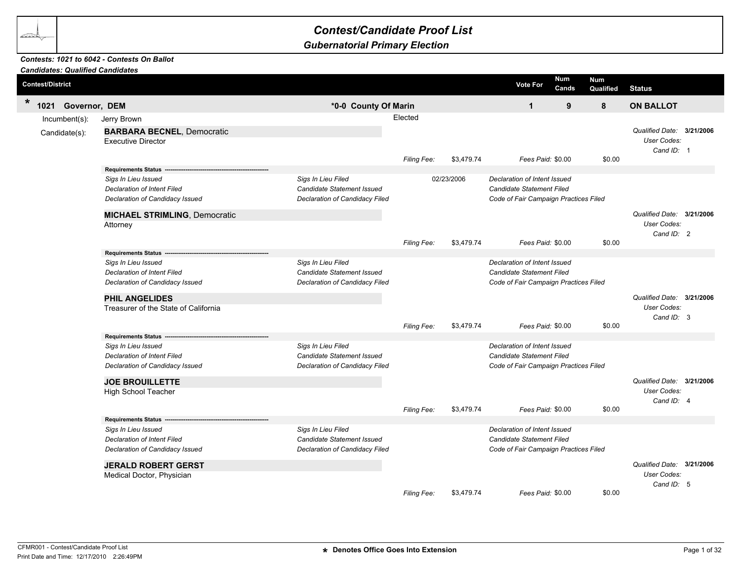## *Contest/Candidate Proof List*

## *Gubernatorial Primary Election*

## *Contests: 1021 to 6042 - Contests On Ballot*

|        | <b>Candidates: Qualified Candidates</b> |                                                                                                                                                  |                                                                                                  |             |            |                                                                                                           |       |                  |                                                          |  |
|--------|-----------------------------------------|--------------------------------------------------------------------------------------------------------------------------------------------------|--------------------------------------------------------------------------------------------------|-------------|------------|-----------------------------------------------------------------------------------------------------------|-------|------------------|----------------------------------------------------------|--|
|        | <b>Contest/District</b>                 |                                                                                                                                                  |                                                                                                  |             |            | <b>Num</b><br><b>Vote For</b>                                                                             | Cands | Num<br>Qualified | <b>Status</b>                                            |  |
| $\ast$ | 1021 Governor, DEM                      |                                                                                                                                                  | *0-0 County Of Marin                                                                             |             |            | $\mathbf{1}$                                                                                              | 9     | 8                | <b>ON BALLOT</b>                                         |  |
|        | Incumbent(s):                           | Jerry Brown                                                                                                                                      |                                                                                                  | Elected     |            |                                                                                                           |       |                  |                                                          |  |
|        | Candidate(s):                           | <b>BARBARA BECNEL, Democratic</b><br><b>Executive Director</b>                                                                                   |                                                                                                  | Filing Fee: | \$3,479.74 | Fees Paid: \$0.00                                                                                         |       | \$0.00           | Qualified Date: 3/21/2006<br>User Codes:<br>Cand ID: 1   |  |
|        |                                         | Requirements Status --                                                                                                                           |                                                                                                  |             |            |                                                                                                           |       |                  |                                                          |  |
|        |                                         | Sigs In Lieu Issued<br><b>Declaration of Intent Filed</b><br>Declaration of Candidacy Issued<br><b>MICHAEL STRIMLING, Democratic</b><br>Attorney | Sigs In Lieu Filed<br>Candidate Statement Issued<br>Declaration of Candidacy Filed               |             | 02/23/2006 | Declaration of Intent Issued<br><b>Candidate Statement Filed</b><br>Code of Fair Campaign Practices Filed |       |                  | Qualified Date: 3/21/2006<br>User Codes:                 |  |
|        |                                         |                                                                                                                                                  |                                                                                                  | Filing Fee: | \$3,479.74 | Fees Paid: \$0.00                                                                                         |       | \$0.00           | Cand ID: 2                                               |  |
|        |                                         |                                                                                                                                                  |                                                                                                  |             |            |                                                                                                           |       |                  |                                                          |  |
|        |                                         | Sigs In Lieu Issued<br>Declaration of Intent Filed<br>Declaration of Candidacy Issued                                                            | Sigs In Lieu Filed<br><b>Candidate Statement Issued</b><br><b>Declaration of Candidacy Filed</b> |             |            | Declaration of Intent Issued<br><b>Candidate Statement Filed</b><br>Code of Fair Campaign Practices Filed |       |                  |                                                          |  |
|        |                                         | <b>PHIL ANGELIDES</b>                                                                                                                            |                                                                                                  |             |            |                                                                                                           |       |                  | Qualified Date: 3/21/2006                                |  |
|        |                                         | Treasurer of the State of California                                                                                                             |                                                                                                  | Filing Fee: | \$3,479.74 | Fees Paid: \$0.00                                                                                         |       | \$0.00           | User Codes:<br>Cand ID: 3                                |  |
|        |                                         | Requirements Status --                                                                                                                           |                                                                                                  |             |            |                                                                                                           |       |                  |                                                          |  |
|        |                                         | Sigs In Lieu Issued<br><b>Declaration of Intent Filed</b><br>Declaration of Candidacy Issued                                                     | Sigs In Lieu Filed<br><b>Candidate Statement Issued</b><br>Declaration of Candidacy Filed        |             |            | Declaration of Intent Issued<br><b>Candidate Statement Filed</b><br>Code of Fair Campaign Practices Filed |       |                  |                                                          |  |
|        |                                         | <b>JOE BROUILLETTE</b><br>High School Teacher                                                                                                    |                                                                                                  |             |            |                                                                                                           |       |                  | Qualified Date: 3/21/2006<br>User Codes:<br>Cand $ID: 4$ |  |
|        |                                         |                                                                                                                                                  |                                                                                                  | Filing Fee: | \$3,479.74 | Fees Paid: \$0.00                                                                                         |       | \$0.00           |                                                          |  |
|        |                                         | Requirements Status -------------<br>Sigs In Lieu Issued<br>Declaration of Intent Filed<br>Declaration of Candidacy Issued                       | Sigs In Lieu Filed<br><b>Candidate Statement Issued</b><br>Declaration of Candidacy Filed        |             |            | Declaration of Intent Issued<br><b>Candidate Statement Filed</b><br>Code of Fair Campaign Practices Filed |       |                  |                                                          |  |
|        |                                         | <b>JERALD ROBERT GERST</b><br>Medical Doctor, Physician                                                                                          |                                                                                                  |             |            |                                                                                                           |       |                  | Qualified Date: 3/21/2006<br><b>User Codes:</b>          |  |
|        |                                         |                                                                                                                                                  |                                                                                                  | Filing Fee: | \$3,479.74 | Fees Paid: \$0.00                                                                                         |       | \$0.00           | Cand ID: 5                                               |  |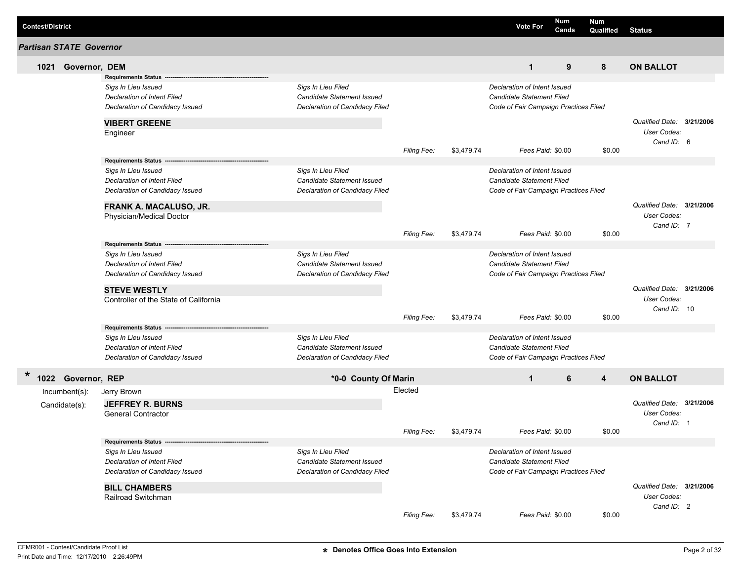| <b>Contest/District</b> |                                |                                                    |                                                  |                    |            | <b>Vote For</b>                                           | <b>Num</b><br>Cands | <b>Num</b><br>Qualified | <b>Status</b>             |  |
|-------------------------|--------------------------------|----------------------------------------------------|--------------------------------------------------|--------------------|------------|-----------------------------------------------------------|---------------------|-------------------------|---------------------------|--|
|                         | <b>Partisan STATE Governor</b> |                                                    |                                                  |                    |            |                                                           |                     |                         |                           |  |
|                         | 1021 Governor, DEM             |                                                    |                                                  |                    |            | $\mathbf{1}$                                              | 9                   | 8                       | <b>ON BALLOT</b>          |  |
|                         |                                | <b>Requirements Status</b>                         |                                                  |                    |            |                                                           |                     |                         |                           |  |
|                         |                                | Sigs In Lieu Issued                                | Sigs In Lieu Filed                               |                    |            | Declaration of Intent Issued                              |                     |                         |                           |  |
|                         |                                | <b>Declaration of Intent Filed</b>                 | Candidate Statement Issued                       |                    |            | Candidate Statement Filed                                 |                     |                         |                           |  |
|                         |                                | Declaration of Candidacy Issued                    | Declaration of Candidacy Filed                   |                    |            | Code of Fair Campaign Practices Filed                     |                     |                         |                           |  |
|                         |                                | <b>VIBERT GREENE</b>                               |                                                  |                    |            |                                                           |                     |                         | Qualified Date: 3/21/2006 |  |
|                         |                                | Engineer                                           |                                                  |                    |            |                                                           |                     |                         | User Codes:               |  |
|                         |                                |                                                    |                                                  |                    |            |                                                           |                     |                         | Cand ID: 6                |  |
|                         |                                |                                                    |                                                  | <b>Filing Fee:</b> | \$3,479.74 |                                                           | Fees Paid: \$0.00   | \$0.00                  |                           |  |
|                         |                                | <b>Requirements Status</b>                         |                                                  |                    |            |                                                           |                     |                         |                           |  |
|                         |                                | Sigs In Lieu Issued                                | Sigs In Lieu Filed                               |                    |            | Declaration of Intent Issued                              |                     |                         |                           |  |
|                         |                                | <b>Declaration of Intent Filed</b>                 | <b>Candidate Statement Issued</b>                |                    |            | Candidate Statement Filed                                 |                     |                         |                           |  |
|                         |                                | Declaration of Candidacy Issued                    | Declaration of Candidacy Filed                   |                    |            | Code of Fair Campaign Practices Filed                     |                     |                         |                           |  |
|                         |                                | FRANK A. MACALUSO, JR.                             |                                                  |                    |            |                                                           |                     |                         | Qualified Date: 3/21/2006 |  |
|                         |                                | Physician/Medical Doctor                           |                                                  |                    |            |                                                           |                     |                         | User Codes:               |  |
|                         |                                |                                                    |                                                  |                    |            |                                                           |                     |                         | Cand ID: 7                |  |
|                         |                                |                                                    |                                                  | <b>Filing Fee:</b> | \$3,479.74 |                                                           | Fees Paid: \$0.00   | \$0.00                  |                           |  |
|                         |                                | <b>Requirements Status</b>                         |                                                  |                    |            |                                                           |                     |                         |                           |  |
|                         |                                | Sigs In Lieu Issued<br>Declaration of Intent Filed | Sigs In Lieu Filed<br>Candidate Statement Issued |                    |            | Declaration of Intent Issued<br>Candidate Statement Filed |                     |                         |                           |  |
|                         |                                | Declaration of Candidacy Issued                    | Declaration of Candidacy Filed                   |                    |            | Code of Fair Campaign Practices Filed                     |                     |                         |                           |  |
|                         |                                |                                                    |                                                  |                    |            |                                                           |                     |                         |                           |  |
|                         |                                | <b>STEVE WESTLY</b>                                |                                                  |                    |            |                                                           |                     |                         | Qualified Date: 3/21/2006 |  |
|                         |                                | Controller of the State of California              |                                                  |                    |            |                                                           |                     |                         | User Codes:               |  |
|                         |                                |                                                    |                                                  | Filing Fee:        | \$3,479.74 |                                                           | Fees Paid: \$0.00   | \$0.00                  | Cand ID: 10               |  |
|                         |                                | <b>Requirements Status</b>                         |                                                  |                    |            |                                                           |                     |                         |                           |  |
|                         |                                | Sigs In Lieu Issued                                | Sigs In Lieu Filed                               |                    |            | Declaration of Intent Issued                              |                     |                         |                           |  |
|                         |                                | <b>Declaration of Intent Filed</b>                 | Candidate Statement Issued                       |                    |            | Candidate Statement Filed                                 |                     |                         |                           |  |
|                         |                                | Declaration of Candidacy Issued                    | Declaration of Candidacy Filed                   |                    |            | Code of Fair Campaign Practices Filed                     |                     |                         |                           |  |
|                         |                                |                                                    |                                                  |                    |            |                                                           |                     |                         |                           |  |
| $\ast$                  | 1022 Governor, REP             |                                                    | *0-0 County Of Marin                             |                    |            | $\mathbf{1}$                                              | 6                   | 4                       | <b>ON BALLOT</b>          |  |
|                         | Incumbent(s):                  | Jerry Brown                                        |                                                  | Elected            |            |                                                           |                     |                         |                           |  |
|                         | Candidate(s):                  | <b>JEFFREY R. BURNS</b>                            |                                                  |                    |            |                                                           |                     |                         | Qualified Date: 3/21/2006 |  |
|                         |                                | <b>General Contractor</b>                          |                                                  |                    |            |                                                           |                     |                         | User Codes:               |  |
|                         |                                |                                                    |                                                  |                    |            |                                                           |                     |                         | Cand ID: 1                |  |
|                         |                                |                                                    |                                                  | Filing Fee:        | \$3,479.74 | Fees Paid: \$0.00                                         |                     | \$0.00                  |                           |  |
|                         |                                | Requirements Status --                             |                                                  |                    |            |                                                           |                     |                         |                           |  |
|                         |                                | Sigs In Lieu Issued<br>Declaration of Intent Filed | Sigs In Lieu Filed<br>Candidate Statement Issued |                    |            | Declaration of Intent Issued<br>Candidate Statement Filed |                     |                         |                           |  |
|                         |                                | Declaration of Candidacy Issued                    | Declaration of Candidacy Filed                   |                    |            | Code of Fair Campaign Practices Filed                     |                     |                         |                           |  |
|                         |                                |                                                    |                                                  |                    |            |                                                           |                     |                         |                           |  |
|                         |                                | <b>BILL CHAMBERS</b>                               |                                                  |                    |            |                                                           |                     |                         | Qualified Date: 3/21/2006 |  |
|                         |                                | Railroad Switchman                                 |                                                  |                    |            |                                                           |                     |                         | User Codes:               |  |
|                         |                                |                                                    |                                                  |                    |            |                                                           |                     |                         | Cand ID: 2                |  |
|                         |                                |                                                    |                                                  | Filing Fee:        | \$3,479.74 |                                                           | Fees Paid: \$0.00   | \$0.00                  |                           |  |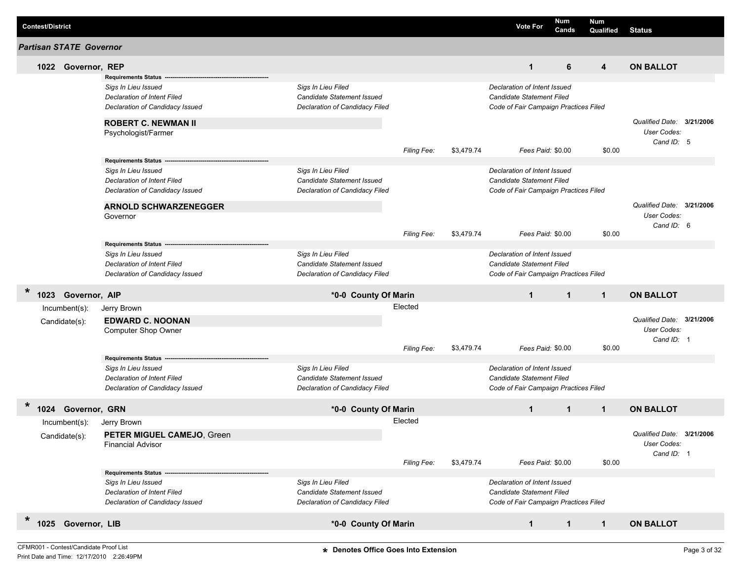| <b>Contest/District</b> |                                |                                 |                                |             |            | <b>Vote For</b>                       | <b>Num</b><br>Cands | <b>Num</b><br>Qualified | <b>Status</b>             |  |
|-------------------------|--------------------------------|---------------------------------|--------------------------------|-------------|------------|---------------------------------------|---------------------|-------------------------|---------------------------|--|
|                         | <b>Partisan STATE Governor</b> |                                 |                                |             |            |                                       |                     |                         |                           |  |
|                         | 1022 Governor, REP             |                                 |                                |             |            | $\mathbf{1}$                          | 6                   | 4                       | <b>ON BALLOT</b>          |  |
|                         |                                | <b>Requirements Status</b>      |                                |             |            |                                       |                     |                         |                           |  |
|                         |                                | Sigs In Lieu Issued             | Sigs In Lieu Filed             |             |            | Declaration of Intent Issued          |                     |                         |                           |  |
|                         |                                | Declaration of Intent Filed     | Candidate Statement Issued     |             |            | <b>Candidate Statement Filed</b>      |                     |                         |                           |  |
|                         |                                | Declaration of Candidacy Issued | Declaration of Candidacy Filed |             |            | Code of Fair Campaign Practices Filed |                     |                         |                           |  |
|                         |                                | <b>ROBERT C. NEWMAN II</b>      |                                |             |            |                                       |                     |                         | Qualified Date: 3/21/2006 |  |
|                         |                                | Psychologist/Farmer             |                                |             |            |                                       |                     |                         | User Codes:<br>Cand ID: 5 |  |
|                         |                                |                                 |                                | Filing Fee: | \$3,479.74 |                                       | Fees Paid: \$0.00   | \$0.00                  |                           |  |
|                         |                                | <b>Requirements Status</b>      |                                |             |            |                                       |                     |                         |                           |  |
|                         |                                | Sigs In Lieu Issued             | Sigs In Lieu Filed             |             |            | Declaration of Intent Issued          |                     |                         |                           |  |
|                         |                                | Declaration of Intent Filed     | Candidate Statement Issued     |             |            | Candidate Statement Filed             |                     |                         |                           |  |
|                         |                                | Declaration of Candidacy Issued | Declaration of Candidacy Filed |             |            | Code of Fair Campaign Practices Filed |                     |                         |                           |  |
|                         |                                | <b>ARNOLD SCHWARZENEGGER</b>    |                                |             |            |                                       |                     |                         | Qualified Date: 3/21/2006 |  |
|                         |                                | Governor                        |                                |             |            |                                       |                     |                         | User Codes:               |  |
|                         |                                |                                 |                                | Filing Fee: | \$3,479.74 |                                       | Fees Paid: \$0.00   | \$0.00                  | Cand ID: 6                |  |
|                         |                                | Requirements Status -----       |                                |             |            |                                       |                     |                         |                           |  |
|                         |                                | Sigs In Lieu Issued             | Sigs In Lieu Filed             |             |            | Declaration of Intent Issued          |                     |                         |                           |  |
|                         |                                | Declaration of Intent Filed     | Candidate Statement Issued     |             |            | Candidate Statement Filed             |                     |                         |                           |  |
|                         |                                | Declaration of Candidacy Issued | Declaration of Candidacy Filed |             |            | Code of Fair Campaign Practices Filed |                     |                         |                           |  |
| $\ast$<br>1023          | Governor, AIP                  |                                 | *0-0 County Of Marin           |             |            | $\mathbf{1}$                          | $\mathbf{1}$        | $\mathbf{1}$            | <b>ON BALLOT</b>          |  |
|                         | Incumbent(s):                  | Jerry Brown                     |                                | Elected     |            |                                       |                     |                         |                           |  |
|                         |                                |                                 |                                |             |            |                                       |                     |                         |                           |  |
|                         | Candidate(s):                  | <b>EDWARD C. NOONAN</b>         |                                |             |            |                                       |                     |                         | Qualified Date: 3/21/2006 |  |
|                         |                                | Computer Shop Owner             |                                |             |            |                                       |                     |                         | User Codes:               |  |
|                         |                                |                                 |                                | Filing Fee: | \$3,479.74 |                                       | Fees Paid: \$0.00   | \$0.00                  | Cand ID: 1                |  |
|                         |                                | <b>Requirements Status</b>      |                                |             |            |                                       |                     |                         |                           |  |
|                         |                                | Sigs In Lieu Issued             | Sigs In Lieu Filed             |             |            | Declaration of Intent Issued          |                     |                         |                           |  |
|                         |                                | Declaration of Intent Filed     | Candidate Statement Issued     |             |            | Candidate Statement Filed             |                     |                         |                           |  |
|                         |                                | Declaration of Candidacy Issued | Declaration of Candidacy Filed |             |            | Code of Fair Campaign Practices Filed |                     |                         |                           |  |
| $\ast$                  |                                |                                 |                                |             |            |                                       |                     |                         |                           |  |
|                         | 1024 Governor, GRN             |                                 | *0-0 County Of Marin           |             |            | $\mathbf{1}$                          | $\mathbf 1$         | $\mathbf{1}$            | <b>ON BALLOT</b>          |  |
|                         | Incumbent(s):                  | Jerry Brown                     |                                | Elected     |            |                                       |                     |                         |                           |  |
|                         | Candidate(s):                  | PETER MIGUEL CAMEJO, Green      |                                |             |            |                                       |                     |                         | Qualified Date: 3/21/2006 |  |
|                         |                                | <b>Financial Advisor</b>        |                                |             |            |                                       |                     |                         | User Codes:               |  |
|                         |                                |                                 |                                | Filing Fee: | \$3,479.74 |                                       | Fees Paid: \$0.00   | \$0.00                  | Cand ID: 1                |  |
|                         |                                | <b>Requirements Status</b>      |                                |             |            |                                       |                     |                         |                           |  |
|                         |                                | Sigs In Lieu Issued             | Sigs In Lieu Filed             |             |            | Declaration of Intent Issued          |                     |                         |                           |  |
|                         |                                | Declaration of Intent Filed     | Candidate Statement Issued     |             |            | <b>Candidate Statement Filed</b>      |                     |                         |                           |  |
|                         |                                | Declaration of Candidacy Issued | Declaration of Candidacy Filed |             |            | Code of Fair Campaign Practices Filed |                     |                         |                           |  |
|                         |                                |                                 |                                |             |            |                                       |                     |                         |                           |  |
| $\ast$                  | 1025 Governor, LIB             |                                 | *0-0 County Of Marin           |             |            | $\mathbf{1}$                          | $\mathbf{1}$        | $\mathbf{1}$            | <b>ON BALLOT</b>          |  |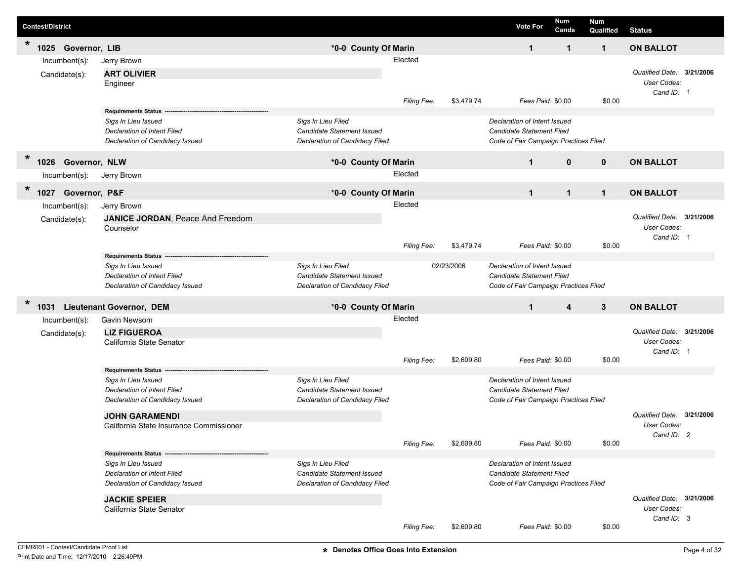|         | <b>Contest/District</b> |                                         |                                   |             |            | <b>Vote For</b>                       | Num<br>Cands | <b>Num</b><br>Qualified | <b>Status</b>             |  |
|---------|-------------------------|-----------------------------------------|-----------------------------------|-------------|------------|---------------------------------------|--------------|-------------------------|---------------------------|--|
| $\star$ | 1025<br>Governor, LIB   |                                         | *0-0 County Of Marin              |             |            | $\mathbf 1$                           | $\mathbf{1}$ | $\mathbf{1}$            | <b>ON BALLOT</b>          |  |
|         | Incumbent(s):           | Jerry Brown                             |                                   | Elected     |            |                                       |              |                         |                           |  |
|         | Candidate(s):           | <b>ART OLIVIER</b>                      |                                   |             |            |                                       |              |                         | Qualified Date: 3/21/2006 |  |
|         |                         | Engineer                                |                                   |             |            |                                       |              |                         | User Codes:               |  |
|         |                         |                                         |                                   | Filing Fee: | \$3,479.74 | Fees Paid: \$0.00                     |              | \$0.00                  | Cand ID: 1                |  |
|         |                         | <b>Requirements Status</b>              |                                   |             |            |                                       |              |                         |                           |  |
|         |                         | Sigs In Lieu Issued                     | Sigs In Lieu Filed                |             |            | Declaration of Intent Issued          |              |                         |                           |  |
|         |                         | Declaration of Intent Filed             | Candidate Statement Issued        |             |            | <b>Candidate Statement Filed</b>      |              |                         |                           |  |
|         |                         | Declaration of Candidacy Issued         | Declaration of Candidacy Filed    |             |            | Code of Fair Campaign Practices Filed |              |                         |                           |  |
| $\ast$  | Governor, NLW<br>1026   |                                         | *0-0 County Of Marin              |             |            | $\mathbf 1$                           | $\mathbf{0}$ | $\mathbf 0$             | <b>ON BALLOT</b>          |  |
|         | Incumbent(s):           | Jerry Brown                             |                                   | Elected     |            |                                       |              |                         |                           |  |
| $\ast$  |                         |                                         |                                   |             |            |                                       |              |                         |                           |  |
|         | Governor, P&F<br>1027   |                                         | *0-0 County Of Marin              |             |            | $\mathbf 1$                           | $\mathbf{1}$ | $\mathbf{1}$            | <b>ON BALLOT</b>          |  |
|         | Incumbent(s):           | Jerry Brown                             |                                   | Elected     |            |                                       |              |                         |                           |  |
|         | Candidate(s):           | JANICE JORDAN, Peace And Freedom        |                                   |             |            |                                       |              |                         | Qualified Date: 3/21/2006 |  |
|         |                         | Counselor                               |                                   |             |            |                                       |              |                         | User Codes:               |  |
|         |                         |                                         |                                   | Filing Fee: | \$3,479.74 | Fees Paid: \$0.00                     |              | \$0.00                  | Cand ID: 1                |  |
|         |                         | <b>Requirements Status</b>              |                                   |             |            |                                       |              |                         |                           |  |
|         |                         | Sigs In Lieu Issued                     | Sigs In Lieu Filed                |             | 02/23/2006 | Declaration of Intent Issued          |              |                         |                           |  |
|         |                         | Declaration of Intent Filed             | Candidate Statement Issued        |             |            | <b>Candidate Statement Filed</b>      |              |                         |                           |  |
|         |                         | Declaration of Candidacy Issued         | Declaration of Candidacy Filed    |             |            | Code of Fair Campaign Practices Filed |              |                         |                           |  |
| $\ast$  | 1031                    | <b>Lieutenant Governor, DEM</b>         | *0-0 County Of Marin              |             |            | $\mathbf 1$                           | 4            | 3                       | <b>ON BALLOT</b>          |  |
|         | Incumbent(s):           | Gavin Newsom                            |                                   | Elected     |            |                                       |              |                         |                           |  |
|         | Candidate(s):           | <b>LIZ FIGUEROA</b>                     |                                   |             |            |                                       |              |                         | Qualified Date: 3/21/2006 |  |
|         |                         | California State Senator                |                                   |             |            |                                       |              |                         | User Codes:               |  |
|         |                         |                                         |                                   |             |            |                                       |              |                         | Cand ID: 1                |  |
|         |                         | <b>Requirements Status</b>              |                                   | Filing Fee: | \$2,609.80 | Fees Paid: \$0.00                     |              | \$0.00                  |                           |  |
|         |                         | Sigs In Lieu Issued                     | Sigs In Lieu Filed                |             |            | Declaration of Intent Issued          |              |                         |                           |  |
|         |                         | Declaration of Intent Filed             | Candidate Statement Issued        |             |            | <b>Candidate Statement Filed</b>      |              |                         |                           |  |
|         |                         | Declaration of Candidacy Issued         | Declaration of Candidacy Filed    |             |            | Code of Fair Campaign Practices Filed |              |                         |                           |  |
|         |                         | <b>JOHN GARAMENDI</b>                   |                                   |             |            |                                       |              |                         | Qualified Date: 3/21/2006 |  |
|         |                         | California State Insurance Commissioner |                                   |             |            |                                       |              |                         | User Codes:               |  |
|         |                         |                                         |                                   | Filing Fee: | \$2,609.80 | Fees Paid: \$0.00                     |              | \$0.00                  | Cand ID: 2                |  |
|         |                         | <b>Requirements Status --</b>           |                                   |             |            |                                       |              |                         |                           |  |
|         |                         | Sigs In Lieu Issued                     | Sigs In Lieu Filed                |             |            | Declaration of Intent Issued          |              |                         |                           |  |
|         |                         | Declaration of Intent Filed             | <b>Candidate Statement Issued</b> |             |            | <b>Candidate Statement Filed</b>      |              |                         |                           |  |
|         |                         | Declaration of Candidacy Issued         | Declaration of Candidacy Filed    |             |            | Code of Fair Campaign Practices Filed |              |                         |                           |  |
|         |                         | <b>JACKIE SPEIER</b>                    |                                   |             |            |                                       |              |                         | Qualified Date: 3/21/2006 |  |
|         |                         | California State Senator                |                                   |             |            |                                       |              |                         | User Codes:               |  |
|         |                         |                                         |                                   |             |            |                                       |              |                         | Cand ID: 3                |  |
|         |                         |                                         |                                   | Filing Fee: | \$2,609.80 | Fees Paid: \$0.00                     |              | \$0.00                  |                           |  |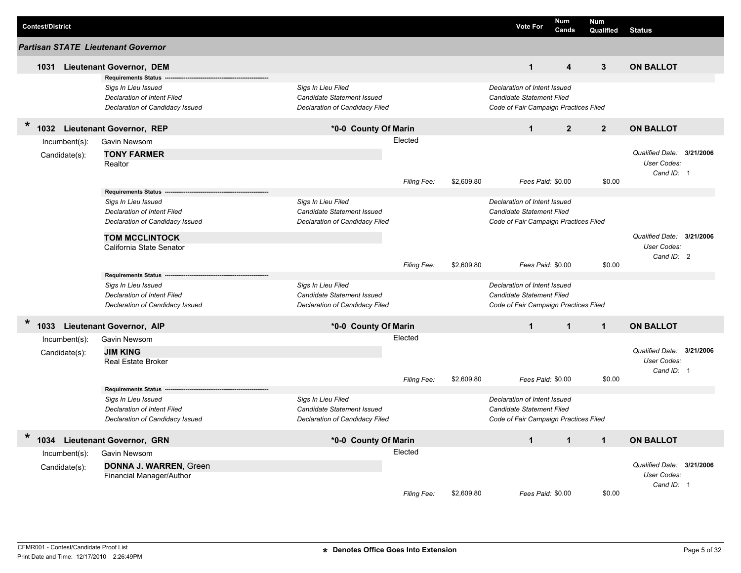| <b>Contest/District</b>            |                                                                                                                     |                                                                                    |            | <b>Vote For</b>                                                                                           | Num<br>Cands            | <b>Num</b><br>Qualified | <b>Status</b>                                          |  |
|------------------------------------|---------------------------------------------------------------------------------------------------------------------|------------------------------------------------------------------------------------|------------|-----------------------------------------------------------------------------------------------------------|-------------------------|-------------------------|--------------------------------------------------------|--|
| Partisan STATE Lieutenant Governor |                                                                                                                     |                                                                                    |            |                                                                                                           |                         |                         |                                                        |  |
|                                    | 1031 Lieutenant Governor, DEM                                                                                       |                                                                                    |            | $\mathbf{1}$                                                                                              | $\overline{\mathbf{4}}$ | $\mathbf{3}$            | <b>ON BALLOT</b>                                       |  |
|                                    | <b>Requirements Status</b><br>Sigs In Lieu Issued<br>Declaration of Intent Filed<br>Declaration of Candidacy Issued | Sigs In Lieu Filed<br>Candidate Statement Issued<br>Declaration of Candidacy Filed |            | Declaration of Intent Issued<br><b>Candidate Statement Filed</b><br>Code of Fair Campaign Practices Filed |                         |                         |                                                        |  |
| $\ast$                             | 1032 Lieutenant Governor, REP                                                                                       | *0-0 County Of Marin                                                               |            | $\mathbf{1}$                                                                                              | $\overline{2}$          | $\overline{2}$          | <b>ON BALLOT</b>                                       |  |
| $Incumbent(s)$ :<br>Candidate(s):  | Gavin Newsom<br><b>TONY FARMER</b><br>Realtor                                                                       | Elected                                                                            |            |                                                                                                           |                         |                         | Qualified Date: 3/21/2006<br>User Codes:<br>Cand ID: 1 |  |
|                                    |                                                                                                                     | Filing Fee:                                                                        | \$2,609.80 | Fees Paid: \$0.00                                                                                         |                         | \$0.00                  |                                                        |  |
|                                    | <b>Requirements Status</b><br>Sigs In Lieu Issued<br>Declaration of Intent Filed<br>Declaration of Candidacy Issued | Sigs In Lieu Filed<br>Candidate Statement Issued<br>Declaration of Candidacy Filed |            | Declaration of Intent Issued<br>Candidate Statement Filed<br>Code of Fair Campaign Practices Filed        |                         |                         |                                                        |  |
|                                    | <b>TOM MCCLINTOCK</b><br>California State Senator                                                                   | Filing Fee:                                                                        | \$2,609.80 | Fees Paid: \$0.00                                                                                         |                         | \$0.00                  | Qualified Date: 3/21/2006<br>User Codes:<br>Cand ID: 2 |  |
|                                    | <b>Requirements Status</b><br>Sigs In Lieu Issued<br>Declaration of Intent Filed<br>Declaration of Candidacy Issued | Sigs In Lieu Filed<br>Candidate Statement Issued<br>Declaration of Candidacy Filed |            | Declaration of Intent Issued<br>Candidate Statement Filed<br>Code of Fair Campaign Practices Filed        |                         |                         |                                                        |  |
| $\star$<br>1033                    | <b>Lieutenant Governor, AIP</b>                                                                                     | *0-0 County Of Marin                                                               |            | $\mathbf{1}$                                                                                              | $\mathbf{1}$            | $\mathbf{1}$            | <b>ON BALLOT</b>                                       |  |
| Incumbent(s):<br>Candidate(s):     | Gavin Newsom<br><b>JIM KING</b><br><b>Real Estate Broker</b>                                                        | Elected<br>Filing Fee:                                                             | \$2,609.80 | Fees Paid: \$0.00                                                                                         |                         | \$0.00                  | Qualified Date: 3/21/2006<br>User Codes:<br>Cand ID: 1 |  |
|                                    | <b>Requirements Status</b>                                                                                          |                                                                                    |            |                                                                                                           |                         |                         |                                                        |  |
|                                    | Sigs In Lieu Issued<br>Declaration of Intent Filed<br>Declaration of Candidacy Issued                               | Sigs In Lieu Filed<br>Candidate Statement Issued<br>Declaration of Candidacy Filed |            | Declaration of Intent Issued<br>Candidate Statement Filed<br>Code of Fair Campaign Practices Filed        |                         |                         |                                                        |  |
| $\ast$<br>1034                     | <b>Lieutenant Governor, GRN</b>                                                                                     | *0-0 County Of Marin                                                               |            | $\blacktriangleleft$                                                                                      | $\mathbf{1}$            | $\blacktriangleleft$    | <b>ON BALLOT</b>                                       |  |
| $Incumbent(s)$ :<br>Candidate(s):  | Gavin Newsom<br><b>DONNA J. WARREN, Green</b><br>Financial Manager/Author                                           | Elected<br>Filing Fee:                                                             | \$2,609.80 | Fees Paid: \$0.00                                                                                         |                         | \$0.00                  | Qualified Date: 3/21/2006<br>User Codes:<br>Cand ID: 1 |  |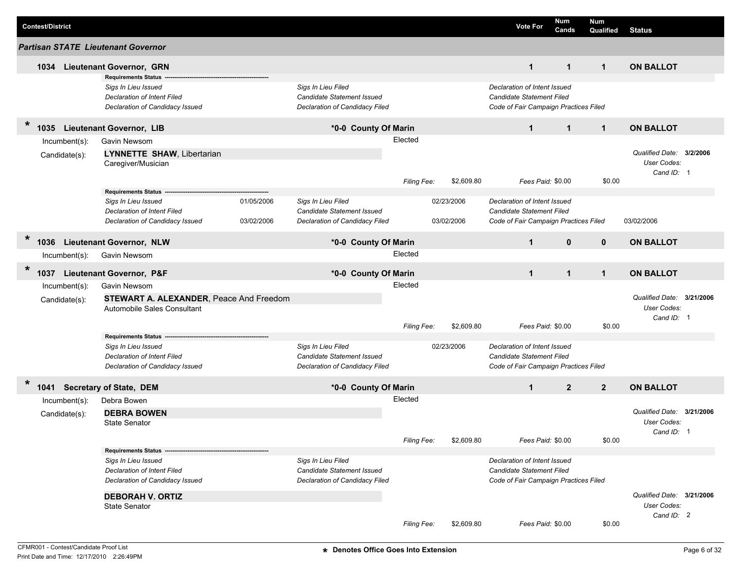|         | <b>Contest/District</b> |                  |                                         |            |                                   |             |            | <b>Vote For</b>                       | Num<br>Cands   | Num<br>Qualified | <b>Status</b>             |           |
|---------|-------------------------|------------------|-----------------------------------------|------------|-----------------------------------|-------------|------------|---------------------------------------|----------------|------------------|---------------------------|-----------|
|         |                         |                  | Partisan STATE Lieutenant Governor      |            |                                   |             |            |                                       |                |                  |                           |           |
|         | 1034                    |                  | <b>Lieutenant Governor, GRN</b>         |            |                                   |             |            | $\mathbf{1}$                          | $\mathbf{1}$   | $\mathbf{1}$     | <b>ON BALLOT</b>          |           |
|         |                         |                  | <b>Requirements Status</b>              |            |                                   |             |            |                                       |                |                  |                           |           |
|         |                         |                  | Sigs In Lieu Issued                     |            | Sigs In Lieu Filed                |             |            | Declaration of Intent Issued          |                |                  |                           |           |
|         |                         |                  | Declaration of Intent Filed             |            | Candidate Statement Issued        |             |            | Candidate Statement Filed             |                |                  |                           |           |
|         |                         |                  | Declaration of Candidacy Issued         |            | Declaration of Candidacy Filed    |             |            | Code of Fair Campaign Practices Filed |                |                  |                           |           |
| $\ast$  | 1035                    |                  | <b>Lieutenant Governor, LIB</b>         |            | *0-0 County Of Marin              |             |            | $\mathbf{1}$                          | $\mathbf{1}$   | $\mathbf{1}$     | <b>ON BALLOT</b>          |           |
|         |                         | Incumbent(s):    | Gavin Newsom                            |            |                                   | Elected     |            |                                       |                |                  |                           |           |
|         |                         | Candidate(s):    | <b>LYNNETTE SHAW, Libertarian</b>       |            |                                   |             |            |                                       |                |                  | Qualified Date:           | 3/2/2006  |
|         |                         |                  | Caregiver/Musician                      |            |                                   |             |            |                                       |                |                  | User Codes:               |           |
|         |                         |                  |                                         |            |                                   | Filing Fee: | \$2,609.80 | Fees Paid: \$0.00                     |                | \$0.00           | Cand ID: 1                |           |
|         |                         |                  | <b>Requirements Status</b>              |            |                                   |             |            |                                       |                |                  |                           |           |
|         |                         |                  | Sigs In Lieu Issued                     | 01/05/2006 | Sigs In Lieu Filed                |             | 02/23/2006 | Declaration of Intent Issued          |                |                  |                           |           |
|         |                         |                  | Declaration of Intent Filed             |            | Candidate Statement Issued        |             |            | Candidate Statement Filed             |                |                  |                           |           |
|         |                         |                  | Declaration of Candidacy Issued         | 03/02/2006 | Declaration of Candidacy Filed    |             | 03/02/2006 | Code of Fair Campaign Practices Filed |                |                  | 03/02/2006                |           |
| $\ast$  | 1036                    |                  | <b>Lieutenant Governor, NLW</b>         |            | *0-0 County Of Marin              |             |            | $\mathbf{1}$                          | $\mathbf{0}$   | $\mathbf{0}$     | <b>ON BALLOT</b>          |           |
|         |                         | $Incumbent(s)$ : | Gavin Newsom                            |            |                                   | Elected     |            |                                       |                |                  |                           |           |
|         |                         |                  |                                         |            |                                   |             |            |                                       |                |                  |                           |           |
| $\star$ | 1037                    |                  | Lieutenant Governor, P&F                |            | *0-0 County Of Marin              |             |            | $\mathbf{1}$                          | $\mathbf{1}$   | $\mathbf{1}$     | <b>ON BALLOT</b>          |           |
|         |                         | Incumbent(s):    | Gavin Newsom                            |            |                                   | Elected     |            |                                       |                |                  |                           |           |
|         |                         | Candidate(s):    | STEWART A. ALEXANDER, Peace And Freedom |            |                                   |             |            |                                       |                |                  | Qualified Date:           | 3/21/2006 |
|         |                         |                  | Automobile Sales Consultant             |            |                                   |             |            |                                       |                |                  | User Codes:               |           |
|         |                         |                  |                                         |            |                                   |             |            |                                       |                |                  | Cand ID: 1                |           |
|         |                         |                  | <b>Requirements Status</b>              |            |                                   | Filing Fee: | \$2,609.80 | Fees Paid: \$0.00                     |                | \$0.00           |                           |           |
|         |                         |                  | Sigs In Lieu Issued                     |            | Sigs In Lieu Filed                |             | 02/23/2006 | Declaration of Intent Issued          |                |                  |                           |           |
|         |                         |                  | Declaration of Intent Filed             |            | Candidate Statement Issued        |             |            | Candidate Statement Filed             |                |                  |                           |           |
|         |                         |                  | Declaration of Candidacy Issued         |            | Declaration of Candidacy Filed    |             |            | Code of Fair Campaign Practices Filed |                |                  |                           |           |
|         |                         |                  |                                         |            |                                   |             |            |                                       |                |                  |                           |           |
| $\ast$  |                         |                  | 1041 Secretary of State, DEM            |            | *0-0 County Of Marin              |             |            | $\mathbf{1}$                          | $\overline{2}$ | $\overline{2}$   | <b>ON BALLOT</b>          |           |
|         |                         | Incumbent(s):    | Debra Bowen                             |            |                                   | Elected     |            |                                       |                |                  |                           |           |
|         |                         | Candidate(s):    | <b>DEBRA BOWEN</b>                      |            |                                   |             |            |                                       |                |                  | Qualified Date: 3/21/2006 |           |
|         |                         |                  | <b>State Senator</b>                    |            |                                   |             |            |                                       |                |                  | User Codes:               |           |
|         |                         |                  |                                         |            |                                   | Filing Fee: | \$2,609.80 | Fees Paid: \$0.00                     |                | \$0.00           | Cand ID: 1                |           |
|         |                         |                  | <b>Requirements Status</b>              |            |                                   |             |            |                                       |                |                  |                           |           |
|         |                         |                  | Sigs In Lieu Issued                     |            | Sigs In Lieu Filed                |             |            | Declaration of Intent Issued          |                |                  |                           |           |
|         |                         |                  | Declaration of Intent Filed             |            | <b>Candidate Statement Issued</b> |             |            | Candidate Statement Filed             |                |                  |                           |           |
|         |                         |                  | Declaration of Candidacy Issued         |            | Declaration of Candidacy Filed    |             |            | Code of Fair Campaign Practices Filed |                |                  |                           |           |
|         |                         |                  | <b>DEBORAH V. ORTIZ</b>                 |            |                                   |             |            |                                       |                |                  | Qualified Date: 3/21/2006 |           |
|         |                         |                  | <b>State Senator</b>                    |            |                                   |             |            |                                       |                |                  | User Codes:               |           |
|         |                         |                  |                                         |            |                                   |             |            |                                       |                |                  | Cand ID: 2                |           |
|         |                         |                  |                                         |            |                                   | Filing Fee: | \$2,609.80 | Fees Paid: \$0.00                     |                | \$0.00           |                           |           |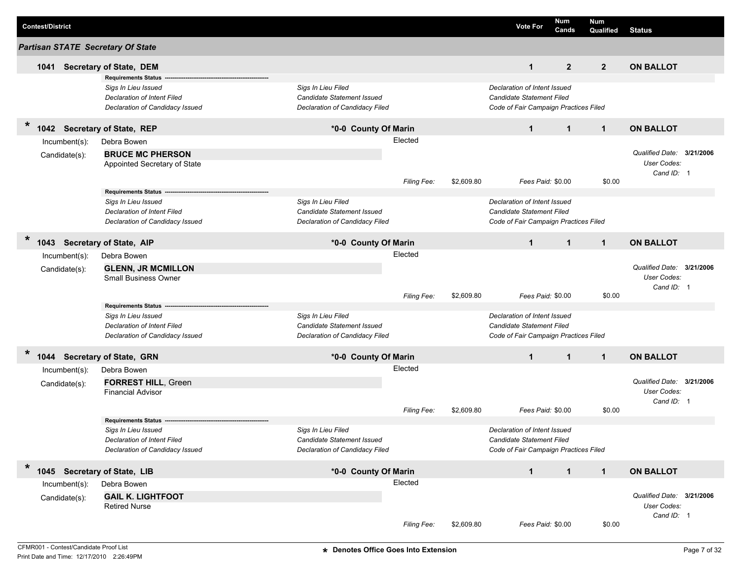| <b>Contest/District</b>                  |                                                                                                                            |                                                                                                  |             |            | <b>Vote For</b>                                                                                           | Num<br>Cands   | <b>Num</b><br>Qualified | <b>Status</b>                                          |  |
|------------------------------------------|----------------------------------------------------------------------------------------------------------------------------|--------------------------------------------------------------------------------------------------|-------------|------------|-----------------------------------------------------------------------------------------------------------|----------------|-------------------------|--------------------------------------------------------|--|
| <b>Partisan STATE Secretary Of State</b> |                                                                                                                            |                                                                                                  |             |            |                                                                                                           |                |                         |                                                        |  |
| 1041                                     | <b>Secretary of State, DEM</b>                                                                                             |                                                                                                  |             |            | $\mathbf{1}$                                                                                              | $\overline{2}$ | $\overline{2}$          | <b>ON BALLOT</b>                                       |  |
|                                          | <b>Requirements Status</b><br>Sigs In Lieu Issued<br>Declaration of Intent Filed<br>Declaration of Candidacy Issued        | Sigs In Lieu Filed<br>Candidate Statement Issued<br><b>Declaration of Candidacy Filed</b>        |             |            | Declaration of Intent Issued<br>Candidate Statement Filed<br>Code of Fair Campaign Practices Filed        |                |                         |                                                        |  |
| $\ast$<br>1042                           | <b>Secretary of State, REP</b>                                                                                             | *0-0 County Of Marin                                                                             |             |            | $\mathbf 1$                                                                                               | $\mathbf{1}$   | $\mathbf{1}$            | <b>ON BALLOT</b>                                       |  |
| Incumbent(s):                            | Debra Bowen                                                                                                                |                                                                                                  | Elected     |            |                                                                                                           |                |                         |                                                        |  |
| Candidate(s):                            | <b>BRUCE MC PHERSON</b><br>Appointed Secretary of State                                                                    |                                                                                                  |             |            |                                                                                                           |                |                         | Qualified Date: 3/21/2006<br>User Codes:<br>Cand ID: 1 |  |
|                                          |                                                                                                                            |                                                                                                  | Filing Fee: | \$2,609.80 | Fees Paid: \$0.00                                                                                         |                | \$0.00                  |                                                        |  |
|                                          | <b>Requirements Status</b><br>Sigs In Lieu Issued<br><b>Declaration of Intent Filed</b><br>Declaration of Candidacy Issued | Sigs In Lieu Filed<br><b>Candidate Statement Issued</b><br><b>Declaration of Candidacy Filed</b> |             |            | Declaration of Intent Issued<br><b>Candidate Statement Filed</b><br>Code of Fair Campaign Practices Filed |                |                         |                                                        |  |
| *<br>1043                                | <b>Secretary of State, AIP</b>                                                                                             | *0-0 County Of Marin                                                                             |             |            | $\mathbf{1}$                                                                                              | $\mathbf{1}$   | $\mathbf{1}$            | <b>ON BALLOT</b>                                       |  |
| Incumbent(s):                            | Debra Bowen                                                                                                                |                                                                                                  | Elected     |            |                                                                                                           |                |                         |                                                        |  |
| Candidate(s):                            | <b>GLENN, JR MCMILLON</b><br><b>Small Business Owner</b>                                                                   |                                                                                                  |             |            |                                                                                                           |                |                         | Qualified Date: 3/21/2006<br>User Codes:<br>Cand ID: 1 |  |
|                                          |                                                                                                                            |                                                                                                  | Filing Fee: | \$2,609.80 | Fees Paid: \$0.00                                                                                         |                | \$0.00                  |                                                        |  |
|                                          | <b>Requirements Status</b><br>Sigs In Lieu Issued<br><b>Declaration of Intent Filed</b><br>Declaration of Candidacy Issued | Sigs In Lieu Filed<br><b>Candidate Statement Issued</b><br>Declaration of Candidacy Filed        |             |            | Declaration of Intent Issued<br><b>Candidate Statement Filed</b><br>Code of Fair Campaign Practices Filed |                |                         |                                                        |  |
| $\ast$<br>1044 Secretary of State, GRN   |                                                                                                                            | *0-0 County Of Marin                                                                             |             |            | $\mathbf{1}$                                                                                              | $\mathbf{1}$   | $\mathbf{1}$            | <b>ON BALLOT</b>                                       |  |
| Incumbent(s):                            | Debra Bowen                                                                                                                |                                                                                                  | Elected     |            |                                                                                                           |                |                         |                                                        |  |
| Candidate(s):                            | <b>FORREST HILL, Green</b><br><b>Financial Advisor</b>                                                                     |                                                                                                  |             |            |                                                                                                           |                |                         | Qualified Date: 3/21/2006<br>User Codes:<br>Cand ID: 1 |  |
|                                          | <b>Requirements Status</b>                                                                                                 |                                                                                                  | Filing Fee: | \$2,609.80 | Fees Paid: \$0.00                                                                                         |                | \$0.00                  |                                                        |  |
|                                          | Sigs In Lieu Issued<br><b>Declaration of Intent Filed</b><br>Declaration of Candidacy Issued                               | Sigs In Lieu Filed<br>Candidate Statement Issued<br>Declaration of Candidacy Filed               |             |            | Declaration of Intent Issued<br>Candidate Statement Filed<br>Code of Fair Campaign Practices Filed        |                |                         |                                                        |  |
| $\ast$<br>1045 Secretary of State, LIB   |                                                                                                                            | *0-0 County Of Marin                                                                             |             |            | $\mathbf 1$                                                                                               | $\mathbf{1}$   | $\mathbf{1}$            | <b>ON BALLOT</b>                                       |  |
| Incumbent(s):                            | Debra Bowen                                                                                                                |                                                                                                  | Elected     |            |                                                                                                           |                |                         |                                                        |  |
| Candidate(s):                            | <b>GAIL K. LIGHTFOOT</b><br><b>Retired Nurse</b>                                                                           |                                                                                                  |             |            |                                                                                                           |                |                         | Qualified Date: 3/21/2006<br>User Codes:<br>Cand ID: 1 |  |
|                                          |                                                                                                                            |                                                                                                  | Filing Fee: | \$2,609.80 | Fees Paid: \$0.00                                                                                         |                | \$0.00                  |                                                        |  |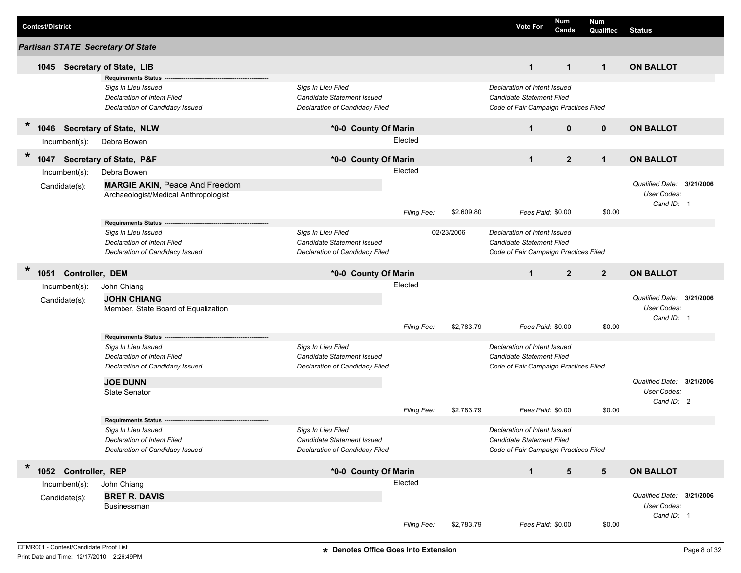| <b>Contest/District</b>                  |                                                   |                                                              |                    |            | <b>Vote For</b>                       | Num<br>Cands   | <b>Num</b><br>Qualified | <b>Status</b>             |           |
|------------------------------------------|---------------------------------------------------|--------------------------------------------------------------|--------------------|------------|---------------------------------------|----------------|-------------------------|---------------------------|-----------|
| <b>Partisan STATE Secretary Of State</b> |                                                   |                                                              |                    |            |                                       |                |                         |                           |           |
| 1045                                     | <b>Secretary of State, LIB</b>                    |                                                              |                    |            | $\mathbf{1}$                          | $\mathbf{1}$   | $\mathbf{1}$            | <b>ON BALLOT</b>          |           |
|                                          | <b>Requirements Status</b>                        |                                                              |                    |            |                                       |                |                         |                           |           |
|                                          | Sigs In Lieu Issued                               | Sigs In Lieu Filed                                           |                    |            | Declaration of Intent Issued          |                |                         |                           |           |
|                                          | Declaration of Intent Filed                       | Candidate Statement Issued<br>Declaration of Candidacy Filed |                    |            | Candidate Statement Filed             |                |                         |                           |           |
|                                          | Declaration of Candidacy Issued                   |                                                              |                    |            | Code of Fair Campaign Practices Filed |                |                         |                           |           |
| $\ast$<br>1046                           | <b>Secretary of State, NLW</b>                    | *0-0 County Of Marin                                         |                    |            | $\mathbf{1}$                          | $\mathbf{0}$   | $\mathbf 0$             | <b>ON BALLOT</b>          |           |
| $Incumbent(s)$ :                         | Debra Bowen                                       |                                                              | Elected            |            |                                       |                |                         |                           |           |
| $\ast$<br>1047                           | <b>Secretary of State, P&amp;F</b>                | *0-0 County Of Marin                                         |                    |            | $\mathbf{1}$                          | $\mathbf{2}$   | $\mathbf{1}$            | <b>ON BALLOT</b>          |           |
| Incumbent(s):                            | Debra Bowen                                       |                                                              | Elected            |            |                                       |                |                         |                           |           |
| Candidate(s):                            | <b>MARGIE AKIN, Peace And Freedom</b>             |                                                              |                    |            |                                       |                |                         | Qualified Date: 3/21/2006 |           |
|                                          | Archaeologist/Medical Anthropologist              |                                                              |                    |            |                                       |                |                         | User Codes:               |           |
|                                          |                                                   |                                                              | Filing Fee:        | \$2,609.80 | Fees Paid: \$0.00                     |                | \$0.00                  | Cand ID: 1                |           |
|                                          | Requirements Status -------                       |                                                              |                    |            |                                       |                |                         |                           |           |
|                                          | Sigs In Lieu Issued                               | Sigs In Lieu Filed                                           |                    | 02/23/2006 | Declaration of Intent Issued          |                |                         |                           |           |
|                                          | Declaration of Intent Filed                       | Candidate Statement Issued                                   |                    |            | Candidate Statement Filed             |                |                         |                           |           |
|                                          | Declaration of Candidacy Issued                   | Declaration of Candidacy Filed                               |                    |            | Code of Fair Campaign Practices Filed |                |                         |                           |           |
| $\ast$<br>1051                           | Controller, DEM                                   | *0-0 County Of Marin                                         |                    |            | $\mathbf{1}$                          | $\overline{2}$ | $\overline{2}$          | <b>ON BALLOT</b>          |           |
| $Incumbent(s)$ :                         | John Chiang                                       |                                                              | Elected            |            |                                       |                |                         |                           |           |
| Candidate(s):                            | <b>JOHN CHIANG</b>                                |                                                              |                    |            |                                       |                |                         | Qualified Date:           | 3/21/2006 |
|                                          | Member, State Board of Equalization               |                                                              |                    |            |                                       |                |                         | <b>User Codes:</b>        |           |
|                                          |                                                   |                                                              | Filing Fee:        | \$2,783.79 | Fees Paid: \$0.00                     |                | \$0.00                  | Cand ID: 1                |           |
|                                          | <b>Requirements Status</b>                        |                                                              |                    |            |                                       |                |                         |                           |           |
|                                          | Sigs In Lieu Issued                               | Sigs In Lieu Filed                                           |                    |            | Declaration of Intent Issued          |                |                         |                           |           |
|                                          | Declaration of Intent Filed                       | Candidate Statement Issued                                   |                    |            | <b>Candidate Statement Filed</b>      |                |                         |                           |           |
|                                          | Declaration of Candidacy Issued                   | Declaration of Candidacy Filed                               |                    |            | Code of Fair Campaign Practices Filed |                |                         |                           |           |
|                                          | <b>JOE DUNN</b>                                   |                                                              |                    |            |                                       |                |                         | Qualified Date: 3/21/2006 |           |
|                                          | <b>State Senator</b>                              |                                                              |                    |            |                                       |                |                         | <b>User Codes:</b>        |           |
|                                          |                                                   |                                                              |                    |            |                                       |                |                         | Cand ID: 2                |           |
|                                          |                                                   |                                                              | <b>Filing Fee:</b> | \$2,783.79 | Fees Paid: \$0.00                     |                | \$0.00                  |                           |           |
|                                          | <b>Requirements Status</b><br>Sias In Lieu Issued | Sias In Lieu Filed                                           |                    |            | Declaration of Intent Issued          |                |                         |                           |           |
|                                          | Declaration of Intent Filed                       | Candidate Statement Issued                                   |                    |            | Candidate Statement Filed             |                |                         |                           |           |
|                                          | Declaration of Candidacy Issued                   | Declaration of Candidacy Filed                               |                    |            | Code of Fair Campaign Practices Filed |                |                         |                           |           |
|                                          |                                                   |                                                              |                    |            |                                       |                |                         |                           |           |
| $\ast$<br>1052 Controller, REP           |                                                   | *0-0 County Of Marin                                         |                    |            | $\mathbf{1}$                          | $\sqrt{5}$     | $5\phantom{.0}$         | <b>ON BALLOT</b>          |           |
| $Incumbent(s)$ :                         | John Chiang                                       |                                                              | Elected            |            |                                       |                |                         |                           |           |
| Candidate(s):                            | <b>BRET R. DAVIS</b>                              |                                                              |                    |            |                                       |                |                         | Qualified Date: 3/21/2006 |           |
|                                          | Businessman                                       |                                                              |                    |            |                                       |                |                         | User Codes:               |           |
|                                          |                                                   |                                                              | Filing Fee:        | \$2,783.79 | Fees Paid: \$0.00                     |                | \$0.00                  | Cand ID: 1                |           |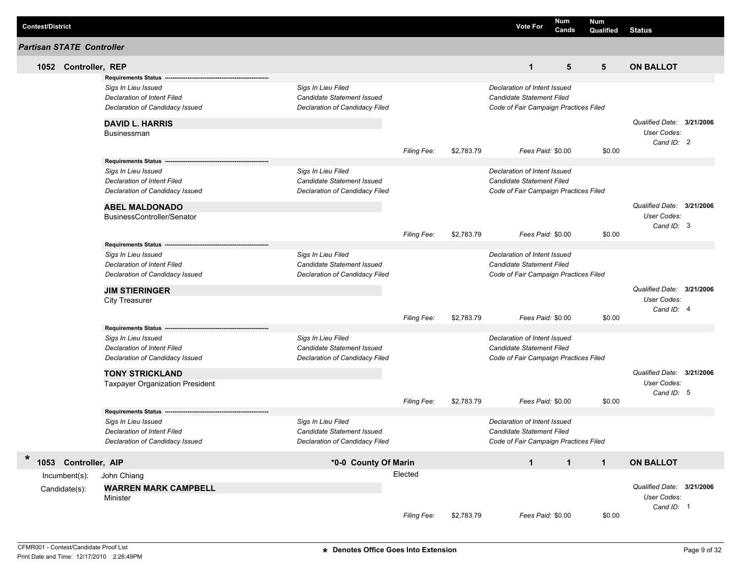|                         |                                  |                                        |                                   |                    |            |                                       | Num          | <b>Num</b>   |                           |  |
|-------------------------|----------------------------------|----------------------------------------|-----------------------------------|--------------------|------------|---------------------------------------|--------------|--------------|---------------------------|--|
| <b>Contest/District</b> |                                  |                                        |                                   |                    |            | <b>Vote For</b>                       | Cands        | Qualified    | <b>Status</b>             |  |
|                         | <b>Partisan STATE Controller</b> |                                        |                                   |                    |            |                                       |              |              |                           |  |
|                         | 1052 Controller, REP             |                                        |                                   |                    |            | $\mathbf{1}$                          | 5            | 5            | <b>ON BALLOT</b>          |  |
|                         |                                  | <b>Requirements Status</b>             |                                   |                    |            |                                       |              |              |                           |  |
|                         |                                  | Sigs In Lieu Issued                    | Sigs In Lieu Filed                |                    |            | Declaration of Intent Issued          |              |              |                           |  |
|                         |                                  | Declaration of Intent Filed            | <b>Candidate Statement Issued</b> |                    |            | Candidate Statement Filed             |              |              |                           |  |
|                         |                                  | Declaration of Candidacy Issued        | Declaration of Candidacy Filed    |                    |            | Code of Fair Campaign Practices Filed |              |              |                           |  |
|                         |                                  | <b>DAVID L. HARRIS</b>                 |                                   |                    |            |                                       |              |              | Qualified Date: 3/21/2006 |  |
|                         |                                  | <b>Businessman</b>                     |                                   |                    |            |                                       |              |              | User Codes:               |  |
|                         |                                  |                                        |                                   |                    |            |                                       |              |              | Cand ID: 2                |  |
|                         |                                  |                                        |                                   | <b>Filing Fee:</b> | \$2,783.79 | Fees Paid: \$0.00                     |              | \$0.00       |                           |  |
|                         |                                  | <b>Requirements Status</b>             |                                   |                    |            |                                       |              |              |                           |  |
|                         |                                  | Sigs In Lieu Issued                    | Sigs In Lieu Filed                |                    |            | Declaration of Intent Issued          |              |              |                           |  |
|                         |                                  | Declaration of Intent Filed            | <b>Candidate Statement Issued</b> |                    |            | <b>Candidate Statement Filed</b>      |              |              |                           |  |
|                         |                                  | Declaration of Candidacy Issued        | Declaration of Candidacy Filed    |                    |            | Code of Fair Campaign Practices Filed |              |              |                           |  |
|                         |                                  | <b>ABEL MALDONADO</b>                  |                                   |                    |            |                                       |              |              | Qualified Date: 3/21/2006 |  |
|                         |                                  | BusinessController/Senator             |                                   |                    |            |                                       |              |              | User Codes:               |  |
|                         |                                  |                                        |                                   |                    |            |                                       |              |              | Cand ID: 3                |  |
|                         |                                  |                                        |                                   | <b>Filing Fee:</b> | \$2,783.79 | Fees Paid: \$0.00                     |              | \$0.00       |                           |  |
|                         |                                  | <b>Requirements Status</b>             |                                   |                    |            |                                       |              |              |                           |  |
|                         |                                  | Sigs In Lieu Issued                    | Sigs In Lieu Filed                |                    |            | Declaration of Intent Issued          |              |              |                           |  |
|                         |                                  | Declaration of Intent Filed            | Candidate Statement Issued        |                    |            | Candidate Statement Filed             |              |              |                           |  |
|                         |                                  | Declaration of Candidacy Issued        | Declaration of Candidacy Filed    |                    |            | Code of Fair Campaign Practices Filed |              |              |                           |  |
|                         |                                  | <b>JIM STIERINGER</b>                  |                                   |                    |            |                                       |              |              | Qualified Date: 3/21/2006 |  |
|                         |                                  | <b>City Treasurer</b>                  |                                   |                    |            |                                       |              |              | User Codes:               |  |
|                         |                                  |                                        |                                   |                    |            |                                       |              |              | Cand ID: 4                |  |
|                         |                                  |                                        |                                   | Filing Fee:        | \$2,783.79 | Fees Paid: \$0.00                     |              | \$0.00       |                           |  |
|                         |                                  | <b>Requirements Status</b>             |                                   |                    |            |                                       |              |              |                           |  |
|                         |                                  | Sigs In Lieu Issued                    | Sigs In Lieu Filed                |                    |            | Declaration of Intent Issued          |              |              |                           |  |
|                         |                                  | Declaration of Intent Filed            | <b>Candidate Statement Issued</b> |                    |            | Candidate Statement Filed             |              |              |                           |  |
|                         |                                  | Declaration of Candidacy Issued        | Declaration of Candidacy Filed    |                    |            | Code of Fair Campaign Practices Filed |              |              |                           |  |
|                         |                                  | <b>TONY STRICKLAND</b>                 |                                   |                    |            |                                       |              |              | Qualified Date: 3/21/2006 |  |
|                         |                                  | <b>Taxpayer Organization President</b> |                                   |                    |            |                                       |              |              | User Codes:               |  |
|                         |                                  |                                        |                                   | <b>Filing Fee:</b> | \$2,783.79 | Fees Paid: \$0.00                     |              | \$0.00       | Cand ID: 5                |  |
|                         |                                  | <b>Requirements Status</b>             |                                   |                    |            |                                       |              |              |                           |  |
|                         |                                  | Sigs In Lieu Issued                    | Sigs In Lieu Filed                |                    |            | Declaration of Intent Issued          |              |              |                           |  |
|                         |                                  | Declaration of Intent Filed            | Candidate Statement Issued        |                    |            | Candidate Statement Filed             |              |              |                           |  |
|                         |                                  | Declaration of Candidacy Issued        | Declaration of Candidacy Filed    |                    |            | Code of Fair Campaign Practices Filed |              |              |                           |  |
|                         |                                  |                                        |                                   |                    |            |                                       |              |              |                           |  |
| $\ast$                  | 1053 Controller, AIP             |                                        | *0-0 County Of Marin              |                    |            | $\mathbf{1}$                          | $\mathbf{1}$ | $\mathbf{1}$ | <b>ON BALLOT</b>          |  |
|                         | Incumbent(s):                    | John Chiang                            |                                   | Elected            |            |                                       |              |              |                           |  |
|                         | Candidate(s):                    | <b>WARREN MARK CAMPBELL</b>            |                                   |                    |            |                                       |              |              | Qualified Date: 3/21/2006 |  |
|                         |                                  | Minister                               |                                   |                    |            |                                       |              |              | User Codes:               |  |
|                         |                                  |                                        |                                   |                    |            |                                       |              |              | Cand ID: 1                |  |
|                         |                                  |                                        |                                   | Filing Fee:        | \$2,783.79 | Fees Paid: \$0.00                     |              | \$0.00       |                           |  |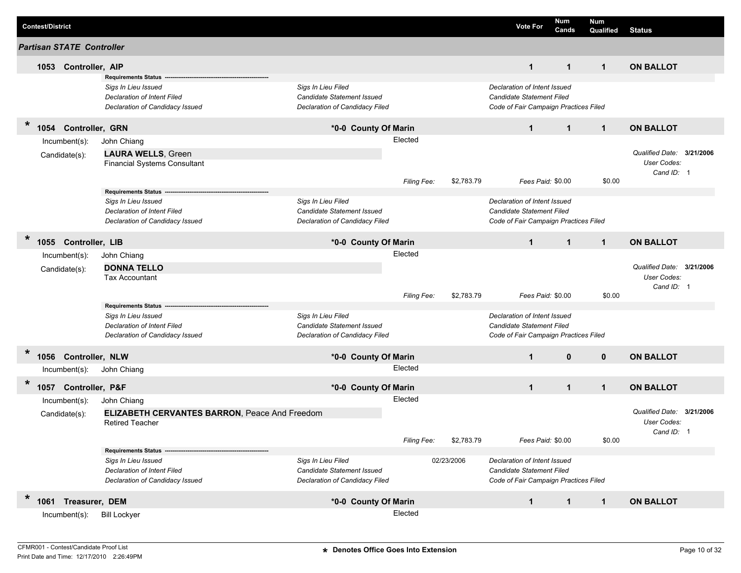| <b>Contest/District</b> |      |                                  |                                                                |                                                              |             |            | <b>Vote For</b>                                                    | Num<br>Cands      | <b>Num</b><br>Qualified | <b>Status</b>             |  |
|-------------------------|------|----------------------------------|----------------------------------------------------------------|--------------------------------------------------------------|-------------|------------|--------------------------------------------------------------------|-------------------|-------------------------|---------------------------|--|
|                         |      | <b>Partisan STATE Controller</b> |                                                                |                                                              |             |            |                                                                    |                   |                         |                           |  |
|                         | 1053 | Controller, AIP                  |                                                                |                                                              |             |            | $\mathbf{1}$                                                       | $\mathbf 1$       | $\mathbf{1}$            | <b>ON BALLOT</b>          |  |
|                         |      |                                  | <b>Requirements Status</b>                                     |                                                              |             |            |                                                                    |                   |                         |                           |  |
|                         |      |                                  | Sigs In Lieu Issued                                            | Sigs In Lieu Filed                                           |             |            | Declaration of Intent Issued                                       |                   |                         |                           |  |
|                         |      |                                  | Declaration of Intent Filed<br>Declaration of Candidacy Issued | Candidate Statement Issued<br>Declaration of Candidacy Filed |             |            | Candidate Statement Filed<br>Code of Fair Campaign Practices Filed |                   |                         |                           |  |
|                         |      |                                  |                                                                |                                                              |             |            |                                                                    |                   |                         |                           |  |
| $\ast$                  | 1054 | Controller, GRN                  |                                                                | *0-0 County Of Marin                                         |             |            | $\mathbf{1}$                                                       | $\mathbf{1}$      | $\mathbf{1}$            | <b>ON BALLOT</b>          |  |
|                         |      | Incumbent(s):                    | John Chiang                                                    |                                                              | Elected     |            |                                                                    |                   |                         |                           |  |
|                         |      | Candidate(s):                    | <b>LAURA WELLS, Green</b>                                      |                                                              |             |            |                                                                    |                   |                         | Qualified Date: 3/21/2006 |  |
|                         |      |                                  | <b>Financial Systems Consultant</b>                            |                                                              |             |            |                                                                    |                   |                         | User Codes:               |  |
|                         |      |                                  |                                                                |                                                              |             |            |                                                                    |                   |                         | Cand ID: 1                |  |
|                         |      |                                  | <b>Requirements Status</b>                                     |                                                              | Filing Fee: | \$2,783.79 |                                                                    | Fees Paid: \$0.00 | \$0.00                  |                           |  |
|                         |      |                                  | Sigs In Lieu Issued                                            | Sigs In Lieu Filed                                           |             |            | Declaration of Intent Issued                                       |                   |                         |                           |  |
|                         |      |                                  | <b>Declaration of Intent Filed</b>                             | Candidate Statement Issued                                   |             |            | <b>Candidate Statement Filed</b>                                   |                   |                         |                           |  |
|                         |      |                                  | Declaration of Candidacy Issued                                | Declaration of Candidacy Filed                               |             |            | Code of Fair Campaign Practices Filed                              |                   |                         |                           |  |
| *                       |      | 1055 Controller, LIB             |                                                                | *0-0 County Of Marin                                         |             |            | $\mathbf{1}$                                                       | $\mathbf{1}$      | $\mathbf{1}$            | <b>ON BALLOT</b>          |  |
|                         |      |                                  |                                                                |                                                              | Elected     |            |                                                                    |                   |                         |                           |  |
|                         |      | Incumbent(s):                    | John Chiang                                                    |                                                              |             |            |                                                                    |                   |                         | Qualified Date: 3/21/2006 |  |
|                         |      | Candidate(s):                    | <b>DONNA TELLO</b><br><b>Tax Accountant</b>                    |                                                              |             |            |                                                                    |                   |                         | User Codes:               |  |
|                         |      |                                  |                                                                |                                                              |             |            |                                                                    |                   |                         | Cand ID: 1                |  |
|                         |      |                                  |                                                                |                                                              | Filing Fee: | \$2,783.79 |                                                                    | Fees Paid: \$0.00 | \$0.00                  |                           |  |
|                         |      |                                  | <b>Requirements Status</b>                                     |                                                              |             |            |                                                                    |                   |                         |                           |  |
|                         |      |                                  | Sigs In Lieu Issued                                            | Sigs In Lieu Filed                                           |             |            | Declaration of Intent Issued                                       |                   |                         |                           |  |
|                         |      |                                  | <b>Declaration of Intent Filed</b>                             | Candidate Statement Issued                                   |             |            | Candidate Statement Filed                                          |                   |                         |                           |  |
|                         |      |                                  | Declaration of Candidacy Issued                                | Declaration of Candidacy Filed                               |             |            | Code of Fair Campaign Practices Filed                              |                   |                         |                           |  |
| *                       |      | 1056 Controller, NLW             |                                                                | *0-0 County Of Marin                                         |             |            | $\mathbf{1}$                                                       | $\mathbf{0}$      | $\mathbf{0}$            | <b>ON BALLOT</b>          |  |
|                         |      | Incumbent(s):                    | John Chiang                                                    |                                                              | Elected     |            |                                                                    |                   |                         |                           |  |
| $\ast$                  |      | 1057 Controller, P&F             |                                                                | *0-0 County Of Marin                                         |             |            | $\mathbf{1}$                                                       | $\mathbf{1}$      | $\mathbf 1$             | <b>ON BALLOT</b>          |  |
|                         |      | Incumbent(s):                    | John Chiang                                                    |                                                              | Elected     |            |                                                                    |                   |                         |                           |  |
|                         |      | Candidate(s):                    | <b>ELIZABETH CERVANTES BARRON, Peace And Freedom</b>           |                                                              |             |            |                                                                    |                   |                         | Qualified Date: 3/21/2006 |  |
|                         |      |                                  | <b>Retired Teacher</b>                                         |                                                              |             |            |                                                                    |                   |                         | <b>User Codes:</b>        |  |
|                         |      |                                  |                                                                |                                                              |             |            |                                                                    |                   |                         | Cand ID: 1                |  |
|                         |      |                                  |                                                                |                                                              | Filing Fee: | \$2,783.79 |                                                                    | Fees Paid: \$0.00 | \$0.00                  |                           |  |
|                         |      |                                  | <b>Requirements Status</b>                                     |                                                              |             |            |                                                                    |                   |                         |                           |  |
|                         |      |                                  | Sigs In Lieu Issued<br>Declaration of Intent Filed             | Sigs In Lieu Filed<br>Candidate Statement Issued             |             | 02/23/2006 | Declaration of Intent Issued<br>Candidate Statement Filed          |                   |                         |                           |  |
|                         |      |                                  | Declaration of Candidacy Issued                                | Declaration of Candidacy Filed                               |             |            | Code of Fair Campaign Practices Filed                              |                   |                         |                           |  |
|                         |      |                                  |                                                                |                                                              |             |            |                                                                    |                   |                         |                           |  |
| *                       |      | 1061 Treasurer, DEM              |                                                                | *0-0 County Of Marin                                         |             |            | $\mathbf{1}$                                                       | $\mathbf{1}$      | $\mathbf 1$             | <b>ON BALLOT</b>          |  |
|                         |      | $lncumbent(s)$ :                 | <b>Bill Lockyer</b>                                            |                                                              | Elected     |            |                                                                    |                   |                         |                           |  |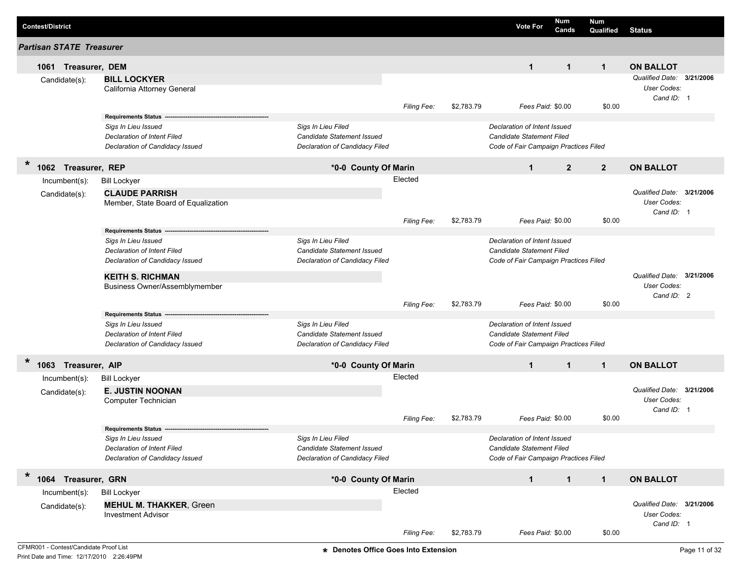| <b>Contest/District</b>              |                                                                                             |                                                                                           |                    |            | <b>Vote For</b>                                                                                    | Num<br>Cands   | <b>Num</b><br>Qualified | <b>Status</b>                                          |  |
|--------------------------------------|---------------------------------------------------------------------------------------------|-------------------------------------------------------------------------------------------|--------------------|------------|----------------------------------------------------------------------------------------------------|----------------|-------------------------|--------------------------------------------------------|--|
| <b>Partisan STATE Treasurer</b>      |                                                                                             |                                                                                           |                    |            |                                                                                                    |                |                         |                                                        |  |
| 1061 Treasurer, DEM<br>Candidate(s): | <b>BILL LOCKYER</b>                                                                         |                                                                                           |                    |            | $\mathbf{1}$                                                                                       | $\mathbf{1}$   | $\mathbf{1}$            | <b>ON BALLOT</b><br>Qualified Date: 3/21/2006          |  |
|                                      | California Attorney General                                                                 |                                                                                           |                    |            |                                                                                                    |                |                         | User Codes:<br>Cand ID: 1                              |  |
|                                      | <b>Requirements Status</b>                                                                  |                                                                                           | Filing Fee:        | \$2,783.79 | Fees Paid: \$0.00                                                                                  |                | \$0.00                  |                                                        |  |
|                                      | Sigs In Lieu Issued<br>Declaration of Intent Filed<br>Declaration of Candidacy Issued       | Sigs In Lieu Filed<br><b>Candidate Statement Issued</b><br>Declaration of Candidacy Filed |                    |            | Declaration of Intent Issued<br>Candidate Statement Filed<br>Code of Fair Campaign Practices Filed |                |                         |                                                        |  |
| $\ast$<br>1062 Treasurer, REP        |                                                                                             | *0-0 County Of Marin                                                                      |                    |            | $\mathbf{1}$                                                                                       | $\overline{2}$ | $\overline{2}$          | <b>ON BALLOT</b>                                       |  |
| $Incumbent(s)$ :                     | <b>Bill Lockyer</b>                                                                         |                                                                                           | Elected            |            |                                                                                                    |                |                         |                                                        |  |
| Candidate(s):                        | <b>CLAUDE PARRISH</b><br>Member, State Board of Equalization                                |                                                                                           |                    |            |                                                                                                    |                |                         | Qualified Date: 3/21/2006<br>User Codes:<br>Cand ID: 1 |  |
|                                      |                                                                                             |                                                                                           | Filing Fee:        | \$2,783.79 | Fees Paid: \$0.00                                                                                  |                | \$0.00                  |                                                        |  |
|                                      | <b>Requirements Status</b><br>Sigs In Lieu Issued<br>Declaration of Intent Filed            | Sigs In Lieu Filed<br>Candidate Statement Issued                                          |                    |            | Declaration of Intent Issued<br><b>Candidate Statement Filed</b>                                   |                |                         |                                                        |  |
|                                      | Declaration of Candidacy Issued<br><b>KEITH S. RICHMAN</b><br>Business Owner/Assemblymember | Declaration of Candidacy Filed                                                            |                    |            | Code of Fair Campaign Practices Filed                                                              |                |                         | Qualified Date: 3/21/2006<br>User Codes:<br>Cand ID: 2 |  |
|                                      | <b>Requirements Status</b>                                                                  |                                                                                           | Filing Fee:        | \$2,783.79 | Fees Paid: \$0.00                                                                                  |                | \$0.00                  |                                                        |  |
|                                      | Sigs In Lieu Issued<br>Declaration of Intent Filed<br>Declaration of Candidacy Issued       | Sigs In Lieu Filed<br><b>Candidate Statement Issued</b><br>Declaration of Candidacy Filed |                    |            | Declaration of Intent Issued<br>Candidate Statement Filed<br>Code of Fair Campaign Practices Filed |                |                         |                                                        |  |
| $\ast$<br>1063 Treasurer, AIP        |                                                                                             | *0-0 County Of Marin                                                                      |                    |            | $\mathbf 1$                                                                                        | $\mathbf{1}$   | $\mathbf{1}$            | <b>ON BALLOT</b>                                       |  |
| Incumbent(s):                        | <b>Bill Lockyer</b>                                                                         |                                                                                           | Elected            |            |                                                                                                    |                |                         |                                                        |  |
| Candidate(s):                        | <b>E. JUSTIN NOONAN</b><br>Computer Technician                                              |                                                                                           |                    |            |                                                                                                    |                |                         | Qualified Date: 3/21/2006<br>User Codes:<br>Cand ID: 1 |  |
|                                      | <b>Requirements Status</b>                                                                  |                                                                                           | <b>Filing Fee:</b> | \$2,783.79 | Fees Paid: \$0.00                                                                                  |                | \$0.00                  |                                                        |  |
|                                      | Sigs In Lieu Issued<br>Declaration of Intent Filed<br>Declaration of Candidacy Issued       | Sigs In Lieu Filed<br>Candidate Statement Issued<br>Declaration of Candidacy Filed        |                    |            | Declaration of Intent Issued<br>Candidate Statement Filed<br>Code of Fair Campaign Practices Filed |                |                         |                                                        |  |
| $\ast$<br>1064 Treasurer, GRN        |                                                                                             | *0-0 County Of Marin                                                                      |                    |            | $\mathbf 1$                                                                                        | $\mathbf{1}$   | $\mathbf{1}$            | <b>ON BALLOT</b>                                       |  |
| $Incumbent(s)$ :                     | <b>Bill Lockyer</b>                                                                         |                                                                                           | Elected            |            |                                                                                                    |                |                         |                                                        |  |
| Candidate(s):                        | <b>MEHUL M. THAKKER, Green</b><br><b>Investment Advisor</b>                                 |                                                                                           |                    |            |                                                                                                    |                |                         | Qualified Date: 3/21/2006<br>User Codes:               |  |
|                                      |                                                                                             |                                                                                           | Filing Fee:        | \$2,783.79 | Fees Paid: \$0.00                                                                                  |                | \$0.00                  | Cand ID: 1                                             |  |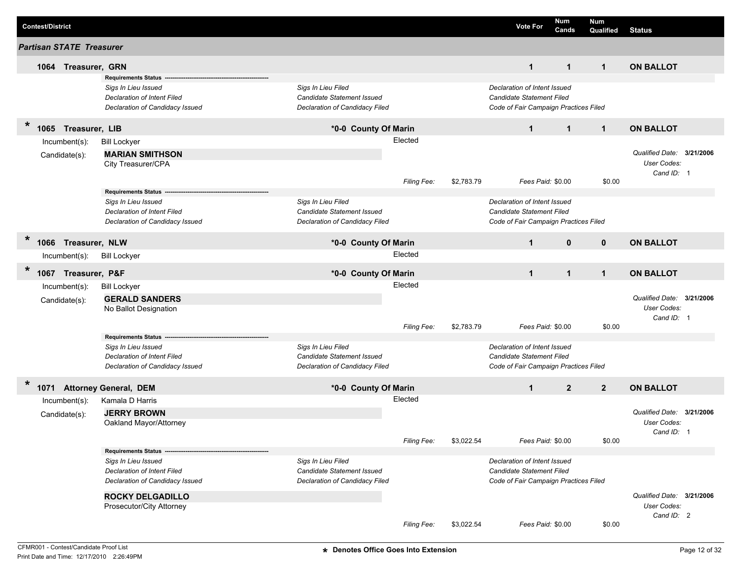|         | <b>Contest/District</b>         |                                                                                                                        |                                                                                    |                    |            | <b>Vote For</b>                                                                                    | Num<br>Cands   | <b>Num</b><br>Qualified | <b>Status</b>             |  |
|---------|---------------------------------|------------------------------------------------------------------------------------------------------------------------|------------------------------------------------------------------------------------|--------------------|------------|----------------------------------------------------------------------------------------------------|----------------|-------------------------|---------------------------|--|
|         | <b>Partisan STATE Treasurer</b> |                                                                                                                        |                                                                                    |                    |            |                                                                                                    |                |                         |                           |  |
|         | Treasurer, GRN<br>1064          |                                                                                                                        |                                                                                    |                    |            | $\mathbf{1}$                                                                                       | $\mathbf{1}$   | $\mathbf{1}$            | <b>ON BALLOT</b>          |  |
|         |                                 | Requirements Status --<br>Sigs In Lieu Issued<br><b>Declaration of Intent Filed</b><br>Declaration of Candidacy Issued | Sigs In Lieu Filed<br>Candidate Statement Issued<br>Declaration of Candidacy Filed |                    |            | Declaration of Intent Issued<br>Candidate Statement Filed<br>Code of Fair Campaign Practices Filed |                |                         |                           |  |
| $\star$ | 1065<br>Treasurer, LIB          |                                                                                                                        | *0-0 County Of Marin                                                               |                    |            | $\mathbf{1}$                                                                                       | $\mathbf{1}$   | $\mathbf{1}$            | <b>ON BALLOT</b>          |  |
|         | Incumbent(s):                   | <b>Bill Lockyer</b>                                                                                                    |                                                                                    | Elected            |            |                                                                                                    |                |                         |                           |  |
|         | Candidate(s):                   | <b>MARIAN SMITHSON</b>                                                                                                 |                                                                                    |                    |            |                                                                                                    |                |                         | Qualified Date: 3/21/2006 |  |
|         |                                 | City Treasurer/CPA                                                                                                     |                                                                                    |                    |            |                                                                                                    |                |                         | User Codes:               |  |
|         |                                 |                                                                                                                        |                                                                                    |                    |            |                                                                                                    |                |                         | Cand ID: 1                |  |
|         |                                 | <b>Requirements Status</b>                                                                                             |                                                                                    | <b>Filing Fee:</b> | \$2,783.79 | Fees Paid: \$0.00                                                                                  |                | \$0.00                  |                           |  |
|         |                                 | Sigs In Lieu Issued                                                                                                    | Sigs In Lieu Filed                                                                 |                    |            | Declaration of Intent Issued                                                                       |                |                         |                           |  |
|         |                                 | <b>Declaration of Intent Filed</b>                                                                                     | Candidate Statement Issued                                                         |                    |            | Candidate Statement Filed                                                                          |                |                         |                           |  |
|         |                                 | Declaration of Candidacy Issued                                                                                        | Declaration of Candidacy Filed                                                     |                    |            | Code of Fair Campaign Practices Filed                                                              |                |                         |                           |  |
| $\ast$  | Treasurer, NLW<br>1066          |                                                                                                                        | *0-0 County Of Marin                                                               |                    |            | $\mathbf{1}$                                                                                       | $\mathbf{0}$   | $\mathbf{0}$            | <b>ON BALLOT</b>          |  |
|         | Incumbent(s):                   | <b>Bill Lockyer</b>                                                                                                    |                                                                                    | Elected            |            |                                                                                                    |                |                         |                           |  |
| $\star$ | 1067<br>Treasurer, P&F          |                                                                                                                        | *0-0 County Of Marin                                                               |                    |            | $\mathbf{1}$                                                                                       | $\mathbf{1}$   | $\mathbf{1}$            | <b>ON BALLOT</b>          |  |
|         | Incumbent(s):                   |                                                                                                                        |                                                                                    | Elected            |            |                                                                                                    |                |                         |                           |  |
|         |                                 | <b>Bill Lockyer</b>                                                                                                    |                                                                                    |                    |            |                                                                                                    |                |                         | Qualified Date: 3/21/2006 |  |
|         | Candidate(s):                   | <b>GERALD SANDERS</b><br>No Ballot Designation                                                                         |                                                                                    |                    |            |                                                                                                    |                |                         | User Codes:               |  |
|         |                                 |                                                                                                                        |                                                                                    |                    |            |                                                                                                    |                |                         | Cand ID: 1                |  |
|         |                                 |                                                                                                                        |                                                                                    | <b>Filing Fee:</b> | \$2,783.79 | Fees Paid: \$0.00                                                                                  |                | \$0.00                  |                           |  |
|         |                                 | <b>Requirements Status</b>                                                                                             |                                                                                    |                    |            |                                                                                                    |                |                         |                           |  |
|         |                                 | Sigs In Lieu Issued                                                                                                    | Sigs In Lieu Filed                                                                 |                    |            | Declaration of Intent Issued                                                                       |                |                         |                           |  |
|         |                                 | <b>Declaration of Intent Filed</b><br>Declaration of Candidacy Issued                                                  | Candidate Statement Issued<br>Declaration of Candidacy Filed                       |                    |            | Candidate Statement Filed<br>Code of Fair Campaign Practices Filed                                 |                |                         |                           |  |
|         |                                 |                                                                                                                        |                                                                                    |                    |            |                                                                                                    |                |                         |                           |  |
| $\ast$  | 1071 Attorney General, DEM      |                                                                                                                        | *0-0 County Of Marin                                                               |                    |            | $\mathbf{1}$                                                                                       | $\overline{2}$ | $\overline{2}$          | <b>ON BALLOT</b>          |  |
|         | Incumbent(s):                   | Kamala D Harris                                                                                                        |                                                                                    | Elected            |            |                                                                                                    |                |                         |                           |  |
|         | Candidate(s):                   | <b>JERRY BROWN</b>                                                                                                     |                                                                                    |                    |            |                                                                                                    |                |                         | Qualified Date: 3/21/2006 |  |
|         |                                 | Oakland Mayor/Attorney                                                                                                 |                                                                                    |                    |            |                                                                                                    |                |                         | <b>User Codes:</b>        |  |
|         |                                 |                                                                                                                        |                                                                                    | Filing Fee:        | \$3,022.54 | Fees Paid: \$0.00                                                                                  |                | \$0.00                  | Cand ID: 1                |  |
|         |                                 | Requirements Status --                                                                                                 |                                                                                    |                    |            |                                                                                                    |                |                         |                           |  |
|         |                                 | Sigs In Lieu Issued                                                                                                    | Sigs In Lieu Filed                                                                 |                    |            | Declaration of Intent Issued                                                                       |                |                         |                           |  |
|         |                                 | Declaration of Intent Filed                                                                                            | Candidate Statement Issued                                                         |                    |            | Candidate Statement Filed                                                                          |                |                         |                           |  |
|         |                                 | Declaration of Candidacy Issued                                                                                        | Declaration of Candidacy Filed                                                     |                    |            | Code of Fair Campaign Practices Filed                                                              |                |                         |                           |  |
|         |                                 | <b>ROCKY DELGADILLO</b>                                                                                                |                                                                                    |                    |            |                                                                                                    |                |                         | Qualified Date: 3/21/2006 |  |
|         |                                 | Prosecutor/City Attorney                                                                                               |                                                                                    |                    |            |                                                                                                    |                |                         | User Codes:               |  |
|         |                                 |                                                                                                                        |                                                                                    |                    |            |                                                                                                    |                |                         | Cand ID: 2                |  |
|         |                                 |                                                                                                                        |                                                                                    | Filing Fee:        | \$3,022.54 | Fees Paid: \$0.00                                                                                  |                | \$0.00                  |                           |  |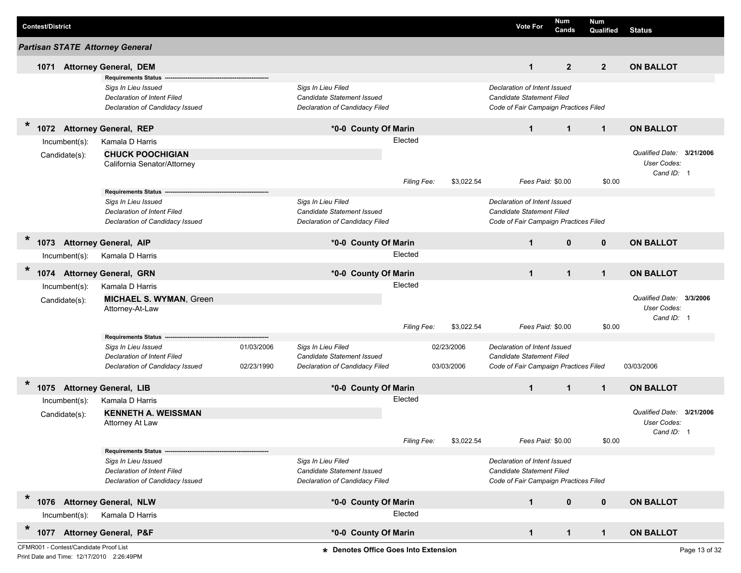| <b>Contest/District</b>                |                                                                                                                            |                          |                                                                                           |                        |                          | <b>Vote For</b>                                                                                                         | Num<br>Cands   | <b>Num</b><br>Qualified | <b>Status</b>                                                 |               |
|----------------------------------------|----------------------------------------------------------------------------------------------------------------------------|--------------------------|-------------------------------------------------------------------------------------------|------------------------|--------------------------|-------------------------------------------------------------------------------------------------------------------------|----------------|-------------------------|---------------------------------------------------------------|---------------|
| <b>Partisan STATE Attorney General</b> |                                                                                                                            |                          |                                                                                           |                        |                          |                                                                                                                         |                |                         |                                                               |               |
| 1071                                   | <b>Attorney General, DEM</b>                                                                                               |                          |                                                                                           |                        |                          | $\mathbf{1}$                                                                                                            | $\overline{2}$ | $2^{\circ}$             | <b>ON BALLOT</b>                                              |               |
|                                        | <b>Requirements Status</b><br>Sigs In Lieu Issued<br>Declaration of Intent Filed<br>Declaration of Candidacy Issued        |                          | Sigs In Lieu Filed<br>Candidate Statement Issued<br>Declaration of Candidacy Filed        |                        |                          | Declaration of Intent Issued<br><b>Candidate Statement Filed</b><br>Code of Fair Campaign Practices Filed               |                |                         |                                                               |               |
| $\ast$<br>1072                         | <b>Attorney General, REP</b>                                                                                               |                          | *0-0 County Of Marin                                                                      |                        |                          | $\mathbf{1}$                                                                                                            | $\mathbf{1}$   | $\mathbf{1}$            | <b>ON BALLOT</b>                                              |               |
| Incumbent(s):<br>Candidate(s):         | Kamala D Harris<br><b>CHUCK POOCHIGIAN</b><br>California Senator/Attorney                                                  |                          |                                                                                           | Elected<br>Filing Fee: | \$3,022.54               | Fees Paid: \$0.00                                                                                                       |                | \$0.00                  | Qualified Date: 3/21/2006<br>User Codes:<br>Cand ID: 1        |               |
|                                        | <b>Requirements Status</b><br>Sigs In Lieu Issued<br><b>Declaration of Intent Filed</b><br>Declaration of Candidacy Issued |                          | Sigs In Lieu Filed<br>Candidate Statement Issued<br>Declaration of Candidacy Filed        |                        |                          | Declaration of Intent Issued<br>Candidate Statement Filed<br>Code of Fair Campaign Practices Filed                      |                |                         |                                                               |               |
| *<br>1073                              | <b>Attorney General, AIP</b>                                                                                               |                          | *0-0 County Of Marin                                                                      |                        |                          | $\mathbf{1}$                                                                                                            | $\mathbf 0$    | $\mathbf 0$             | <b>ON BALLOT</b>                                              |               |
| Incumbent(s):                          | Kamala D Harris                                                                                                            |                          |                                                                                           | Elected                |                          |                                                                                                                         |                |                         |                                                               |               |
| $\star$<br>1074                        | <b>Attorney General, GRN</b>                                                                                               |                          | *0-0 County Of Marin                                                                      |                        |                          | $\mathbf{1}$                                                                                                            | $\mathbf{1}$   | $\mathbf 1$             | <b>ON BALLOT</b>                                              |               |
| Incumbent(s):<br>Candidate(s):         | Kamala D Harris<br><b>MICHAEL S. WYMAN, Green</b><br>Attorney-At-Law                                                       |                          |                                                                                           | Elected<br>Filing Fee: | \$3,022.54               | Fees Paid: \$0.00                                                                                                       |                | \$0.00                  | <b>Qualified Date:</b><br><b>User Codes:</b><br>Cand ID: 1    | 3/3/2006      |
|                                        | <b>Requirements Status</b><br>Sigs In Lieu Issued<br><b>Declaration of Intent Filed</b><br>Declaration of Candidacy Issued | 01/03/2006<br>02/23/1990 | Sigs In Lieu Filed<br><b>Candidate Statement Issued</b><br>Declaration of Candidacy Filed |                        | 02/23/2006<br>03/03/2006 | Declaration of Intent Issued<br><b>Candidate Statement Filed</b><br>Code of Fair Campaign Practices Filed               |                |                         | 03/03/2006                                                    |               |
| $\ast$<br>1075 Attorney General, LIB   |                                                                                                                            |                          | *0-0 County Of Marin                                                                      |                        |                          | $\mathbf{1}$                                                                                                            | $\mathbf{1}$   | $\mathbf 1$             | <b>ON BALLOT</b>                                              |               |
| Incumbent(s):<br>Candidate(s):         | Kamala D Harris<br><b>KENNETH A. WEISSMAN</b><br>Attorney At Law                                                           |                          |                                                                                           | Elected                |                          |                                                                                                                         |                |                         | Qualified Date: 3/21/2006<br><b>User Codes:</b><br>Cand ID: 1 |               |
|                                        | <b>Requirements Status</b><br>Sigs In Lieu Issued<br><b>Declaration of Intent Filed</b><br>Declaration of Candidacy Issued |                          | Sigs In Lieu Filed<br>Candidate Statement Issued<br>Declaration of Candidacy Filed        | Filing Fee:            | \$3,022.54               | Fees Paid: \$0.00<br>Declaration of Intent Issued<br>Candidate Statement Filed<br>Code of Fair Campaign Practices Filed |                | \$0.00                  |                                                               |               |
| $\ast$<br>1076 Attorney General, NLW   |                                                                                                                            |                          | *0-0 County Of Marin                                                                      |                        |                          | $\mathbf{1}$                                                                                                            | $\mathbf 0$    | $\mathbf 0$             | <b>ON BALLOT</b>                                              |               |
| Incumbent(s):                          | Kamala D Harris                                                                                                            |                          |                                                                                           | Elected                |                          |                                                                                                                         |                |                         |                                                               |               |
| $\ast$<br>1077                         | <b>Attorney General, P&amp;F</b>                                                                                           |                          | *0-0 County Of Marin                                                                      |                        |                          | $\mathbf{1}$                                                                                                            | $\mathbf 1$    | $\mathbf 1$             | <b>ON BALLOT</b>                                              |               |
| CFMR001 - Contest/Candidate Proof List |                                                                                                                            |                          | * Denotes Office Goes Into Extension                                                      |                        |                          |                                                                                                                         |                |                         |                                                               | Page 13 of 32 |

Print Date and Time: 12/17/2010 2:26:49PM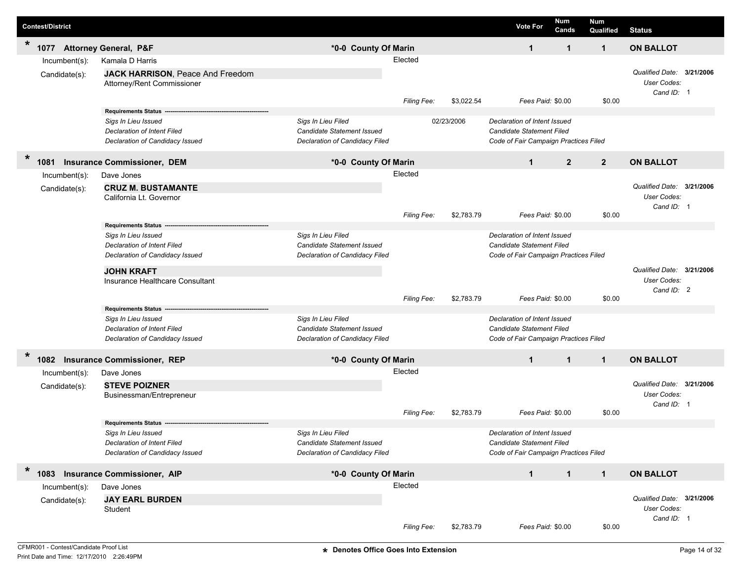| <b>Contest/District</b>        |                                                                                                                                                                             |                                                                                    |                        |            | <b>Vote For</b>                                                                                    | Num<br>Cands   | Num<br>Qualified | <b>Status</b>                                          |  |
|--------------------------------|-----------------------------------------------------------------------------------------------------------------------------------------------------------------------------|------------------------------------------------------------------------------------|------------------------|------------|----------------------------------------------------------------------------------------------------|----------------|------------------|--------------------------------------------------------|--|
| $\ast$<br>1077                 | <b>Attorney General, P&amp;F</b>                                                                                                                                            | *0-0 County Of Marin                                                               |                        |            | $\mathbf{1}$                                                                                       | $\mathbf 1$    | $\mathbf 1$      | <b>ON BALLOT</b>                                       |  |
| Incumbent(s):                  | Kamala D Harris                                                                                                                                                             |                                                                                    | Elected                |            |                                                                                                    |                |                  |                                                        |  |
| Candidate(s):                  | JACK HARRISON, Peace And Freedom<br>Attorney/Rent Commissioner                                                                                                              |                                                                                    |                        |            |                                                                                                    |                |                  | Qualified Date: 3/21/2006<br>User Codes:<br>Cand ID: 1 |  |
|                                |                                                                                                                                                                             |                                                                                    | Filing Fee:            | \$3,022.54 | Fees Paid: \$0.00                                                                                  |                | \$0.00           |                                                        |  |
|                                | <b>Requirements Status</b><br>Sigs In Lieu Issued<br>Declaration of Intent Filed<br>Declaration of Candidacy Issued                                                         | Sigs In Lieu Filed<br>Candidate Statement Issued<br>Declaration of Candidacy Filed |                        | 02/23/2006 | Declaration of Intent Issued<br>Candidate Statement Filed<br>Code of Fair Campaign Practices Filed |                |                  |                                                        |  |
| $\ast$<br>1081                 | <b>Insurance Commissioner, DEM</b>                                                                                                                                          | *0-0 County Of Marin                                                               |                        |            | $\mathbf 1$                                                                                        | $\overline{2}$ | $\overline{2}$   | <b>ON BALLOT</b>                                       |  |
| Incumbent(s):                  | Dave Jones                                                                                                                                                                  |                                                                                    | Elected                |            |                                                                                                    |                |                  |                                                        |  |
| Candidate(s):                  | <b>CRUZ M. BUSTAMANTE</b><br>California Lt. Governor                                                                                                                        |                                                                                    |                        |            |                                                                                                    |                |                  | Qualified Date: 3/21/2006<br>User Codes:<br>Cand ID: 1 |  |
|                                |                                                                                                                                                                             |                                                                                    | Filing Fee:            | \$2,783.79 | Fees Paid: \$0.00                                                                                  |                | \$0.00           |                                                        |  |
|                                | <b>Requirements Status</b><br>Sigs In Lieu Issued<br>Declaration of Intent Filed<br>Declaration of Candidacy Issued<br><b>JOHN KRAFT</b><br>Insurance Healthcare Consultant | Sigs In Lieu Filed<br>Candidate Statement Issued<br>Declaration of Candidacy Filed |                        |            | Declaration of Intent Issued<br>Candidate Statement Filed<br>Code of Fair Campaign Practices Filed |                |                  | Qualified Date: 3/21/2006<br>User Codes:               |  |
|                                |                                                                                                                                                                             |                                                                                    | Filing Fee:            | \$2,783.79 | Fees Paid: \$0.00                                                                                  |                | \$0.00           | Cand ID: 2                                             |  |
|                                | <b>Requirements Status</b><br>Sigs In Lieu Issued<br><b>Declaration of Intent Filed</b><br>Declaration of Candidacy Issued                                                  | Sigs In Lieu Filed<br>Candidate Statement Issued<br>Declaration of Candidacy Filed |                        |            | Declaration of Intent Issued<br>Candidate Statement Filed<br>Code of Fair Campaign Practices Filed |                |                  |                                                        |  |
| $\ast$<br>1082                 | <b>Insurance Commissioner, REP</b>                                                                                                                                          | *0-0 County Of Marin                                                               |                        |            | $\mathbf{1}$                                                                                       | $\mathbf{1}$   | $\mathbf{1}$     | <b>ON BALLOT</b>                                       |  |
| Incumbent(s):                  | Dave Jones                                                                                                                                                                  |                                                                                    | Elected                |            |                                                                                                    |                |                  |                                                        |  |
| Candidate(s):                  | <b>STEVE POIZNER</b><br>Businessman/Entrepreneur                                                                                                                            |                                                                                    |                        |            |                                                                                                    |                |                  | Qualified Date: 3/21/2006<br>User Codes:<br>Cand ID: 1 |  |
|                                | <b>Requirements Status</b>                                                                                                                                                  |                                                                                    | <b>Filing Fee:</b>     | \$2,783.79 | Fees Paid: \$0.00                                                                                  |                | \$0.00           |                                                        |  |
|                                | Sigs In Lieu Issued<br>Declaration of Intent Filed<br>Declaration of Candidacy Issued                                                                                       | Sigs In Lieu Filed<br>Candidate Statement Issued<br>Declaration of Candidacy Filed |                        |            | Declaration of Intent Issued<br>Candidate Statement Filed<br>Code of Fair Campaign Practices Filed |                |                  |                                                        |  |
| $\ast$<br>1083                 | <b>Insurance Commissioner, AIP</b>                                                                                                                                          | *0-0 County Of Marin                                                               |                        |            | $\mathbf{1}$                                                                                       | $\mathbf{1}$   | $\mathbf{1}$     | <b>ON BALLOT</b>                                       |  |
| Incumbent(s):<br>Candidate(s): | Dave Jones<br><b>JAY EARL BURDEN</b><br>Student                                                                                                                             |                                                                                    | Elected<br>Filing Fee: | \$2,783.79 | Fees Paid: \$0.00                                                                                  |                | \$0.00           | Qualified Date: 3/21/2006<br>User Codes:<br>Cand ID: 1 |  |
|                                |                                                                                                                                                                             |                                                                                    |                        |            |                                                                                                    |                |                  |                                                        |  |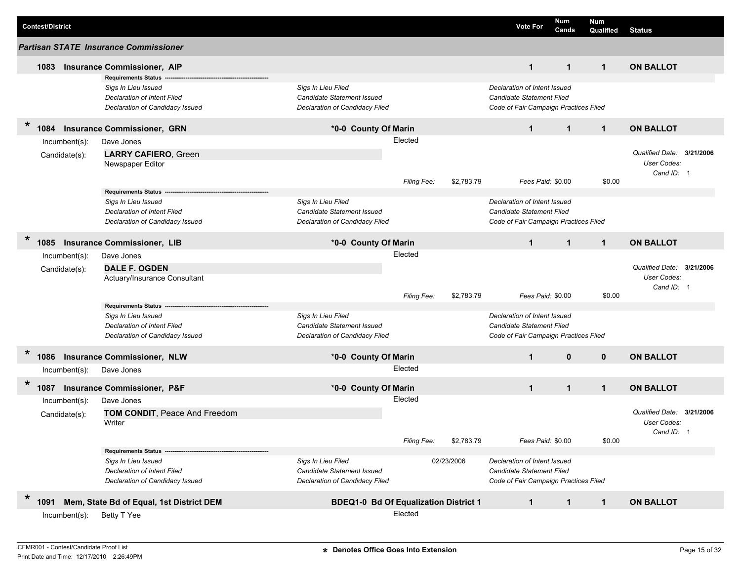| <b>Contest/District</b>           |                                                                                                                            |                                                                                    |                        |            | <b>Vote For</b>                                                                                           | Num<br>Cands | <b>Num</b><br>Qualified | <b>Status</b>                                                 |  |
|-----------------------------------|----------------------------------------------------------------------------------------------------------------------------|------------------------------------------------------------------------------------|------------------------|------------|-----------------------------------------------------------------------------------------------------------|--------------|-------------------------|---------------------------------------------------------------|--|
|                                   | <b>Partisan STATE Insurance Commissioner</b>                                                                               |                                                                                    |                        |            |                                                                                                           |              |                         |                                                               |  |
| 1083                              | <b>Insurance Commissioner, AIP</b>                                                                                         |                                                                                    |                        |            | $\mathbf{1}$                                                                                              | $\mathbf 1$  | $\mathbf{1}$            | <b>ON BALLOT</b>                                              |  |
|                                   | <b>Requirements Status</b><br>Sigs In Lieu Issued<br><b>Declaration of Intent Filed</b><br>Declaration of Candidacy Issued | Sigs In Lieu Filed<br>Candidate Statement Issued<br>Declaration of Candidacy Filed |                        |            | Declaration of Intent Issued<br>Candidate Statement Filed<br>Code of Fair Campaign Practices Filed        |              |                         |                                                               |  |
| $\ast$<br>084                     | <b>Insurance Commissioner, GRN</b>                                                                                         | *0-0 County Of Marin                                                               |                        |            | $\mathbf{1}$                                                                                              | $\mathbf{1}$ | $\mathbf{1}$            | <b>ON BALLOT</b>                                              |  |
| $Incumbent(s)$ :<br>Candidate(s): | Dave Jones<br><b>LARRY CAFIERO, Green</b><br>Newspaper Editor                                                              |                                                                                    | Elected<br>Filing Fee: | \$2,783.79 | Fees Paid: \$0.00                                                                                         |              | \$0.00                  | Qualified Date: 3/21/2006<br>User Codes:<br>Cand ID: 1        |  |
|                                   | <b>Requirements Status</b><br>Sigs In Lieu Issued<br><b>Declaration of Intent Filed</b><br>Declaration of Candidacy Issued | Sigs In Lieu Filed<br>Candidate Statement Issued<br>Declaration of Candidacy Filed |                        |            | Declaration of Intent Issued<br><b>Candidate Statement Filed</b><br>Code of Fair Campaign Practices Filed |              |                         |                                                               |  |
| $\ast$<br>1085                    | <b>Insurance Commissioner, LIB</b>                                                                                         | *0-0 County Of Marin                                                               |                        |            | $\mathbf{1}$                                                                                              | $\mathbf{1}$ | $\mathbf{1}$            | <b>ON BALLOT</b>                                              |  |
| Incumbent(s):<br>Candidate(s):    | Dave Jones<br><b>DALE F. OGDEN</b><br>Actuary/Insurance Consultant                                                         |                                                                                    | Elected                |            |                                                                                                           |              |                         | Qualified Date: 3/21/2006<br>User Codes:<br>Cand ID: 1        |  |
|                                   |                                                                                                                            |                                                                                    | Filing Fee:            | \$2,783.79 | Fees Paid: \$0.00                                                                                         |              | \$0.00                  |                                                               |  |
|                                   | <b>Requirements Status</b><br>Sigs In Lieu Issued<br><b>Declaration of Intent Filed</b><br>Declaration of Candidacy Issued | Sigs In Lieu Filed<br>Candidate Statement Issued<br>Declaration of Candidacy Filed |                        |            | Declaration of Intent Issued<br>Candidate Statement Filed<br>Code of Fair Campaign Practices Filed        |              |                         |                                                               |  |
| $\ast$<br>1086                    | <b>Insurance Commissioner, NLW</b>                                                                                         | *0-0 County Of Marin                                                               |                        |            | $\mathbf{1}$                                                                                              | $\mathbf{0}$ | $\mathbf 0$             | <b>ON BALLOT</b>                                              |  |
| Incumbent(s):                     | Dave Jones                                                                                                                 |                                                                                    | Elected                |            |                                                                                                           |              |                         |                                                               |  |
| $\ast$<br>1087                    | <b>Insurance Commissioner, P&amp;F</b>                                                                                     | *0-0 County Of Marin                                                               |                        |            | $\mathbf{1}$                                                                                              | $\mathbf{1}$ | $\mathbf 1$             | <b>ON BALLOT</b>                                              |  |
| Incumbent(s):<br>Candidate(s):    | Dave Jones<br>TOM CONDIT, Peace And Freedom<br>Writer                                                                      |                                                                                    | Elected<br>Filing Fee: | \$2,783.79 | Fees Paid: \$0.00                                                                                         |              | \$0.00                  | Qualified Date: 3/21/2006<br><b>User Codes:</b><br>Cand ID: 1 |  |
|                                   | Requirements Status -<br>Sigs In Lieu Issued<br>Declaration of Intent Filed<br>Declaration of Candidacy Issued             | Sigs In Lieu Filed<br>Candidate Statement Issued<br>Declaration of Candidacy Filed |                        | 02/23/2006 | Declaration of Intent Issued<br>Candidate Statement Filed<br>Code of Fair Campaign Practices Filed        |              |                         |                                                               |  |
| $\ast$<br>1091                    | Mem, State Bd of Equal, 1st District DEM                                                                                   | <b>BDEQ1-0 Bd Of Equalization District 1</b>                                       |                        |            | $\mathbf{1}$                                                                                              | $\mathbf 1$  | $\mathbf{1}$            | <b>ON BALLOT</b>                                              |  |
| $Incumbent(s)$ :                  | Betty T Yee                                                                                                                |                                                                                    | Elected                |            |                                                                                                           |              |                         |                                                               |  |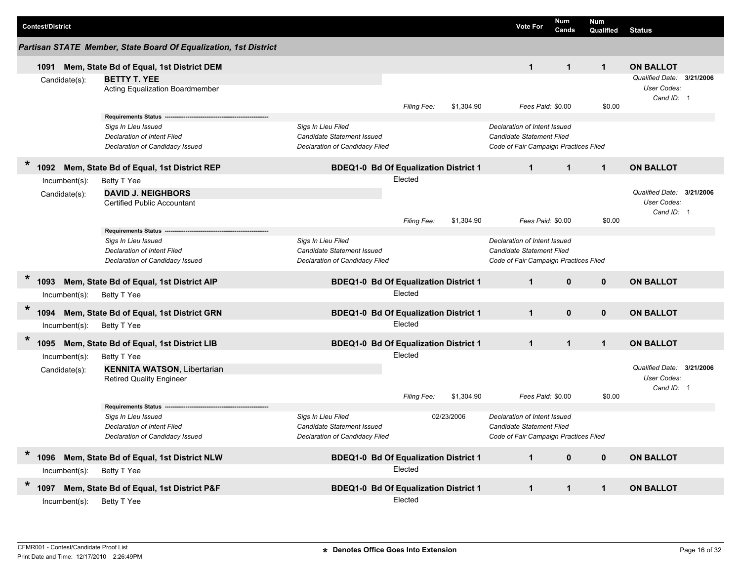|        | <b>Contest/District</b> |                                   |                                                                                                                                  |                                                                                           |                        |            | <b>Vote For</b>                                                                                           | Num<br>Cands | <b>Num</b><br>Qualified | <b>Status</b>                                                              |  |
|--------|-------------------------|-----------------------------------|----------------------------------------------------------------------------------------------------------------------------------|-------------------------------------------------------------------------------------------|------------------------|------------|-----------------------------------------------------------------------------------------------------------|--------------|-------------------------|----------------------------------------------------------------------------|--|
|        |                         |                                   | Partisan STATE Member, State Board Of Equalization, 1st District                                                                 |                                                                                           |                        |            |                                                                                                           |              |                         |                                                                            |  |
|        | 1091                    |                                   | Mem, State Bd of Equal, 1st District DEM                                                                                         |                                                                                           |                        |            | $\mathbf{1}$                                                                                              | $\mathbf{1}$ | $\mathbf 1$             | <b>ON BALLOT</b>                                                           |  |
|        |                         | Candidate(s):                     | <b>BETTY T. YEE</b><br>Acting Equalization Boardmember                                                                           |                                                                                           | <b>Filing Fee:</b>     | \$1,304.90 | Fees Paid: \$0.00                                                                                         |              | \$0.00                  | Qualified Date: 3/21/2006<br>User Codes:<br>Cand ID: 1                     |  |
|        |                         |                                   | <b>Requirements Status</b><br>Sigs In Lieu Issued<br><b>Declaration of Intent Filed</b><br>Declaration of Candidacy Issued       | Sigs In Lieu Filed<br><b>Candidate Statement Issued</b><br>Declaration of Candidacy Filed |                        |            | Declaration of Intent Issued<br><b>Candidate Statement Filed</b><br>Code of Fair Campaign Practices Filed |              |                         |                                                                            |  |
| $\ast$ | 1092                    |                                   | Mem, State Bd of Equal, 1st District REP                                                                                         | <b>BDEQ1-0 Bd Of Equalization District 1</b>                                              |                        |            | $\mathbf{1}$                                                                                              | $\mathbf{1}$ | $\mathbf{1}$            | <b>ON BALLOT</b>                                                           |  |
|        |                         | $Incumbent(s)$ :<br>Candidate(s): | Betty T Yee<br><b>DAVID J. NEIGHBORS</b><br><b>Certified Public Accountant</b>                                                   |                                                                                           | Elected<br>Filing Fee: | \$1,304.90 | Fees Paid: \$0.00                                                                                         |              | \$0.00                  | Qualified Date: 3/21/2006<br>User Codes:<br>Cand ID: 1                     |  |
|        |                         |                                   | <b>Requirements Status</b><br>Sigs In Lieu Issued<br>Declaration of Intent Filed<br>Declaration of Candidacy Issued              | Sigs In Lieu Filed<br>Candidate Statement Issued<br>Declaration of Candidacy Filed        |                        |            | Declaration of Intent Issued<br>Candidate Statement Filed<br>Code of Fair Campaign Practices Filed        |              |                         |                                                                            |  |
| $\ast$ | 1093                    |                                   | Mem, State Bd of Equal, 1st District AIP                                                                                         | <b>BDEQ1-0 Bd Of Equalization District 1</b>                                              |                        |            | $\mathbf{1}$                                                                                              | $\mathbf{0}$ | $\mathbf 0$             | <b>ON BALLOT</b>                                                           |  |
|        |                         | $Incumbent(s)$ :                  | Betty T Yee                                                                                                                      |                                                                                           | Elected                |            |                                                                                                           |              |                         |                                                                            |  |
| $\ast$ | 1094                    |                                   | Mem, State Bd of Equal, 1st District GRN                                                                                         | <b>BDEQ1-0 Bd Of Equalization District 1</b>                                              |                        |            | $\mathbf{1}$                                                                                              | $\mathbf{0}$ | $\mathbf{0}$            | <b>ON BALLOT</b>                                                           |  |
|        |                         | $Incumbent(s)$ :                  | Betty T Yee                                                                                                                      |                                                                                           | Elected                |            |                                                                                                           |              |                         |                                                                            |  |
| $\ast$ | 1095                    | $Incumbent(s)$ :<br>Candidate(s): | Mem, State Bd of Equal, 1st District LIB<br>Betty T Yee<br><b>KENNITA WATSON, Libertarian</b><br><b>Retired Quality Engineer</b> | <b>BDEQ1-0 Bd Of Equalization District 1</b>                                              | Elected                |            | $\mathbf{1}$                                                                                              | $\mathbf{1}$ | $\mathbf{1}$            | <b>ON BALLOT</b><br>Qualified Date: 3/21/2006<br>User Codes:<br>Cand ID: 1 |  |
|        |                         |                                   |                                                                                                                                  |                                                                                           | Filing Fee:            | \$1,304.90 | Fees Paid: \$0.00                                                                                         |              | \$0.00                  |                                                                            |  |
|        |                         |                                   | <b>Requirements Status</b><br>Sigs In Lieu Issued<br><b>Declaration of Intent Filed</b><br>Declaration of Candidacy Issued       | Sigs In Lieu Filed<br><b>Candidate Statement Issued</b><br>Declaration of Candidacy Filed |                        | 02/23/2006 | Declaration of Intent Issued<br><b>Candidate Statement Filed</b><br>Code of Fair Campaign Practices Filed |              |                         |                                                                            |  |
| $\ast$ | 1096                    |                                   | Mem, State Bd of Equal, 1st District NLW                                                                                         | <b>BDEQ1-0 Bd Of Equalization District 1</b>                                              |                        |            | $\mathbf{1}$                                                                                              | $\mathbf 0$  | $\mathbf 0$             | <b>ON BALLOT</b>                                                           |  |
|        |                         | $Incumbent(s)$ :                  | Betty T Yee                                                                                                                      |                                                                                           | Elected                |            |                                                                                                           |              |                         |                                                                            |  |
| $\ast$ | 1097                    | Incumbent(s):                     | Mem, State Bd of Equal, 1st District P&F<br>Betty T Yee                                                                          | <b>BDEQ1-0 Bd Of Equalization District 1</b>                                              | Elected                |            | $\mathbf{1}$                                                                                              | $\mathbf{1}$ | $\mathbf{1}$            | <b>ON BALLOT</b>                                                           |  |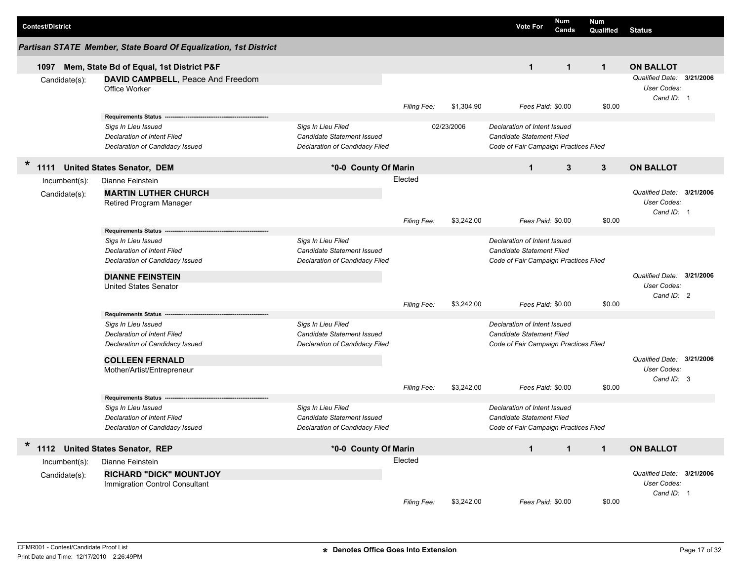| <b>Contest/District</b>        |                                                                                                                                                                                       |                                                                                    |                        |            | Num<br><b>Vote For</b><br>Cands                                                                                                | Num<br>Qualified | <b>Status</b>                                          |  |
|--------------------------------|---------------------------------------------------------------------------------------------------------------------------------------------------------------------------------------|------------------------------------------------------------------------------------|------------------------|------------|--------------------------------------------------------------------------------------------------------------------------------|------------------|--------------------------------------------------------|--|
|                                | Partisan STATE Member, State Board Of Equalization, 1st District                                                                                                                      |                                                                                    |                        |            |                                                                                                                                |                  |                                                        |  |
| 1097                           | Mem, State Bd of Equal, 1st District P&F                                                                                                                                              |                                                                                    |                        |            | $\mathbf{1}$<br>$\mathbf{1}$                                                                                                   | $\mathbf{1}$     | <b>ON BALLOT</b>                                       |  |
| Candidate(s):                  | DAVID CAMPBELL, Peace And Freedom<br>Office Worker                                                                                                                                    |                                                                                    | Filing Fee:            | \$1,304.90 | Fees Paid: \$0.00                                                                                                              | \$0.00           | Qualified Date: 3/21/2006<br>User Codes:<br>Cand ID: 1 |  |
|                                | Requirements Status --<br>Sigs In Lieu Issued<br><b>Declaration of Intent Filed</b><br>Declaration of Candidacy Issued                                                                | Sigs In Lieu Filed<br>Candidate Statement Issued<br>Declaration of Candidacy Filed |                        | 02/23/2006 | Declaration of Intent Issued<br>Candidate Statement Filed<br>Code of Fair Campaign Practices Filed                             |                  |                                                        |  |
| *                              | 1111 United States Senator, DEM                                                                                                                                                       | *0-0 County Of Marin                                                               |                        |            | 3<br>$\mathbf{1}$                                                                                                              | 3                | <b>ON BALLOT</b>                                       |  |
| Incumbent(s):<br>Candidate(s): | Dianne Feinstein<br><b>MARTIN LUTHER CHURCH</b><br><b>Retired Program Manager</b>                                                                                                     |                                                                                    | Elected<br>Filing Fee: | \$3,242.00 | Fees Paid: \$0.00                                                                                                              | \$0.00           | Qualified Date: 3/21/2006<br>User Codes:<br>Cand ID: 1 |  |
|                                | <b>Requirements Status</b><br>Sigs In Lieu Issued<br>Declaration of Intent Filed<br>Declaration of Candidacy Issued<br><b>DIANNE FEINSTEIN</b><br><b>United States Senator</b>        | Sigs In Lieu Filed<br>Candidate Statement Issued<br>Declaration of Candidacy Filed | Filing Fee:            | \$3,242.00 | Declaration of Intent Issued<br><b>Candidate Statement Filed</b><br>Code of Fair Campaign Practices Filed<br>Fees Paid: \$0.00 | \$0.00           | Qualified Date: 3/21/2006<br>User Codes:<br>Cand ID: 2 |  |
|                                | <b>Requirements Status --</b><br>Sigs In Lieu Issued<br><b>Declaration of Intent Filed</b><br>Declaration of Candidacy Issued<br><b>COLLEEN FERNALD</b><br>Mother/Artist/Entrepreneur | Sigs In Lieu Filed<br>Candidate Statement Issued<br>Declaration of Candidacy Filed | <b>Filing Fee:</b>     | \$3,242.00 | Declaration of Intent Issued<br><b>Candidate Statement Filed</b><br>Code of Fair Campaign Practices Filed<br>Fees Paid: \$0.00 | \$0.00           | Qualified Date: 3/21/2006<br>User Codes:<br>Cand ID: 3 |  |
|                                | Requirements Status --<br>Sigs In Lieu Issued<br>Declaration of Intent Filed<br>Declaration of Candidacy Issued                                                                       | Sigs In Lieu Filed<br>Candidate Statement Issued<br>Declaration of Candidacy Filed |                        |            | Declaration of Intent Issued<br>Candidate Statement Filed<br>Code of Fair Campaign Practices Filed                             |                  |                                                        |  |
| $\ast$                         | 1112 United States Senator, REP                                                                                                                                                       | *0-0 County Of Marin                                                               |                        |            | $\mathbf{1}$<br>$\mathbf{1}$                                                                                                   | $\mathbf{1}$     | <b>ON BALLOT</b>                                       |  |
| Incumbent(s):<br>Candidate(s): | Dianne Feinstein<br><b>RICHARD "DICK" MOUNTJOY</b><br>Immigration Control Consultant                                                                                                  |                                                                                    | Elected<br>Filing Fee: | \$3,242.00 | Fees Paid: \$0.00                                                                                                              | \$0.00           | Qualified Date: 3/21/2006<br>User Codes:<br>Cand ID: 1 |  |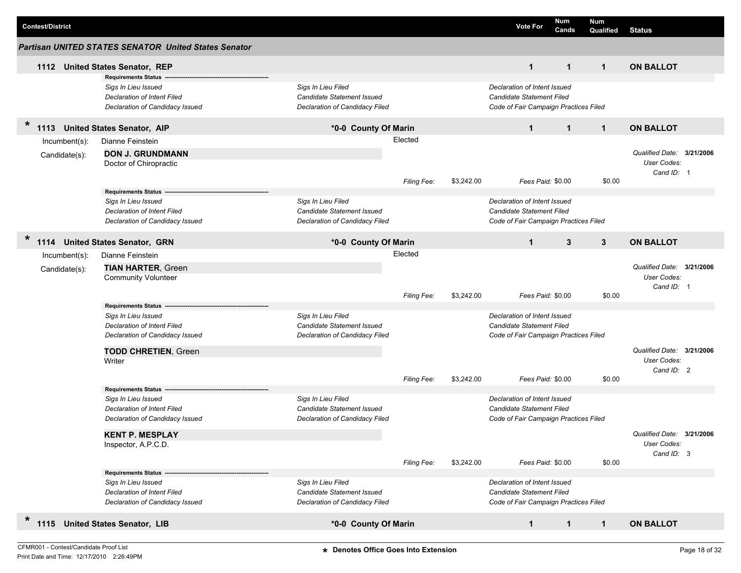| <b>Contest/District</b> |                                                                                                                     |                                                                                    |                    |            | <b>Vote For</b>                                                                                           | Num<br>Cands | <b>Num</b><br><b>Qualified</b> | <b>Status</b>                                          |  |
|-------------------------|---------------------------------------------------------------------------------------------------------------------|------------------------------------------------------------------------------------|--------------------|------------|-----------------------------------------------------------------------------------------------------------|--------------|--------------------------------|--------------------------------------------------------|--|
|                         | <b>Partisan UNITED STATES SENATOR United States Senator</b>                                                         |                                                                                    |                    |            |                                                                                                           |              |                                |                                                        |  |
|                         | 1112 United States Senator, REP                                                                                     |                                                                                    |                    |            | $\mathbf{1}$                                                                                              | $\mathbf{1}$ | $\mathbf{1}$                   | <b>ON BALLOT</b>                                       |  |
|                         | <b>Requirements Status</b><br>Sigs In Lieu Issued<br>Declaration of Intent Filed                                    | Sigs In Lieu Filed<br>Candidate Statement Issued                                   |                    |            | Declaration of Intent Issued<br><b>Candidate Statement Filed</b>                                          |              |                                |                                                        |  |
|                         | Declaration of Candidacy Issued                                                                                     | Declaration of Candidacy Filed                                                     |                    |            | Code of Fair Campaign Practices Filed                                                                     |              |                                |                                                        |  |
| $\ast$<br>1113          | <b>United States Senator, AIP</b>                                                                                   | *0-0 County Of Marin                                                               |                    |            | $\mathbf{1}$                                                                                              | $\mathbf{1}$ | $\mathbf{1}$                   | <b>ON BALLOT</b>                                       |  |
| Incumbent(s):           | Dianne Feinstein                                                                                                    |                                                                                    | Elected            |            |                                                                                                           |              |                                |                                                        |  |
| Candidate(s):           | <b>DON J. GRUNDMANN</b><br>Doctor of Chiropractic                                                                   |                                                                                    |                    |            |                                                                                                           |              |                                | Qualified Date: 3/21/2006<br>User Codes:               |  |
|                         |                                                                                                                     |                                                                                    | Filing Fee:        | \$3,242.00 | Fees Paid: \$0.00                                                                                         |              | \$0.00                         | Cand ID: 1                                             |  |
|                         | <b>Requirements Status</b><br>Sigs In Lieu Issued<br>Declaration of Intent Filed<br>Declaration of Candidacy Issued | Sigs In Lieu Filed<br>Candidate Statement Issued<br>Declaration of Candidacy Filed |                    |            | Declaration of Intent Issued<br><b>Candidate Statement Filed</b><br>Code of Fair Campaign Practices Filed |              |                                |                                                        |  |
| $\ast$<br>1114          | <b>United States Senator, GRN</b>                                                                                   | *0-0 County Of Marin                                                               |                    |            | $\mathbf{1}$                                                                                              | 3            | $\mathbf{3}$                   | <b>ON BALLOT</b>                                       |  |
| Incumbent(s):           | Dianne Feinstein                                                                                                    |                                                                                    | Elected            |            |                                                                                                           |              |                                |                                                        |  |
| Candidate(s):           | <b>TIAN HARTER, Green</b><br><b>Community Volunteer</b>                                                             |                                                                                    |                    |            |                                                                                                           |              |                                | Qualified Date: 3/21/2006<br>User Codes:<br>Cand ID: 1 |  |
|                         | <b>Requirements Status</b>                                                                                          |                                                                                    | Filing Fee:        | \$3,242.00 | Fees Paid: \$0.00                                                                                         |              | \$0.00                         |                                                        |  |
|                         | Sigs In Lieu Issued<br>Declaration of Intent Filed<br>Declaration of Candidacy Issued                               | Sigs In Lieu Filed<br>Candidate Statement Issued<br>Declaration of Candidacy Filed |                    |            | Declaration of Intent Issued<br><b>Candidate Statement Filed</b><br>Code of Fair Campaign Practices Filed |              |                                |                                                        |  |
|                         | <b>TODD CHRETIEN, Green</b><br>Writer                                                                               |                                                                                    |                    |            |                                                                                                           |              |                                | Qualified Date: 3/21/2006<br>User Codes:<br>Cand ID: 2 |  |
|                         |                                                                                                                     |                                                                                    | <b>Filing Fee:</b> | \$3,242.00 | Fees Paid: \$0.00                                                                                         |              | \$0.00                         |                                                        |  |
|                         | <b>Requirements Status</b><br>Sigs In Lieu Issued<br>Declaration of Intent Filed<br>Declaration of Candidacy Issued | Sigs In Lieu Filed<br>Candidate Statement Issued<br>Declaration of Candidacy Filed |                    |            | Declaration of Intent Issued<br><b>Candidate Statement Filed</b><br>Code of Fair Campaign Practices Filed |              |                                |                                                        |  |
|                         | <b>KENT P. MESPLAY</b><br>Inspector, A.P.C.D.                                                                       |                                                                                    |                    |            |                                                                                                           |              |                                | Qualified Date: 3/21/2006<br>User Codes:<br>Cand ID: 3 |  |
|                         |                                                                                                                     |                                                                                    | Filing Fee:        | \$3,242.00 | Fees Paid: \$0.00                                                                                         |              | \$0.00                         |                                                        |  |
|                         | <b>Requirements Status</b><br>Sigs In Lieu Issued<br>Declaration of Intent Filed<br>Declaration of Candidacy Issued | Sigs In Lieu Filed<br>Candidate Statement Issued<br>Declaration of Candidacy Filed |                    |            | Declaration of Intent Issued<br><b>Candidate Statement Filed</b><br>Code of Fair Campaign Practices Filed |              |                                |                                                        |  |
| $\ast$                  | 1115 United States Senator, LIB                                                                                     | *0-0 County Of Marin                                                               |                    |            | $\mathbf{1}$                                                                                              | $\mathbf{1}$ | $\mathbf{1}$                   | <b>ON BALLOT</b>                                       |  |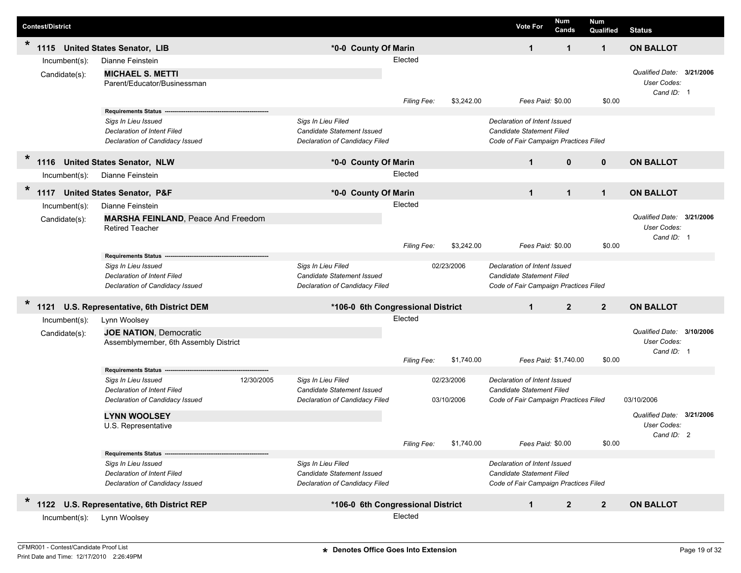| <b>Contest/District</b>        |                                                                                                                            |            |                                                                                    |                    |                          | <b>Vote For</b>                                                                                           | Num<br>Cands          | <b>Num</b><br>Qualified          | <b>Status</b>                                          |           |
|--------------------------------|----------------------------------------------------------------------------------------------------------------------------|------------|------------------------------------------------------------------------------------|--------------------|--------------------------|-----------------------------------------------------------------------------------------------------------|-----------------------|----------------------------------|--------------------------------------------------------|-----------|
| $\star$<br>1115                | <b>United States Senator, LIB</b>                                                                                          |            | *0-0 County Of Marin                                                               |                    |                          | 1                                                                                                         | 1                     | $\mathbf 1$                      | <b>ON BALLOT</b>                                       |           |
| Incumbent(s):<br>Candidate(s): | Dianne Feinstein<br><b>MICHAEL S. METTI</b><br>Parent/Educator/Businessman                                                 |            |                                                                                    | Elected            |                          |                                                                                                           |                       |                                  | Qualified Date: 3/21/2006<br><b>User Codes:</b>        |           |
|                                |                                                                                                                            |            |                                                                                    | Filing Fee:        | \$3,242.00               |                                                                                                           | Fees Paid: \$0.00     | \$0.00                           | Cand ID: 1                                             |           |
|                                | <b>Requirements Status</b><br>Sigs In Lieu Issued<br>Declaration of Intent Filed<br>Declaration of Candidacy Issued        |            | Sigs In Lieu Filed<br>Candidate Statement Issued<br>Declaration of Candidacy Filed |                    |                          | Declaration of Intent Issued<br>Candidate Statement Filed<br>Code of Fair Campaign Practices Filed        |                       |                                  |                                                        |           |
| *<br>1116                      | <b>United States Senator, NLW</b>                                                                                          |            | *0-0 County Of Marin                                                               |                    |                          | $\mathbf{1}$                                                                                              |                       | $\mathbf{0}$<br>$\mathbf{0}$     | <b>ON BALLOT</b>                                       |           |
| $Incumbent(s)$ :               | Dianne Feinstein                                                                                                           |            |                                                                                    | Elected            |                          |                                                                                                           |                       |                                  |                                                        |           |
| $\star$<br>1117                | <b>United States Senator, P&amp;F</b>                                                                                      |            | *0-0 County Of Marin                                                               |                    |                          | $\mathbf{1}$                                                                                              |                       | $\mathbf{1}$<br>$\mathbf{1}$     | <b>ON BALLOT</b>                                       |           |
| Incumbent(s):                  | Dianne Feinstein                                                                                                           |            |                                                                                    | Elected            |                          |                                                                                                           |                       |                                  |                                                        |           |
| Candidate(s):                  | <b>MARSHA FEINLAND, Peace And Freedom</b><br><b>Retired Teacher</b>                                                        |            |                                                                                    |                    |                          |                                                                                                           |                       |                                  | Qualified Date: 3/21/2006<br>User Codes:<br>Cand ID: 1 |           |
|                                | <b>Requirements Status</b>                                                                                                 |            |                                                                                    | Filing Fee:        | \$3,242.00               |                                                                                                           | Fees Paid: \$0.00     | \$0.00                           |                                                        |           |
|                                | Sigs In Lieu Issued<br><b>Declaration of Intent Filed</b><br>Declaration of Candidacy Issued                               |            | Sigs In Lieu Filed<br>Candidate Statement Issued<br>Declaration of Candidacy Filed |                    | 02/23/2006               | Declaration of Intent Issued<br>Candidate Statement Filed<br>Code of Fair Campaign Practices Filed        |                       |                                  |                                                        |           |
| $\ast$<br>1121                 | U.S. Representative, 6th District DEM                                                                                      |            | *106-0 6th Congressional District                                                  |                    |                          | $\mathbf{1}$                                                                                              |                       | $\overline{2}$<br>$\overline{2}$ | <b>ON BALLOT</b>                                       |           |
| Incumbent(s):                  | Lynn Woolsey                                                                                                               |            |                                                                                    | Elected            |                          |                                                                                                           |                       |                                  |                                                        |           |
| Candidate(s):                  | <b>JOE NATION, Democratic</b><br>Assemblymember, 6th Assembly District                                                     |            |                                                                                    |                    |                          |                                                                                                           |                       |                                  | Qualified Date:<br><b>User Codes:</b><br>Cand ID: 1    | 3/10/2006 |
|                                |                                                                                                                            |            |                                                                                    | Filing Fee:        | \$1,740.00               |                                                                                                           | Fees Paid: \$1,740.00 | \$0.00                           |                                                        |           |
|                                | <b>Requirements Status</b><br>Sigs In Lieu Issued<br><b>Declaration of Intent Filed</b><br>Declaration of Candidacy Issued | 12/30/2005 | Sigs In Lieu Filed<br>Candidate Statement Issued<br>Declaration of Candidacy Filed |                    | 02/23/2006<br>03/10/2006 | Declaration of Intent Issued<br><b>Candidate Statement Filed</b><br>Code of Fair Campaign Practices Filed |                       |                                  | 03/10/2006                                             |           |
|                                | <b>LYNN WOOLSEY</b><br>U.S. Representative                                                                                 |            |                                                                                    | <b>Filing Fee:</b> | \$1,740.00               |                                                                                                           | Fees Paid: \$0.00     | \$0.00                           | Qualified Date: 3/21/2006<br>User Codes:<br>Cand ID: 2 |           |
|                                | <b>Requirements Status</b>                                                                                                 |            |                                                                                    |                    |                          |                                                                                                           |                       |                                  |                                                        |           |
|                                | Sigs In Lieu Issued<br>Declaration of Intent Filed<br>Declaration of Candidacy Issued                                      |            | Sigs In Lieu Filed<br>Candidate Statement Issued<br>Declaration of Candidacy Filed |                    |                          | Declaration of Intent Issued<br><b>Candidate Statement Filed</b><br>Code of Fair Campaign Practices Filed |                       |                                  |                                                        |           |
| $\ast$<br>1122                 | U.S. Representative, 6th District REP                                                                                      |            | *106-0 6th Congressional District                                                  |                    |                          | $\mathbf{1}$                                                                                              |                       | $\overline{2}$<br>$\mathbf{2}$   | <b>ON BALLOT</b>                                       |           |
| $Incumbent(s)$ :               | Lynn Woolsey                                                                                                               |            |                                                                                    | Elected            |                          |                                                                                                           |                       |                                  |                                                        |           |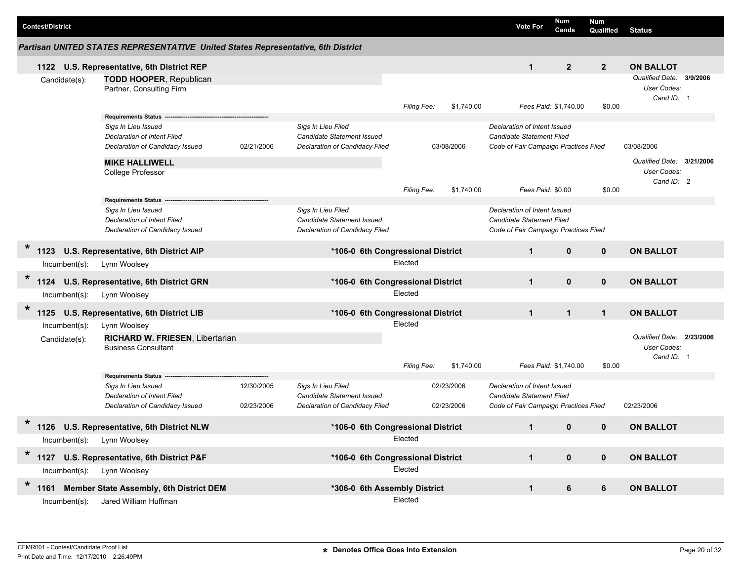|        |                         |                                |                                                                                                                            |                          |                                                                                    |                        |                          |                                                                                                           | Num            |                         |                                                               |  |
|--------|-------------------------|--------------------------------|----------------------------------------------------------------------------------------------------------------------------|--------------------------|------------------------------------------------------------------------------------|------------------------|--------------------------|-----------------------------------------------------------------------------------------------------------|----------------|-------------------------|---------------------------------------------------------------|--|
|        | <b>Contest/District</b> |                                |                                                                                                                            |                          |                                                                                    |                        |                          | <b>Vote For</b>                                                                                           | Cands          | <b>Num</b><br>Qualified | <b>Status</b>                                                 |  |
|        |                         |                                | Partisan UNITED STATES REPRESENTATIVE United States Representative, 6th District                                           |                          |                                                                                    |                        |                          |                                                                                                           |                |                         |                                                               |  |
|        |                         |                                | 1122 U.S. Representative, 6th District REP                                                                                 |                          |                                                                                    |                        |                          | $\mathbf{1}$                                                                                              | $\overline{2}$ | $\mathbf{2}$            | <b>ON BALLOT</b>                                              |  |
|        |                         | Candidate(s):                  | <b>TODD HOOPER, Republican</b><br>Partner, Consulting Firm                                                                 |                          |                                                                                    |                        |                          |                                                                                                           |                |                         | Qualified Date: 3/9/2006<br>User Codes:<br>Cand ID: 1         |  |
|        |                         |                                | <b>Requirements Status</b>                                                                                                 |                          |                                                                                    | Filing Fee:            | \$1,740.00               | Fees Paid: \$1,740.00                                                                                     |                | \$0.00                  |                                                               |  |
|        |                         |                                | Sigs In Lieu Issued<br><b>Declaration of Intent Filed</b><br>Declaration of Candidacy Issued                               | 02/21/2006               | Sigs In Lieu Filed<br>Candidate Statement Issued<br>Declaration of Candidacy Filed |                        | 03/08/2006               | Declaration of Intent Issued<br><b>Candidate Statement Filed</b><br>Code of Fair Campaign Practices Filed |                |                         | 03/08/2006                                                    |  |
|        |                         |                                | <b>MIKE HALLIWELL</b><br>College Professor                                                                                 |                          |                                                                                    |                        |                          |                                                                                                           |                |                         | Qualified Date: 3/21/2006<br>User Codes:<br>Cand ID: 2        |  |
|        |                         |                                |                                                                                                                            |                          |                                                                                    | <b>Filing Fee:</b>     | \$1,740.00               | Fees Paid: \$0.00                                                                                         |                | \$0.00                  |                                                               |  |
|        |                         |                                | <b>Requirements Status</b><br>Sigs In Lieu Issued<br><b>Declaration of Intent Filed</b><br>Declaration of Candidacy Issued |                          | Sigs In Lieu Filed<br>Candidate Statement Issued                                   |                        |                          | Declaration of Intent Issued<br><b>Candidate Statement Filed</b>                                          |                |                         |                                                               |  |
|        |                         |                                |                                                                                                                            |                          | Declaration of Candidacy Filed                                                     |                        |                          | Code of Fair Campaign Practices Filed                                                                     |                |                         |                                                               |  |
| $\ast$ | 1123                    |                                | U.S. Representative, 6th District AIP                                                                                      |                          | *106-0 6th Congressional District                                                  |                        |                          | $\mathbf{1}$                                                                                              | $\mathbf{0}$   | $\mathbf{0}$            | <b>ON BALLOT</b>                                              |  |
|        |                         | Incumbent(s):                  | Lynn Woolsey                                                                                                               |                          |                                                                                    | Elected                |                          |                                                                                                           |                |                         |                                                               |  |
| $\ast$ | 1124                    |                                | U.S. Representative, 6th District GRN                                                                                      |                          | *106-0 6th Congressional District                                                  |                        |                          | $\mathbf{1}$                                                                                              | $\mathbf{0}$   | $\mathbf{0}$            | <b>ON BALLOT</b>                                              |  |
|        |                         | Incumbent(s):                  | Lynn Woolsey                                                                                                               |                          |                                                                                    | Elected                |                          |                                                                                                           |                |                         |                                                               |  |
| $\ast$ |                         |                                | 1125 U.S. Representative, 6th District LIB                                                                                 |                          | *106-0 6th Congressional District                                                  |                        |                          | $\mathbf{1}$                                                                                              | $\mathbf{1}$   | $\mathbf{1}$            | <b>ON BALLOT</b>                                              |  |
|        |                         | Incumbent(s):<br>Candidate(s): | Lynn Woolsey<br>RICHARD W. FRIESEN, Libertarian<br><b>Business Consultant</b>                                              |                          |                                                                                    | Elected<br>Filing Fee: | \$1,740.00               | Fees Paid: \$1,740.00                                                                                     |                | \$0.00                  | Qualified Date: 2/23/2006<br><b>User Codes:</b><br>Cand ID: 1 |  |
|        |                         |                                | <b>Requirements Status</b>                                                                                                 |                          |                                                                                    |                        |                          |                                                                                                           |                |                         |                                                               |  |
|        |                         |                                | Sigs In Lieu Issued<br><b>Declaration of Intent Filed</b><br>Declaration of Candidacy Issued                               | 12/30/2005<br>02/23/2006 | Sigs In Lieu Filed<br>Candidate Statement Issued<br>Declaration of Candidacy Filed |                        | 02/23/2006<br>02/23/2006 | Declaration of Intent Issued<br><b>Candidate Statement Filed</b><br>Code of Fair Campaign Practices Filed |                |                         | 02/23/2006                                                    |  |
|        | 1126                    |                                | U.S. Representative, 6th District NLW                                                                                      |                          | *106-0 6th Congressional District                                                  |                        |                          | 1                                                                                                         | $\bf{0}$       | 0                       | <b>ON BALLOT</b>                                              |  |
|        |                         | Incumbent(s):                  | Lynn Woolsey                                                                                                               |                          |                                                                                    | Elected                |                          |                                                                                                           |                |                         |                                                               |  |
| $\ast$ |                         |                                | 1127 U.S. Representative, 6th District P&F                                                                                 |                          | *106-0 6th Congressional District                                                  |                        |                          | $\mathbf{1}$                                                                                              | $\mathbf 0$    | $\mathbf 0$             | <b>ON BALLOT</b>                                              |  |
|        |                         | Incumbent(s):                  | Lynn Woolsey                                                                                                               |                          |                                                                                    | Elected                |                          |                                                                                                           |                |                         |                                                               |  |
| $\ast$ |                         |                                | 1161 Member State Assembly, 6th District DEM                                                                               |                          | *306-0 6th Assembly District                                                       |                        |                          | $\mathbf{1}$                                                                                              | 6              | 6                       | <b>ON BALLOT</b>                                              |  |
|        |                         | Incumbent(s):                  | Jared William Huffman                                                                                                      |                          |                                                                                    | Elected                |                          |                                                                                                           |                |                         |                                                               |  |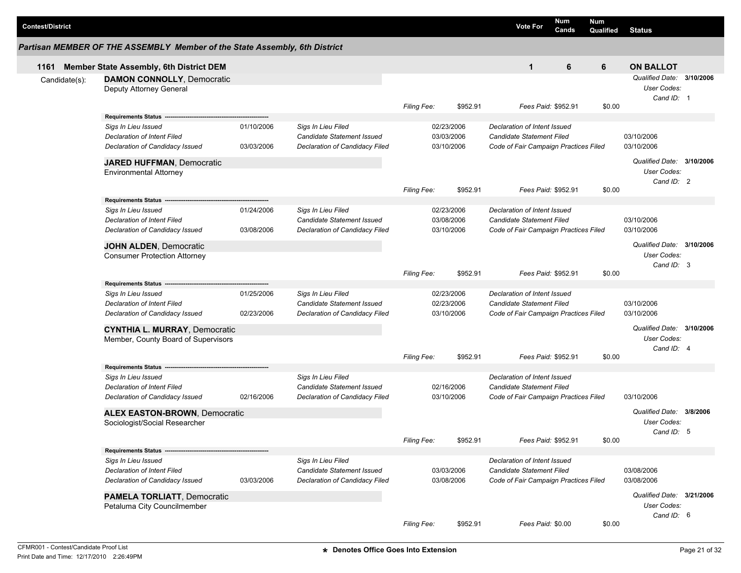|               | Partisan MEMBER OF THE ASSEMBLY Member of the State Assembly, 6th District |            |                                                  |                    |                          |                                       |   |        |                                                        |  |
|---------------|----------------------------------------------------------------------------|------------|--------------------------------------------------|--------------------|--------------------------|---------------------------------------|---|--------|--------------------------------------------------------|--|
| 1161          | Member State Assembly, 6th District DEM                                    |            |                                                  |                    |                          | $\mathbf{1}$                          | 6 | 6      | <b>ON BALLOT</b>                                       |  |
| Candidate(s): | <b>DAMON CONNOLLY, Democratic</b><br>Deputy Attorney General               |            |                                                  |                    |                          |                                       |   |        | Qualified Date: 3/10/2006<br>User Codes:<br>Cand ID: 1 |  |
|               |                                                                            |            |                                                  | <b>Filing Fee:</b> | \$952.91                 | Fees Paid: \$952.91                   |   | \$0.00 |                                                        |  |
|               | <b>Requirements Status</b>                                                 |            |                                                  |                    |                          |                                       |   |        |                                                        |  |
|               | Sigs In Lieu Issued                                                        | 01/10/2006 | Sigs In Lieu Filed                               |                    | 02/23/2006               | Declaration of Intent Issued          |   |        |                                                        |  |
|               | Declaration of Intent Filed                                                |            | Candidate Statement Issued                       |                    | 03/03/2006               | <b>Candidate Statement Filed</b>      |   |        | 03/10/2006                                             |  |
|               | Declaration of Candidacy Issued                                            | 03/03/2006 | Declaration of Candidacy Filed                   |                    | 03/10/2006               | Code of Fair Campaign Practices Filed |   |        | 03/10/2006                                             |  |
|               | <b>JARED HUFFMAN, Democratic</b>                                           |            |                                                  |                    |                          |                                       |   |        | Qualified Date: 3/10/2006                              |  |
|               | <b>Environmental Attorney</b>                                              |            |                                                  |                    |                          |                                       |   |        | User Codes:                                            |  |
|               |                                                                            |            |                                                  |                    |                          |                                       |   |        | Cand ID: 2                                             |  |
|               |                                                                            |            |                                                  | <b>Filing Fee:</b> | \$952.91                 | Fees Paid: \$952.91                   |   | \$0.00 |                                                        |  |
|               | <b>Requirements Status</b>                                                 |            |                                                  |                    |                          | Declaration of Intent Issued          |   |        |                                                        |  |
|               | Sigs In Lieu Issued<br>Declaration of Intent Filed                         | 01/24/2006 | Sigs In Lieu Filed<br>Candidate Statement Issued |                    | 02/23/2006<br>03/08/2006 | <b>Candidate Statement Filed</b>      |   |        | 03/10/2006                                             |  |
|               | Declaration of Candidacy Issued                                            | 03/08/2006 | Declaration of Candidacy Filed                   |                    | 03/10/2006               | Code of Fair Campaign Practices Filed |   |        | 03/10/2006                                             |  |
|               |                                                                            |            |                                                  |                    |                          |                                       |   |        |                                                        |  |
|               | <b>JOHN ALDEN, Democratic</b>                                              |            |                                                  |                    |                          |                                       |   |        | Qualified Date: 3/10/2006                              |  |
|               | <b>Consumer Protection Attorney</b>                                        |            |                                                  |                    |                          |                                       |   |        | User Codes:                                            |  |
|               |                                                                            |            |                                                  |                    |                          |                                       |   |        | Cand ID: 3                                             |  |
|               | <b>Requirements Status</b>                                                 |            |                                                  | Filing Fee:        | \$952.91                 | Fees Paid: \$952.91                   |   | \$0.00 |                                                        |  |
|               | Sigs In Lieu Issued                                                        | 01/25/2006 | Sigs In Lieu Filed                               |                    | 02/23/2006               | Declaration of Intent Issued          |   |        |                                                        |  |
|               | Declaration of Intent Filed                                                |            | Candidate Statement Issued                       |                    | 02/23/2006               | <b>Candidate Statement Filed</b>      |   |        | 03/10/2006                                             |  |
|               | Declaration of Candidacy Issued                                            | 02/23/2006 | Declaration of Candidacy Filed                   |                    | 03/10/2006               | Code of Fair Campaign Practices Filed |   |        | 03/10/2006                                             |  |
|               |                                                                            |            |                                                  |                    |                          |                                       |   |        |                                                        |  |
|               | <b>CYNTHIA L. MURRAY, Democratic</b>                                       |            |                                                  |                    |                          |                                       |   |        | Qualified Date: 3/10/2006                              |  |
|               | Member, County Board of Supervisors                                        |            |                                                  |                    |                          |                                       |   |        | User Codes:<br>Cand ID: 4                              |  |
|               |                                                                            |            |                                                  | <b>Filing Fee:</b> | \$952.91                 | Fees Paid: \$952.91                   |   | \$0.00 |                                                        |  |
|               | <b>Requirements Status</b>                                                 |            |                                                  |                    |                          |                                       |   |        |                                                        |  |
|               | Sigs In Lieu Issued                                                        |            | Sigs In Lieu Filed                               |                    |                          | Declaration of Intent Issued          |   |        |                                                        |  |
|               | Declaration of Intent Filed                                                |            | Candidate Statement Issued                       |                    | 02/16/2006               | Candidate Statement Filed             |   |        |                                                        |  |
|               | Declaration of Candidacy Issued                                            | 02/16/2006 | Declaration of Candidacy Filed                   |                    | 03/10/2006               | Code of Fair Campaign Practices Filed |   |        | 03/10/2006                                             |  |
|               |                                                                            |            |                                                  |                    |                          |                                       |   |        | Qualified Date: 3/8/2006                               |  |
|               | <b>ALEX EASTON-BROWN, Democratic</b><br>Sociologist/Social Researcher      |            |                                                  |                    |                          |                                       |   |        | User Codes:                                            |  |
|               |                                                                            |            |                                                  |                    |                          |                                       |   |        | Cand ID: 5                                             |  |
|               |                                                                            |            |                                                  | Filing Fee:        | \$952.91                 | Fees Paid: \$952.91                   |   | \$0.00 |                                                        |  |
|               | Requirements Status -                                                      |            |                                                  |                    |                          |                                       |   |        |                                                        |  |
|               | Sigs In Lieu Issued                                                        |            | Sigs In Lieu Filed                               |                    |                          | Declaration of Intent Issued          |   |        |                                                        |  |
|               | Declaration of Intent Filed                                                |            | Candidate Statement Issued                       |                    | 03/03/2006               | <b>Candidate Statement Filed</b>      |   |        | 03/08/2006                                             |  |
|               | Declaration of Candidacy Issued                                            | 03/03/2006 | Declaration of Candidacy Filed                   |                    | 03/08/2006               | Code of Fair Campaign Practices Filed |   |        | 03/08/2006                                             |  |
|               | <b>PAMELA TORLIATT, Democratic</b>                                         |            |                                                  |                    |                          |                                       |   |        | Qualified Date: 3/21/2006                              |  |
|               | Petaluma City Councilmember                                                |            |                                                  |                    |                          |                                       |   |        | User Codes:                                            |  |
|               |                                                                            |            |                                                  |                    |                          |                                       |   |        | Cand ID: 6                                             |  |
|               |                                                                            |            |                                                  |                    |                          |                                       |   |        |                                                        |  |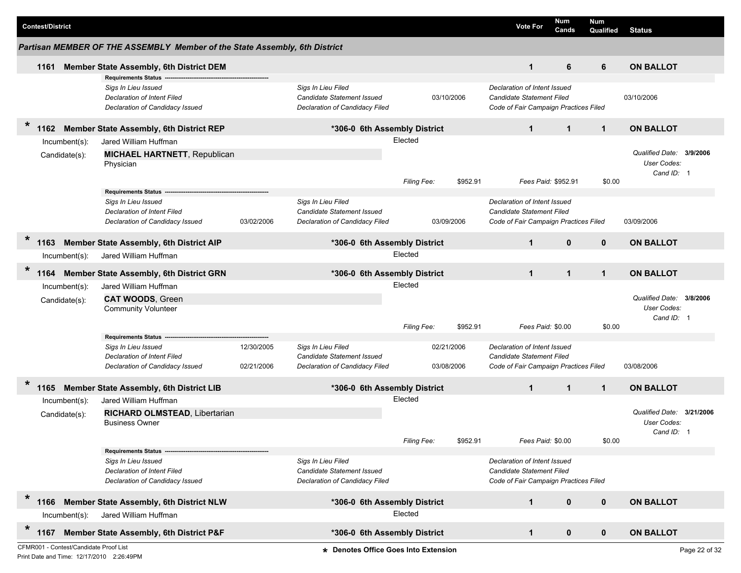| <b>Contest/District</b>                                                             |                                                                                                                            |                          |                                                                                           |                               |                          |                                                                                                    | <b>Vote For</b>     | <b>Num</b><br>Cands | <b>Num</b><br>Qualified | <b>Status</b>                                          |               |
|-------------------------------------------------------------------------------------|----------------------------------------------------------------------------------------------------------------------------|--------------------------|-------------------------------------------------------------------------------------------|-------------------------------|--------------------------|----------------------------------------------------------------------------------------------------|---------------------|---------------------|-------------------------|--------------------------------------------------------|---------------|
|                                                                                     | Partisan MEMBER OF THE ASSEMBLY Member of the State Assembly, 6th District                                                 |                          |                                                                                           |                               |                          |                                                                                                    |                     |                     |                         |                                                        |               |
| 1161                                                                                | Member State Assembly, 6th District DEM                                                                                    |                          |                                                                                           |                               |                          |                                                                                                    | $\mathbf{1}$        | 6                   | 6                       | <b>ON BALLOT</b>                                       |               |
|                                                                                     | <b>Requirements Status</b><br>Sigs In Lieu Issued<br><b>Declaration of Intent Filed</b><br>Declaration of Candidacy Issued |                          | Sigs In Lieu Filed<br>Candidate Statement Issued<br>Declaration of Candidacy Filed        |                               | 03/10/2006               | Declaration of Intent Issued<br>Candidate Statement Filed<br>Code of Fair Campaign Practices Filed |                     |                     |                         | 03/10/2006                                             |               |
| $\ast$<br>1162                                                                      | Member State Assembly, 6th District REP                                                                                    |                          | *306-0 6th Assembly District                                                              |                               |                          |                                                                                                    | $\mathbf{1}$        | $\mathbf{1}$        | $\mathbf{1}$            | <b>ON BALLOT</b>                                       |               |
| Incumbent(s):<br>Candidate(s):                                                      | Jared William Huffman<br><b>MICHAEL HARTNETT, Republican</b><br>Physician                                                  |                          |                                                                                           | Elected<br><b>Filing Fee:</b> | \$952.91                 |                                                                                                    | Fees Paid: \$952.91 |                     | \$0.00                  | Qualified Date:<br>User Codes:<br>Cand ID: 1           | 3/9/2006      |
|                                                                                     | <b>Requirements Status</b>                                                                                                 |                          |                                                                                           |                               |                          |                                                                                                    |                     |                     |                         |                                                        |               |
|                                                                                     | Sigs In Lieu Issued<br>Declaration of Intent Filed<br>Declaration of Candidacy Issued                                      | 03/02/2006               | Sigs In Lieu Filed<br><b>Candidate Statement Issued</b><br>Declaration of Candidacy Filed |                               | 03/09/2006               | Declaration of Intent Issued<br>Candidate Statement Filed<br>Code of Fair Campaign Practices Filed |                     |                     |                         | 03/09/2006                                             |               |
| *<br>1163                                                                           | <b>Member State Assembly, 6th District AIP</b>                                                                             |                          | *306-0 6th Assembly District                                                              |                               |                          |                                                                                                    | $\mathbf{1}$        | $\mathbf{0}$        | $\mathbf 0$             | <b>ON BALLOT</b>                                       |               |
| Incumbent(s):                                                                       | Jared William Huffman                                                                                                      |                          |                                                                                           | Elected                       |                          |                                                                                                    |                     |                     |                         |                                                        |               |
| $\ast$<br>1164                                                                      | Member State Assembly, 6th District GRN                                                                                    |                          | *306-0 6th Assembly District                                                              |                               |                          |                                                                                                    | $\mathbf{1}$        | $\mathbf{1}$        | $\mathbf{1}$            | <b>ON BALLOT</b>                                       |               |
| Incumbent(s):                                                                       | Jared William Huffman                                                                                                      |                          |                                                                                           | Elected                       |                          |                                                                                                    |                     |                     |                         |                                                        |               |
| Candidate(s):                                                                       | <b>CAT WOODS, Green</b><br><b>Community Volunteer</b>                                                                      |                          |                                                                                           |                               |                          |                                                                                                    |                     |                     |                         | Qualified Date:<br>User Codes:<br>Cand ID: 1           | 3/8/2006      |
|                                                                                     |                                                                                                                            |                          |                                                                                           | Filing Fee:                   | \$952.91                 |                                                                                                    | Fees Paid: \$0.00   |                     | \$0.00                  |                                                        |               |
|                                                                                     | <b>Requirements Status</b><br>Sigs In Lieu Issued<br><b>Declaration of Intent Filed</b><br>Declaration of Candidacy Issued | 12/30/2005<br>02/21/2006 | Sigs In Lieu Filed<br>Candidate Statement Issued<br>Declaration of Candidacy Filed        |                               | 02/21/2006<br>03/08/2006 | Declaration of Intent Issued<br>Candidate Statement Filed<br>Code of Fair Campaign Practices Filed |                     |                     |                         | 03/08/2006                                             |               |
| 1165                                                                                | <b>Member State Assembly, 6th District LIB</b>                                                                             |                          | *306-0 6th Assembly District                                                              |                               |                          |                                                                                                    | $\mathbf{1}$        | $\mathbf{1}$        | $\mathbf 1$             | <b>ON BALLOT</b>                                       |               |
| Incumbent(s):<br>Candidate(s):                                                      | Jared William Huffman<br>RICHARD OLMSTEAD, Libertarian<br><b>Business Owner</b>                                            |                          |                                                                                           | Elected                       |                          |                                                                                                    |                     |                     |                         | Qualified Date: 3/21/2006<br>User Codes:<br>Cand ID: 1 |               |
|                                                                                     |                                                                                                                            |                          |                                                                                           | Filing Fee:                   | \$952.91                 |                                                                                                    | Fees Paid: \$0.00   |                     | \$0.00                  |                                                        |               |
|                                                                                     | <b>Requirements Status</b><br>Sigs In Lieu Issued<br>Declaration of Intent Filed<br>Declaration of Candidacy Issued        |                          | Sigs In Lieu Filed<br>Candidate Statement Issued<br>Declaration of Candidacy Filed        |                               |                          | Declaration of Intent Issued<br>Candidate Statement Filed<br>Code of Fair Campaign Practices Filed |                     |                     |                         |                                                        |               |
| $\ast$<br>1166                                                                      | Member State Assembly, 6th District NLW                                                                                    |                          | *306-0 6th Assembly District                                                              |                               |                          |                                                                                                    | $\mathbf{1}$        | $\mathbf 0$         | $\mathbf{0}$            | <b>ON BALLOT</b>                                       |               |
| Incumbent(s):                                                                       | Jared William Huffman                                                                                                      |                          |                                                                                           | Elected                       |                          |                                                                                                    |                     |                     |                         |                                                        |               |
| $\ast$<br>1167                                                                      | Member State Assembly, 6th District P&F                                                                                    |                          | *306-0 6th Assembly District                                                              |                               |                          |                                                                                                    | $\mathbf{1}$        | $\mathbf 0$         | $\mathbf{0}$            | <b>ON BALLOT</b>                                       |               |
| CFMR001 - Contest/Candidate Proof List<br>Print Date and Time: 12/17/2010 2:26:49PM |                                                                                                                            |                          | * Denotes Office Goes Into Extension                                                      |                               |                          |                                                                                                    |                     |                     |                         |                                                        | Page 22 of 32 |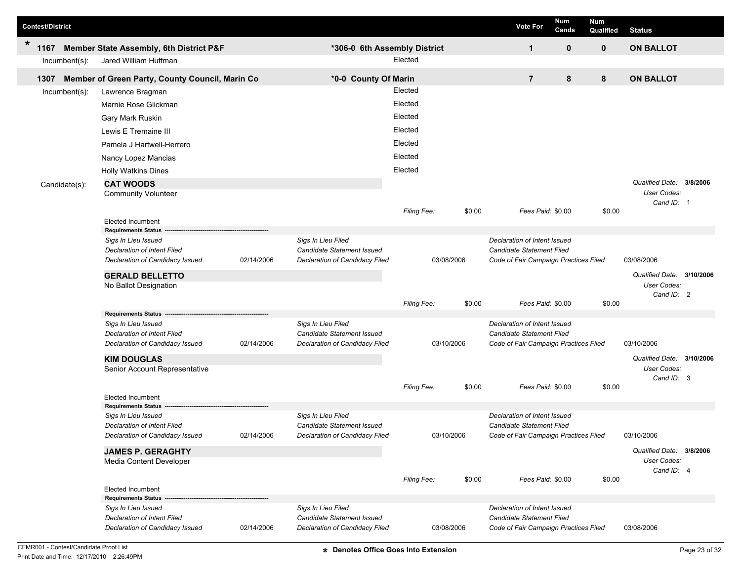|         | <b>Contest/District</b> |                  |                                                                       |            |                                                              |             |            |        | <b>Vote For</b>                                                    | Num<br>Cands | <b>Num</b><br>Qualified | <b>Status</b>                            |  |
|---------|-------------------------|------------------|-----------------------------------------------------------------------|------------|--------------------------------------------------------------|-------------|------------|--------|--------------------------------------------------------------------|--------------|-------------------------|------------------------------------------|--|
| $\star$ | 1167                    |                  | Member State Assembly, 6th District P&F                               |            | *306-0 6th Assembly District                                 |             |            |        | 1                                                                  | $\mathbf 0$  | $\mathbf{0}$            | <b>ON BALLOT</b>                         |  |
|         |                         | $Incumbent(s)$ : | Jared William Huffman                                                 |            |                                                              | Elected     |            |        |                                                                    |              |                         |                                          |  |
|         | 1307                    |                  | Member of Green Party, County Council, Marin Co                       |            | *0-0 County Of Marin                                         |             |            |        | $\overline{7}$                                                     | 8            | 8                       | <b>ON BALLOT</b>                         |  |
|         |                         | Incumbent(s):    | Lawrence Bragman                                                      |            |                                                              | Elected     |            |        |                                                                    |              |                         |                                          |  |
|         |                         |                  | Marnie Rose Glickman                                                  |            |                                                              | Elected     |            |        |                                                                    |              |                         |                                          |  |
|         |                         |                  | Gary Mark Ruskin                                                      |            |                                                              | Elected     |            |        |                                                                    |              |                         |                                          |  |
|         |                         |                  | Lewis E Tremaine III                                                  |            |                                                              | Elected     |            |        |                                                                    |              |                         |                                          |  |
|         |                         |                  | Pamela J Hartwell-Herrero                                             |            |                                                              | Elected     |            |        |                                                                    |              |                         |                                          |  |
|         |                         |                  | Nancy Lopez Mancias                                                   |            |                                                              | Elected     |            |        |                                                                    |              |                         |                                          |  |
|         |                         |                  |                                                                       |            |                                                              | Elected     |            |        |                                                                    |              |                         |                                          |  |
|         |                         |                  | <b>Holly Watkins Dines</b><br><b>CAT WOODS</b>                        |            |                                                              |             |            |        |                                                                    |              |                         | Qualified Date: 3/8/2006                 |  |
|         |                         | Candidate(s):    | <b>Community Volunteer</b>                                            |            |                                                              |             |            |        |                                                                    |              |                         | User Codes:                              |  |
|         |                         |                  |                                                                       |            |                                                              |             |            |        |                                                                    |              |                         | Cand ID: 1                               |  |
|         |                         |                  | <b>Elected Incumbent</b>                                              |            |                                                              | Filing Fee: |            | \$0.00 | Fees Paid: \$0.00                                                  |              | \$0.00                  |                                          |  |
|         |                         |                  | <b>Requirements Status</b>                                            |            |                                                              |             |            |        |                                                                    |              |                         |                                          |  |
|         |                         |                  | Sigs In Lieu Issued                                                   |            | Sigs In Lieu Filed                                           |             |            |        | Declaration of Intent Issued                                       |              |                         |                                          |  |
|         |                         |                  | <b>Declaration of Intent Filed</b><br>Declaration of Candidacy Issued | 02/14/2006 | Candidate Statement Issued                                   |             | 03/08/2006 |        | Candidate Statement Filed<br>Code of Fair Campaign Practices Filed |              |                         | 03/08/2006                               |  |
|         |                         |                  |                                                                       |            | Declaration of Candidacy Filed                               |             |            |        |                                                                    |              |                         |                                          |  |
|         |                         |                  | <b>GERALD BELLETTO</b><br>No Ballot Designation                       |            |                                                              |             |            |        |                                                                    |              |                         | Qualified Date: 3/10/2006<br>User Codes: |  |
|         |                         |                  |                                                                       |            |                                                              |             |            |        |                                                                    |              |                         | Cand ID: 2                               |  |
|         |                         |                  |                                                                       |            |                                                              | Filing Fee: |            | \$0.00 | Fees Paid: \$0.00                                                  |              | \$0.00                  |                                          |  |
|         |                         |                  | <b>Requirements Status</b><br>Sigs In Lieu Issued                     |            | Sigs In Lieu Filed                                           |             |            |        | Declaration of Intent Issued                                       |              |                         |                                          |  |
|         |                         |                  | Declaration of Intent Filed                                           |            | Candidate Statement Issued                                   |             |            |        | <b>Candidate Statement Filed</b>                                   |              |                         |                                          |  |
|         |                         |                  | Declaration of Candidacy Issued                                       | 02/14/2006 | Declaration of Candidacy Filed                               |             | 03/10/2006 |        | Code of Fair Campaign Practices Filed                              |              |                         | 03/10/2006                               |  |
|         |                         |                  | <b>KIM DOUGLAS</b>                                                    |            |                                                              |             |            |        |                                                                    |              |                         | Qualified Date: 3/10/2006                |  |
|         |                         |                  | Senior Account Representative                                         |            |                                                              |             |            |        |                                                                    |              |                         | User Codes:                              |  |
|         |                         |                  |                                                                       |            |                                                              | Filing Fee: |            | \$0.00 | Fees Paid: \$0.00                                                  |              | \$0.00                  | Cand ID: 3                               |  |
|         |                         |                  | <b>Elected Incumbent</b>                                              |            |                                                              |             |            |        |                                                                    |              |                         |                                          |  |
|         |                         |                  | <b>Requirements Status</b>                                            |            |                                                              |             |            |        |                                                                    |              |                         |                                          |  |
|         |                         |                  | Sigs In Lieu Issued<br><b>Declaration of Intent Filed</b>             |            | Sigs In Lieu Filed<br>Candidate Statement Issued             |             |            |        | Declaration of Intent Issued<br>Candidate Statement Filed          |              |                         |                                          |  |
|         |                         |                  | Declaration of Candidacy Issued                                       | 02/14/2006 | Declaration of Candidacy Filed                               |             | 03/10/2006 |        | Code of Fair Campaign Practices Filed                              |              |                         | 03/10/2006                               |  |
|         |                         |                  | <b>JAMES P. GERAGHTY</b>                                              |            |                                                              |             |            |        |                                                                    |              |                         | Qualified Date: 3/8/2006                 |  |
|         |                         |                  | Media Content Developer                                               |            |                                                              |             |            |        |                                                                    |              |                         | User Codes:                              |  |
|         |                         |                  |                                                                       |            |                                                              | Filing Fee: |            | \$0.00 |                                                                    |              |                         | Cand ID: 4                               |  |
|         |                         |                  | <b>Elected Incumbent</b>                                              |            |                                                              |             |            |        | Fees Paid: \$0.00                                                  |              | \$0.00                  |                                          |  |
|         |                         |                  | <b>Requirements Status</b>                                            |            |                                                              |             |            |        |                                                                    |              |                         |                                          |  |
|         |                         |                  | Sigs In Lieu Issued                                                   |            | Sigs In Lieu Filed                                           |             |            |        | Declaration of Intent Issued<br><b>Candidate Statement Filed</b>   |              |                         |                                          |  |
|         |                         |                  | Declaration of Intent Filed<br>Declaration of Candidacy Issued        | 02/14/2006 | Candidate Statement Issued<br>Declaration of Candidacy Filed |             | 03/08/2006 |        | Code of Fair Campaign Practices Filed                              |              |                         | 03/08/2006                               |  |
|         |                         |                  |                                                                       |            |                                                              |             |            |        |                                                                    |              |                         |                                          |  |

**T**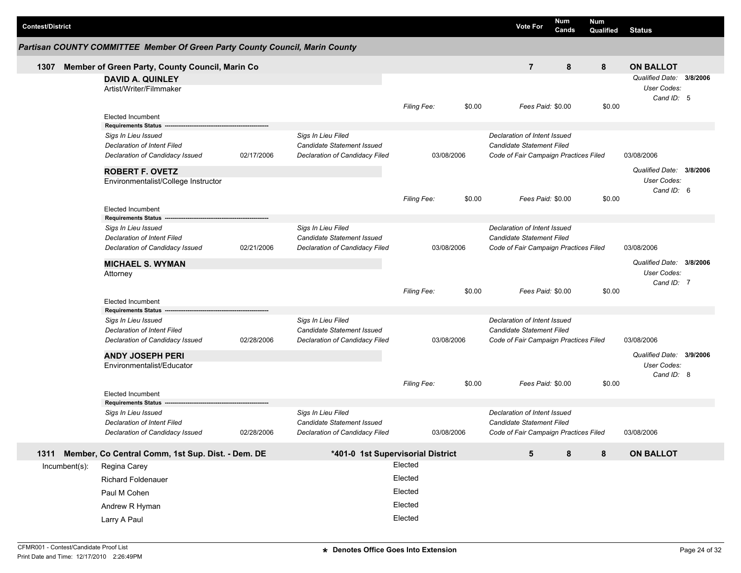| <b>Contest/District</b> |                                                                                                                     |            |                                                                                    |                                          |        | <b>Vote For</b>                                                                                           | Num<br>Cands | Num<br>Qualified | <b>Status</b>                                         |  |
|-------------------------|---------------------------------------------------------------------------------------------------------------------|------------|------------------------------------------------------------------------------------|------------------------------------------|--------|-----------------------------------------------------------------------------------------------------------|--------------|------------------|-------------------------------------------------------|--|
|                         | Partisan COUNTY COMMITTEE Member Of Green Party County Council, Marin County                                        |            |                                                                                    |                                          |        |                                                                                                           |              |                  |                                                       |  |
| 1307                    | Member of Green Party, County Council, Marin Co                                                                     |            |                                                                                    |                                          |        | $\overline{7}$                                                                                            | 8            | 8                | <b>ON BALLOT</b>                                      |  |
|                         | <b>DAVID A. QUINLEY</b><br>Artist/Writer/Filmmaker                                                                  |            |                                                                                    |                                          |        |                                                                                                           |              |                  | Qualified Date: 3/8/2006<br>User Codes:<br>Cand ID: 5 |  |
|                         | <b>Elected Incumbent</b>                                                                                            |            |                                                                                    | <b>Filing Fee:</b>                       | \$0.00 | Fees Paid: \$0.00                                                                                         |              | \$0.00           |                                                       |  |
|                         | <b>Requirements Status</b><br>Sigs In Lieu Issued<br>Declaration of Intent Filed<br>Declaration of Candidacy Issued | 02/17/2006 | Sigs In Lieu Filed<br>Candidate Statement Issued<br>Declaration of Candidacy Filed | 03/08/2006                               |        | Declaration of Intent Issued<br><b>Candidate Statement Filed</b><br>Code of Fair Campaign Practices Filed |              |                  | 03/08/2006                                            |  |
|                         | <b>ROBERT F. OVETZ</b><br>Environmentalist/College Instructor                                                       |            |                                                                                    |                                          |        |                                                                                                           |              |                  | Qualified Date: 3/8/2006<br>User Codes:<br>Cand ID: 6 |  |
|                         | <b>Elected Incumbent</b>                                                                                            |            |                                                                                    | <b>Filing Fee:</b>                       | \$0.00 | Fees Paid: \$0.00                                                                                         |              | \$0.00           |                                                       |  |
|                         | <b>Requirements Status</b><br>Sigs In Lieu Issued<br>Declaration of Intent Filed<br>Declaration of Candidacy Issued | 02/21/2006 | Sigs In Lieu Filed<br>Candidate Statement Issued<br>Declaration of Candidacy Filed | 03/08/2006                               |        | Declaration of Intent Issued<br><b>Candidate Statement Filed</b><br>Code of Fair Campaign Practices Filed |              |                  | 03/08/2006                                            |  |
|                         | <b>MICHAEL S. WYMAN</b><br>Attorney<br><b>Elected Incumbent</b>                                                     |            |                                                                                    | Filing Fee:                              | \$0.00 | Fees Paid: \$0.00                                                                                         |              | \$0.00           | Qualified Date: 3/8/2006<br>User Codes:<br>Cand ID: 7 |  |
|                         | <b>Requirements Status</b><br>Sigs In Lieu Issued<br>Declaration of Intent Filed<br>Declaration of Candidacy Issued | 02/28/2006 | Sigs In Lieu Filed<br>Candidate Statement Issued<br>Declaration of Candidacy Filed | 03/08/2006                               |        | Declaration of Intent Issued<br>Candidate Statement Filed<br>Code of Fair Campaign Practices Filed        |              |                  | 03/08/2006                                            |  |
|                         | <b>ANDY JOSEPH PERI</b><br>Environmentalist/Educator                                                                |            |                                                                                    |                                          |        |                                                                                                           |              |                  | Qualified Date: 3/9/2006<br>User Codes:<br>Cand ID: 8 |  |
|                         | Elected Incumbent<br><b>Requirements Status</b>                                                                     |            |                                                                                    | <b>Filing Fee:</b>                       | \$0.00 | Fees Paid: \$0.00                                                                                         |              | \$0.00           |                                                       |  |
|                         | Sigs In Lieu Issued<br>Declaration of Intent Filed<br>Declaration of Candidacy Issued                               | 02/28/2006 | Sigs In Lieu Filed<br>Candidate Statement Issued<br>Declaration of Candidacy Filed | 03/08/2006                               |        | Declaration of Intent Issued<br><b>Candidate Statement Filed</b><br>Code of Fair Campaign Practices Filed |              |                  | 03/08/2006                                            |  |
| 1311                    | Member, Co Central Comm, 1st Sup. Dist. - Dem. DE                                                                   |            | *401-0 1st Supervisorial District                                                  |                                          |        | 5                                                                                                         | 8            | 8                | <b>ON BALLOT</b>                                      |  |
| Incumbent(s):           | Regina Carey<br><b>Richard Foldenauer</b><br>Paul M Cohen<br>Andrew R Hyman                                         |            |                                                                                    | Elected<br>Elected<br>Elected<br>Elected |        |                                                                                                           |              |                  |                                                       |  |
|                         | Larry A Paul                                                                                                        |            |                                                                                    | Elected                                  |        |                                                                                                           |              |                  |                                                       |  |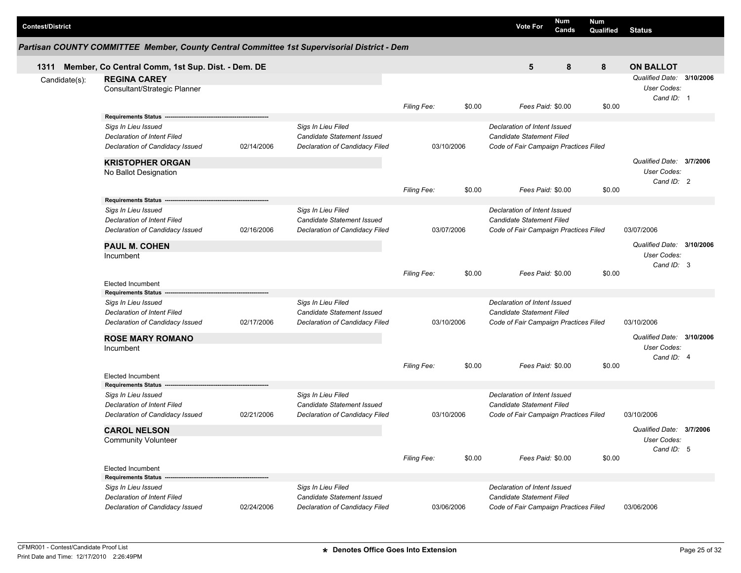| <b>Contest/District</b> |                                                                                                                     |            |                                                                                           |                                     |        | <b>Vote For</b>                                                                                           | Num<br>Cands | <b>Num</b><br>Qualified | <b>Status</b>                                                 |                          |
|-------------------------|---------------------------------------------------------------------------------------------------------------------|------------|-------------------------------------------------------------------------------------------|-------------------------------------|--------|-----------------------------------------------------------------------------------------------------------|--------------|-------------------------|---------------------------------------------------------------|--------------------------|
|                         | Partisan COUNTY COMMITTEE Member, County Central Committee 1st Supervisorial District - Dem                         |            |                                                                                           |                                     |        |                                                                                                           |              |                         |                                                               |                          |
| 1311                    | Member, Co Central Comm, 1st Sup. Dist. - Dem. DE                                                                   |            |                                                                                           |                                     |        | 5                                                                                                         | 8            | 8                       | <b>ON BALLOT</b>                                              |                          |
| Candidate(s):           | <b>REGINA CAREY</b><br>Consultant/Strategic Planner                                                                 |            |                                                                                           |                                     | \$0.00 | Fees Paid: \$0.00                                                                                         |              |                         | Qualified Date: 3/10/2006<br>User Codes:<br>Cand ID: 1        |                          |
|                         | <b>Requirements Status</b>                                                                                          |            |                                                                                           | Filing Fee:                         |        |                                                                                                           |              | \$0.00                  |                                                               |                          |
|                         | Sigs In Lieu Issued<br><b>Declaration of Intent Filed</b><br>Declaration of Candidacy Issued                        | 02/14/2006 | Sigs In Lieu Filed<br>Candidate Statement Issued<br>Declaration of Candidacy Filed        | 03/10/2006                          |        | Declaration of Intent Issued<br><b>Candidate Statement Filed</b><br>Code of Fair Campaign Practices Filed |              |                         |                                                               |                          |
|                         | <b>KRISTOPHER ORGAN</b><br>No Ballot Designation                                                                    |            |                                                                                           |                                     |        |                                                                                                           |              |                         | User Codes:<br>Cand ID: 2                                     | Qualified Date: 3/7/2006 |
|                         |                                                                                                                     |            |                                                                                           | <b>Filing Fee:</b>                  | \$0.00 | Fees Paid: \$0.00                                                                                         |              | \$0.00                  |                                                               |                          |
|                         | <b>Requirements Status</b><br>Sigs In Lieu Issued<br>Declaration of Intent Filed<br>Declaration of Candidacy Issued | 02/16/2006 | Sigs In Lieu Filed<br><b>Candidate Statement Issued</b><br>Declaration of Candidacy Filed | 03/07/2006                          |        | Declaration of Intent Issued<br><b>Candidate Statement Filed</b><br>Code of Fair Campaign Practices Filed |              |                         | 03/07/2006                                                    |                          |
|                         | <b>PAUL M. COHEN</b><br>Incumbent                                                                                   |            |                                                                                           |                                     |        |                                                                                                           |              |                         | Qualified Date: 3/10/2006<br><b>User Codes:</b><br>Cand ID: 3 |                          |
|                         | <b>Elected Incumbent</b><br><b>Requirements Status</b>                                                              |            |                                                                                           | <b>Filing Fee:</b>                  | \$0.00 | Fees Paid: \$0.00                                                                                         |              | \$0.00                  |                                                               |                          |
|                         | Sigs In Lieu Issued<br>Declaration of Intent Filed<br>Declaration of Candidacy Issued                               | 02/17/2006 | Sigs In Lieu Filed<br>Candidate Statement Issued<br>Declaration of Candidacy Filed        | 03/10/2006                          |        | Declaration of Intent Issued<br><b>Candidate Statement Filed</b><br>Code of Fair Campaign Practices Filed |              |                         | 03/10/2006                                                    |                          |
|                         | <b>ROSE MARY ROMANO</b><br>Incumbent                                                                                |            |                                                                                           |                                     |        |                                                                                                           |              |                         | Qualified Date: 3/10/2006<br>User Codes:<br>Cand ID: 4        |                          |
|                         | <b>Elected Incumbent</b><br><b>Requirements Status</b>                                                              |            |                                                                                           | <b>Filing Fee:</b>                  | \$0.00 | Fees Paid: \$0.00                                                                                         |              | \$0.00                  |                                                               |                          |
|                         | Sigs In Lieu Issued<br>Declaration of Intent Filed<br>Declaration of Candidacy Issued                               | 02/21/2006 | Sigs In Lieu Filed<br>Candidate Statement Issued<br>Declaration of Candidacy Filed        | 03/10/2006<br>\$0.00<br>Filing Fee: |        | Declaration of Intent Issued<br><b>Candidate Statement Filed</b><br>Code of Fair Campaign Practices Filed |              |                         | 03/10/2006                                                    |                          |
|                         | <b>CAROL NELSON</b><br><b>Community Volunteer</b>                                                                   |            |                                                                                           |                                     |        | Fees Paid: \$0.00<br>\$0.00                                                                               |              |                         | Qualified Date: 3/7/2006<br>User Codes:<br>Cand ID: 5         |                          |
|                         | <b>Elected Incumbent</b>                                                                                            |            |                                                                                           |                                     |        |                                                                                                           |              |                         |                                                               |                          |
|                         | <b>Requirements Status</b><br>Sigs In Lieu Issued<br>Declaration of Intent Filed<br>Declaration of Candidacy Issued | 02/24/2006 | Sigs In Lieu Filed<br>Candidate Statement Issued<br>Declaration of Candidacy Filed        | 03/06/2006                          |        | Declaration of Intent Issued<br>Candidate Statement Filed<br>Code of Fair Campaign Practices Filed        |              |                         | 03/06/2006                                                    |                          |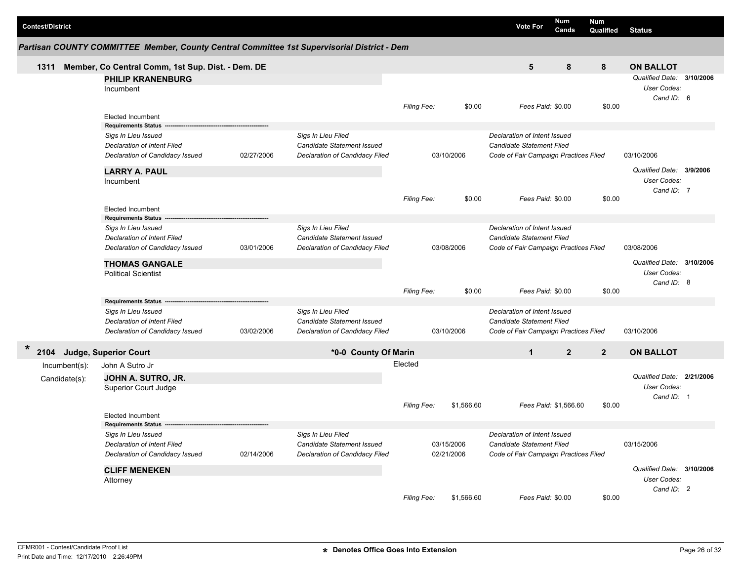|                         |                                                                                             |            |                                |                          |                   |                                                                    | Num                   | <b>Num</b>     |                           |  |
|-------------------------|---------------------------------------------------------------------------------------------|------------|--------------------------------|--------------------------|-------------------|--------------------------------------------------------------------|-----------------------|----------------|---------------------------|--|
| <b>Contest/District</b> |                                                                                             |            |                                |                          |                   | <b>Vote For</b>                                                    | Cands                 | Qualified      | <b>Status</b>             |  |
|                         | Partisan COUNTY COMMITTEE Member, County Central Committee 1st Supervisorial District - Dem |            |                                |                          |                   |                                                                    |                       |                |                           |  |
| 1311                    | Member, Co Central Comm, 1st Sup. Dist. - Dem. DE                                           |            |                                |                          |                   | 5                                                                  | 8                     | 8              | <b>ON BALLOT</b>          |  |
|                         | <b>PHILIP KRANENBURG</b>                                                                    |            |                                |                          |                   |                                                                    |                       |                | Qualified Date: 3/10/2006 |  |
|                         | Incumbent                                                                                   |            |                                |                          |                   |                                                                    |                       |                | User Codes:               |  |
|                         |                                                                                             |            |                                |                          |                   |                                                                    |                       |                | Cand ID: 6                |  |
|                         |                                                                                             |            | Filing Fee:                    | \$0.00                   | Fees Paid: \$0.00 |                                                                    | \$0.00                |                |                           |  |
|                         | <b>Elected Incumbent</b>                                                                    |            |                                |                          |                   |                                                                    |                       |                |                           |  |
|                         | <b>Requirements Status</b>                                                                  |            |                                |                          |                   |                                                                    |                       |                |                           |  |
|                         | Sigs In Lieu Issued                                                                         |            | Sigs In Lieu Filed             |                          |                   | Declaration of Intent Issued<br>Candidate Statement Filed          |                       |                |                           |  |
|                         | Declaration of Intent Filed                                                                 | 02/27/2006 | Candidate Statement Issued     |                          | 03/10/2006        |                                                                    |                       |                | 03/10/2006                |  |
|                         | Declaration of Candidacy Issued                                                             |            | Declaration of Candidacy Filed |                          |                   | Code of Fair Campaign Practices Filed                              |                       |                |                           |  |
|                         | <b>LARRY A. PAUL</b>                                                                        |            |                                |                          |                   |                                                                    |                       |                | Qualified Date: 3/9/2006  |  |
|                         | Incumbent                                                                                   |            |                                |                          |                   |                                                                    |                       |                | User Codes:               |  |
|                         |                                                                                             |            |                                |                          |                   |                                                                    |                       |                | Cand ID: 7                |  |
|                         |                                                                                             |            |                                | Filing Fee:              | \$0.00            | Fees Paid: \$0.00                                                  |                       | \$0.00         |                           |  |
|                         | <b>Elected Incumbent</b>                                                                    |            |                                |                          |                   |                                                                    |                       |                |                           |  |
|                         | <b>Requirements Status</b>                                                                  |            | Sigs In Lieu Filed             |                          |                   | Declaration of Intent Issued                                       |                       |                |                           |  |
|                         | Sigs In Lieu Issued<br>Declaration of Intent Filed                                          |            | Candidate Statement Issued     |                          |                   | Candidate Statement Filed                                          |                       |                |                           |  |
|                         | Declaration of Candidacy Issued                                                             | 03/01/2006 | Declaration of Candidacy Filed |                          | 03/08/2006        | Code of Fair Campaign Practices Filed                              |                       |                | 03/08/2006                |  |
|                         |                                                                                             |            |                                |                          |                   |                                                                    |                       |                |                           |  |
|                         | <b>THOMAS GANGALE</b>                                                                       |            |                                |                          |                   |                                                                    |                       |                | Qualified Date: 3/10/2006 |  |
|                         | <b>Political Scientist</b>                                                                  |            |                                |                          |                   | Fees Paid: \$0.00                                                  |                       |                | User Codes:               |  |
|                         |                                                                                             |            |                                |                          |                   |                                                                    |                       |                | Cand ID: 8                |  |
|                         |                                                                                             |            |                                | Filing Fee:              | \$0.00            |                                                                    |                       | \$0.00         |                           |  |
|                         | <b>Requirements Status</b>                                                                  |            | Sigs In Lieu Filed             |                          |                   | Declaration of Intent Issued                                       |                       |                |                           |  |
|                         | Sigs In Lieu Issued<br>Declaration of Intent Filed                                          |            | Candidate Statement Issued     |                          |                   |                                                                    |                       |                |                           |  |
|                         | Declaration of Candidacy Issued                                                             | 03/02/2006 | Declaration of Candidacy Filed |                          | 03/10/2006        | Candidate Statement Filed<br>Code of Fair Campaign Practices Filed |                       |                | 03/10/2006                |  |
|                         |                                                                                             |            |                                |                          |                   |                                                                    |                       |                |                           |  |
| $\ast$<br>2104          | Judge, Superior Court                                                                       |            | *0-0 County Of Marin           |                          |                   | $\mathbf{1}$                                                       | $\overline{2}$        | $\overline{2}$ | <b>ON BALLOT</b>          |  |
| $Incumbent(s)$ :        | John A Sutro Jr                                                                             |            |                                | Elected                  |                   |                                                                    |                       |                |                           |  |
| Candidate(s):           | JOHN A. SUTRO, JR.                                                                          |            |                                |                          |                   |                                                                    |                       |                | Qualified Date: 2/21/2006 |  |
|                         | Superior Court Judge                                                                        |            |                                |                          |                   |                                                                    |                       |                | User Codes:               |  |
|                         |                                                                                             |            |                                |                          |                   |                                                                    |                       |                | Cand ID: 1                |  |
|                         |                                                                                             |            |                                | <b>Filing Fee:</b>       | \$1,566.60        |                                                                    | Fees Paid: \$1,566.60 | \$0.00         |                           |  |
|                         | <b>Elected Incumbent</b><br><b>Requirements Status</b>                                      |            |                                |                          |                   |                                                                    |                       |                |                           |  |
|                         | Sigs In Lieu Issued                                                                         |            | Sigs In Lieu Filed             |                          |                   | Declaration of Intent Issued                                       |                       |                |                           |  |
|                         | Declaration of Intent Filed                                                                 |            | Candidate Statement Issued     | 03/15/2006<br>02/21/2006 |                   | <b>Candidate Statement Filed</b>                                   |                       |                | 03/15/2006                |  |
|                         | Declaration of Candidacy Issued                                                             | 02/14/2006 | Declaration of Candidacy Filed |                          |                   | Code of Fair Campaign Practices Filed                              |                       |                |                           |  |
|                         |                                                                                             |            |                                |                          |                   |                                                                    |                       |                |                           |  |
|                         | <b>CLIFF MENEKEN</b>                                                                        |            |                                |                          |                   |                                                                    |                       |                | Qualified Date: 3/10/2006 |  |
|                         | Attorney                                                                                    |            |                                |                          |                   |                                                                    |                       |                | User Codes:               |  |
|                         |                                                                                             |            |                                |                          |                   | Fees Paid: \$0.00                                                  |                       |                | Cand ID: 2                |  |
|                         |                                                                                             |            |                                | Filing Fee:              | \$1,566.60        |                                                                    |                       | \$0.00         |                           |  |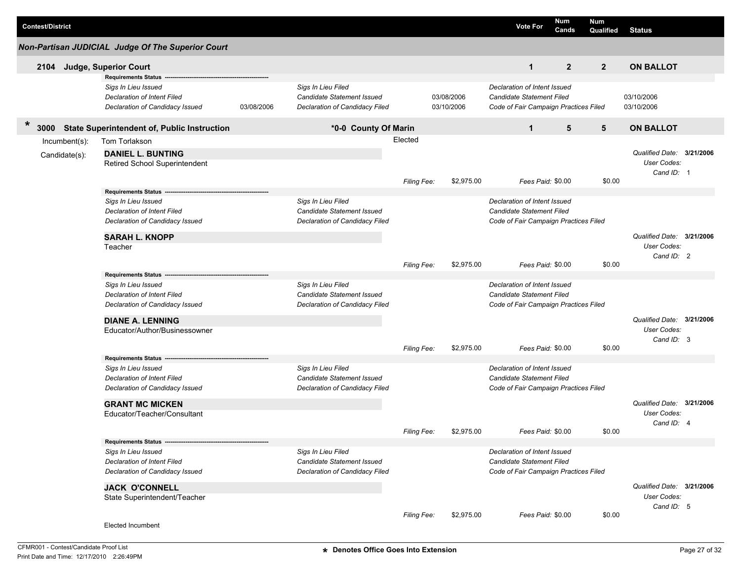|                                                                 | <b>Contest/District</b> |                  |                                                                                       |            |                                                                                    |                    |                          |            | <b>Vote For</b>                                                                                    | Num<br>Cands     | <b>Num</b><br>Qualified | <b>Status</b>             |  |
|-----------------------------------------------------------------|-------------------------|------------------|---------------------------------------------------------------------------------------|------------|------------------------------------------------------------------------------------|--------------------|--------------------------|------------|----------------------------------------------------------------------------------------------------|------------------|-------------------------|---------------------------|--|
|                                                                 |                         |                  | Non-Partisan JUDICIAL Judge Of The Superior Court                                     |            |                                                                                    |                    |                          |            |                                                                                                    |                  |                         |                           |  |
|                                                                 | 2104                    |                  | Judge, Superior Court                                                                 |            |                                                                                    |                    |                          |            | $\mathbf{1}$                                                                                       | $\overline{2}$   | $\overline{2}$          | <b>ON BALLOT</b>          |  |
|                                                                 |                         |                  | <b>Requirements Status</b>                                                            |            |                                                                                    |                    |                          |            |                                                                                                    |                  |                         |                           |  |
|                                                                 |                         |                  | Sigs In Lieu Issued<br>Declaration of Intent Filed<br>Declaration of Candidacy Issued | 03/08/2006 | Sigs In Lieu Filed<br>Candidate Statement Issued<br>Declaration of Candidacy Filed |                    | 03/08/2006<br>03/10/2006 |            | Declaration of Intent Issued<br>Candidate Statement Filed<br>Code of Fair Campaign Practices Filed |                  |                         | 03/10/2006<br>03/10/2006  |  |
| *<br><b>State Superintendent of, Public Instruction</b><br>3000 |                         |                  | *0-0 County Of Marin                                                                  |            |                                                                                    |                    | $\mathbf{1}$             | 5          | 5                                                                                                  | <b>ON BALLOT</b> |                         |                           |  |
|                                                                 |                         | $Incumbent(s)$ : | Tom Torlakson                                                                         |            |                                                                                    | Elected            |                          |            |                                                                                                    |                  |                         |                           |  |
|                                                                 |                         | Candidate(s):    | <b>DANIEL L. BUNTING</b>                                                              |            |                                                                                    |                    |                          |            |                                                                                                    |                  |                         | Qualified Date: 3/21/2006 |  |
|                                                                 |                         |                  | Retired School Superintendent                                                         |            |                                                                                    |                    |                          |            |                                                                                                    |                  |                         | User Codes:               |  |
|                                                                 |                         |                  |                                                                                       |            |                                                                                    | <b>Filing Fee:</b> |                          | \$2,975.00 | Fees Paid: \$0.00                                                                                  |                  | \$0.00                  | Cand ID: 1                |  |
|                                                                 |                         |                  | <b>Requirements Status</b>                                                            |            |                                                                                    |                    |                          |            |                                                                                                    |                  |                         |                           |  |
|                                                                 |                         |                  | Sigs In Lieu Issued                                                                   |            | Sigs In Lieu Filed                                                                 |                    |                          |            | Declaration of Intent Issued                                                                       |                  |                         |                           |  |
|                                                                 |                         |                  | <b>Declaration of Intent Filed</b>                                                    |            | <b>Candidate Statement Issued</b>                                                  |                    |                          |            | <b>Candidate Statement Filed</b>                                                                   |                  |                         |                           |  |
|                                                                 |                         |                  | Declaration of Candidacy Issued                                                       |            | Declaration of Candidacy Filed                                                     |                    |                          |            | Code of Fair Campaign Practices Filed                                                              |                  |                         |                           |  |
|                                                                 |                         |                  | <b>SARAH L. KNOPP</b>                                                                 |            |                                                                                    |                    |                          |            |                                                                                                    |                  |                         | Qualified Date: 3/21/2006 |  |
|                                                                 |                         |                  | Teacher                                                                               |            |                                                                                    |                    |                          |            |                                                                                                    |                  |                         | User Codes:               |  |
|                                                                 |                         |                  |                                                                                       |            |                                                                                    |                    |                          |            |                                                                                                    |                  |                         | Cand ID: 2                |  |
|                                                                 |                         |                  |                                                                                       |            |                                                                                    | <b>Filing Fee:</b> |                          | \$2,975.00 | Fees Paid: \$0.00                                                                                  |                  | \$0.00                  |                           |  |
|                                                                 |                         |                  | Requirements Status -<br>Sigs In Lieu Issued                                          |            | Sigs In Lieu Filed                                                                 |                    |                          |            | Declaration of Intent Issued                                                                       |                  |                         |                           |  |
|                                                                 |                         |                  | Declaration of Intent Filed                                                           |            | <b>Candidate Statement Issued</b>                                                  |                    |                          |            | <b>Candidate Statement Filed</b>                                                                   |                  |                         |                           |  |
|                                                                 |                         |                  | Declaration of Candidacy Issued                                                       |            | Declaration of Candidacy Filed                                                     |                    |                          |            | Code of Fair Campaign Practices Filed                                                              |                  |                         |                           |  |
|                                                                 |                         |                  | <b>DIANE A. LENNING</b>                                                               |            |                                                                                    |                    |                          |            |                                                                                                    |                  |                         | Qualified Date: 3/21/2006 |  |
|                                                                 |                         |                  | Educator/Author/Businessowner                                                         |            |                                                                                    |                    |                          |            |                                                                                                    |                  |                         | User Codes:               |  |
|                                                                 |                         |                  |                                                                                       |            |                                                                                    |                    |                          | \$2,975.00 |                                                                                                    |                  |                         | Cand ID: 3                |  |
|                                                                 |                         |                  | <b>Requirements Status</b>                                                            |            |                                                                                    | Filing Fee:        |                          |            | Fees Paid: \$0.00                                                                                  |                  | \$0.00                  |                           |  |
|                                                                 |                         |                  | Sigs In Lieu Issued                                                                   |            | Sigs In Lieu Filed                                                                 |                    |                          |            | Declaration of Intent Issued                                                                       |                  |                         |                           |  |
|                                                                 |                         |                  | Declaration of Intent Filed                                                           |            | <b>Candidate Statement Issued</b>                                                  |                    |                          |            | <b>Candidate Statement Filed</b>                                                                   |                  |                         |                           |  |
|                                                                 |                         |                  | Declaration of Candidacy Issued                                                       |            | Declaration of Candidacy Filed                                                     |                    |                          |            | Code of Fair Campaign Practices Filed                                                              |                  |                         |                           |  |
|                                                                 |                         |                  | <b>GRANT MC MICKEN</b>                                                                |            |                                                                                    |                    |                          |            |                                                                                                    |                  |                         | Qualified Date: 3/21/2006 |  |
|                                                                 |                         |                  | Educator/Teacher/Consultant                                                           |            |                                                                                    |                    |                          |            |                                                                                                    |                  |                         | User Codes:               |  |
|                                                                 |                         |                  |                                                                                       |            |                                                                                    | Filing Fee:        |                          | \$2,975.00 | Fees Paid: \$0.00                                                                                  |                  | \$0.00                  | Cand ID: 4                |  |
|                                                                 |                         |                  | Requirements Status ------                                                            |            |                                                                                    |                    |                          |            |                                                                                                    |                  |                         |                           |  |
|                                                                 |                         |                  | Sigs In Lieu Issued                                                                   |            | Sigs In Lieu Filed                                                                 |                    |                          |            | Declaration of Intent Issued                                                                       |                  |                         |                           |  |
|                                                                 |                         |                  | Declaration of Intent Filed                                                           |            | Candidate Statement Issued                                                         |                    |                          |            | <b>Candidate Statement Filed</b>                                                                   |                  |                         |                           |  |
|                                                                 |                         |                  | Declaration of Candidacy Issued                                                       |            | Declaration of Candidacy Filed                                                     |                    |                          |            | Code of Fair Campaign Practices Filed                                                              |                  |                         |                           |  |
|                                                                 |                         |                  | <b>JACK O'CONNELL</b>                                                                 |            |                                                                                    |                    |                          |            |                                                                                                    |                  |                         | Qualified Date: 3/21/2006 |  |
|                                                                 |                         |                  | State Superintendent/Teacher                                                          |            |                                                                                    |                    |                          |            |                                                                                                    |                  |                         | User Codes:               |  |
|                                                                 |                         |                  |                                                                                       |            |                                                                                    | Filing Fee:        |                          | \$2,975.00 | Fees Paid: \$0.00                                                                                  |                  | \$0.00                  | Cand ID: 5                |  |
|                                                                 |                         |                  | Elected Incumbent                                                                     |            |                                                                                    |                    |                          |            |                                                                                                    |                  |                         |                           |  |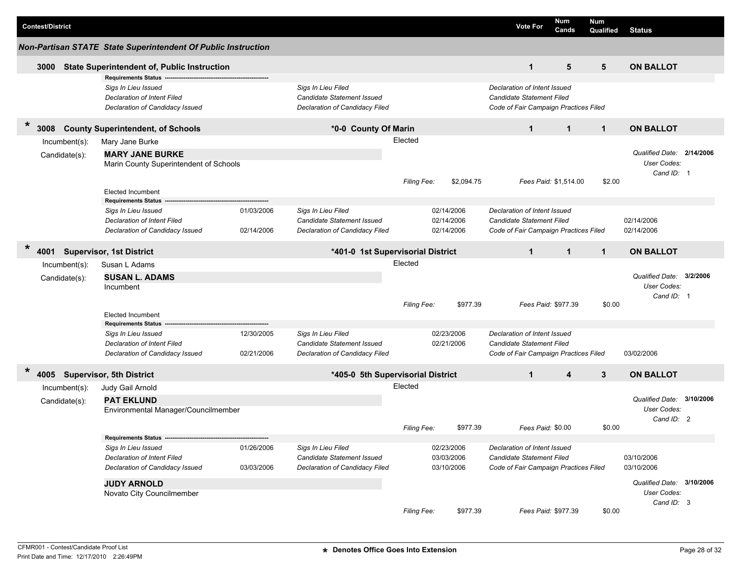| <b>Contest/District</b>                                                                                                    |                                        |                                                                                    |                    |                                        | <b>Vote For</b>                                                                                           | <b>Num</b><br>Cands                       | <b>Num</b><br>Qualified | <b>Status</b>                                          |  |
|----------------------------------------------------------------------------------------------------------------------------|----------------------------------------|------------------------------------------------------------------------------------|--------------------|----------------------------------------|-----------------------------------------------------------------------------------------------------------|-------------------------------------------|-------------------------|--------------------------------------------------------|--|
| Non-Partisan STATE State Superintendent Of Public Instruction                                                              |                                        |                                                                                    |                    |                                        |                                                                                                           |                                           |                         |                                                        |  |
| <b>State Superintendent of, Public Instruction</b><br>3000                                                                 |                                        |                                                                                    |                    |                                        | $\mathbf{1}$                                                                                              | 5                                         | 5                       | <b>ON BALLOT</b>                                       |  |
| <b>Requirements Status</b><br>Sigs In Lieu Issued<br><b>Declaration of Intent Filed</b><br>Declaration of Candidacy Issued |                                        | Sigs In Lieu Filed<br>Candidate Statement Issued<br>Declaration of Candidacy Filed |                    |                                        | Declaration of Intent Issued<br><b>Candidate Statement Filed</b><br>Code of Fair Campaign Practices Filed |                                           |                         |                                                        |  |
| $\ast$<br><b>County Superintendent, of Schools</b><br>3008                                                                 |                                        | *0-0 County Of Marin                                                               |                    |                                        | $\mathbf{1}$                                                                                              | $\mathbf{1}$                              | $\mathbf{1}$            | <b>ON BALLOT</b>                                       |  |
| Incumbent(s):<br>Mary Jane Burke                                                                                           |                                        |                                                                                    | Elected            |                                        |                                                                                                           |                                           |                         |                                                        |  |
| <b>MARY JANE BURKE</b><br>Candidate(s):                                                                                    | Marin County Superintendent of Schools |                                                                                    | <b>Filing Fee:</b> | \$2,094.75                             |                                                                                                           | Fees Paid: \$1,514.00                     | \$2.00                  | Qualified Date: 2/14/2006<br>User Codes:<br>Cand ID: 1 |  |
| <b>Elected Incumbent</b>                                                                                                   |                                        |                                                                                    |                    |                                        |                                                                                                           |                                           |                         |                                                        |  |
| <b>Requirements Status</b><br>Sigs In Lieu Issued<br>Declaration of Intent Filed<br>Declaration of Candidacy Issued        | 01/03/2006<br>02/14/2006               | Sigs In Lieu Filed<br>Candidate Statement Issued<br>Declaration of Candidacy Filed |                    | 02/14/2006<br>02/14/2006<br>02/14/2006 | Declaration of Intent Issued<br><b>Candidate Statement Filed</b><br>Code of Fair Campaign Practices Filed |                                           |                         | 02/14/2006<br>02/14/2006                               |  |
| $\star$<br><b>Supervisor, 1st District</b><br>4001                                                                         |                                        | *401-0 1st Supervisorial District                                                  |                    |                                        | $\mathbf{1}$                                                                                              | $\mathbf{1}$                              | $\mathbf{1}$            | <b>ON BALLOT</b>                                       |  |
| Susan L Adams<br>$Incumbent(s)$ :                                                                                          |                                        |                                                                                    | Elected            |                                        |                                                                                                           |                                           |                         |                                                        |  |
| <b>SUSAN L. ADAMS</b><br>Candidate(s):<br>Incumbent                                                                        |                                        |                                                                                    |                    |                                        |                                                                                                           |                                           |                         | Qualified Date: 3/2/2006<br>User Codes:<br>Cand ID: 1  |  |
| <b>Elected Incumbent</b><br><b>Requirements Status</b>                                                                     |                                        |                                                                                    | <b>Filing Fee:</b> |                                        |                                                                                                           | \$977.39<br>\$0.00<br>Fees Paid: \$977.39 |                         |                                                        |  |
| Sigs In Lieu Issued<br><b>Declaration of Intent Filed</b><br>Declaration of Candidacy Issued                               | 12/30/2005<br>02/21/2006               | Sigs In Lieu Filed<br>Candidate Statement Issued<br>Declaration of Candidacy Filed |                    | 02/23/2006<br>02/21/2006               | Declaration of Intent Issued<br>Candidate Statement Filed<br>Code of Fair Campaign Practices Filed        |                                           |                         | 03/02/2006                                             |  |
| $\ast$<br>4005 Supervisor, 5th District                                                                                    |                                        | *405-0 5th Supervisorial District                                                  |                    |                                        | $\mathbf{1}$                                                                                              | 4                                         | 3                       | <b>ON BALLOT</b>                                       |  |
| Judy Gail Arnold<br>$Incumbent(s)$ :                                                                                       |                                        |                                                                                    | Elected            |                                        |                                                                                                           |                                           |                         |                                                        |  |
| <b>PAT EKLUND</b><br>Candidate(s):                                                                                         | Environmental Manager/Councilmember    |                                                                                    |                    |                                        |                                                                                                           |                                           |                         | Qualified Date: 3/10/2006<br>User Codes:<br>Cand ID: 2 |  |
|                                                                                                                            |                                        |                                                                                    | <b>Filing Fee:</b> | \$977.39                               | Fees Paid: \$0.00                                                                                         |                                           | \$0.00                  |                                                        |  |
| Requirements Status ----<br>Sigs In Lieu Issued<br><b>Declaration of Intent Filed</b><br>Declaration of Candidacy Issued   | 01/26/2006<br>03/03/2006               | Sigs In Lieu Filed<br>Candidate Statement Issued<br>Declaration of Candidacy Filed |                    | 02/23/2006<br>03/03/2006<br>03/10/2006 | Declaration of Intent Issued<br>Candidate Statement Filed<br>Code of Fair Campaign Practices Filed        |                                           |                         | 03/10/2006<br>03/10/2006                               |  |
| <b>JUDY ARNOLD</b><br>Novato City Councilmember                                                                            |                                        |                                                                                    | Filing Fee:        | \$977.39                               | Fees Paid: \$977.39                                                                                       |                                           | \$0.00                  | Qualified Date: 3/10/2006<br>User Codes:<br>Cand ID: 3 |  |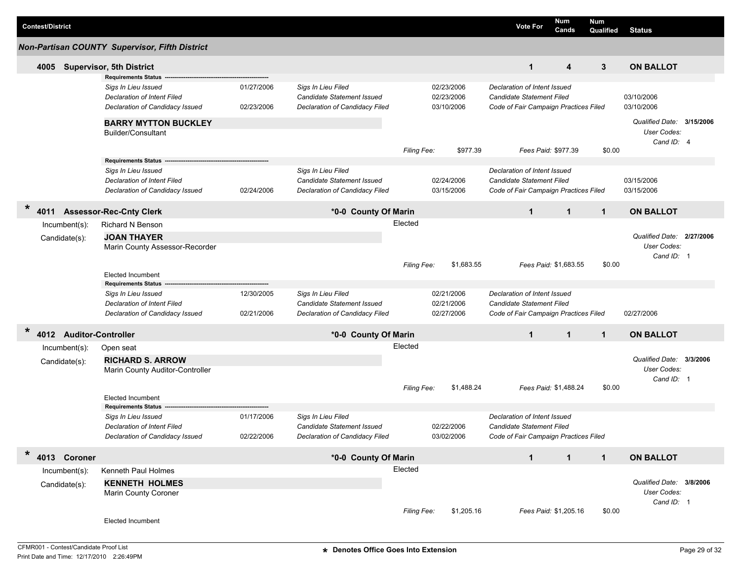| <b>Contest/District</b><br>Vote For |
|-------------------------------------|
|-------------------------------------|

|         | ,,,,,,,,,,,,,,,,,,      |                                                |            |                                   |                    |            |                                       | Cands                 | Qualified    | Status                    |  |
|---------|-------------------------|------------------------------------------------|------------|-----------------------------------|--------------------|------------|---------------------------------------|-----------------------|--------------|---------------------------|--|
|         |                         | Non-Partisan COUNTY Supervisor, Fifth District |            |                                   |                    |            |                                       |                       |              |                           |  |
|         | 4005                    | <b>Supervisor, 5th District</b>                |            |                                   |                    |            | $\mathbf{1}$                          | 4                     | 3            | <b>ON BALLOT</b>          |  |
|         |                         | <b>Requirements Status</b>                     |            |                                   |                    |            |                                       |                       |              |                           |  |
|         |                         | Sigs In Lieu Issued                            | 01/27/2006 | Sigs In Lieu Filed                |                    | 02/23/2006 | Declaration of Intent Issued          |                       |              |                           |  |
|         |                         | Declaration of Intent Filed                    |            | <b>Candidate Statement Issued</b> |                    | 02/23/2006 | Candidate Statement Filed             |                       |              | 03/10/2006                |  |
|         |                         | Declaration of Candidacy Issued                | 02/23/2006 | Declaration of Candidacy Filed    |                    | 03/10/2006 | Code of Fair Campaign Practices Filed |                       |              | 03/10/2006                |  |
|         |                         | <b>BARRY MYTTON BUCKLEY</b>                    |            |                                   |                    |            |                                       |                       |              | Qualified Date: 3/15/2006 |  |
|         |                         | Builder/Consultant                             |            |                                   |                    |            |                                       |                       |              | User Codes:<br>Cand ID: 4 |  |
|         |                         |                                                |            |                                   | Filing Fee:        | \$977.39   | Fees Paid: \$977.39                   |                       | \$0.00       |                           |  |
|         |                         | <b>Requirements Status</b>                     |            |                                   |                    |            |                                       |                       |              |                           |  |
|         |                         | Sigs In Lieu Issued                            |            | Sigs In Lieu Filed                |                    |            | Declaration of Intent Issued          |                       |              |                           |  |
|         |                         | Declaration of Intent Filed                    |            | Candidate Statement Issued        |                    | 02/24/2006 | Candidate Statement Filed             |                       |              | 03/15/2006                |  |
|         |                         | Declaration of Candidacy Issued                | 02/24/2006 | Declaration of Candidacy Filed    |                    | 03/15/2006 | Code of Fair Campaign Practices Filed |                       |              | 03/15/2006                |  |
| $\ast$  | 4011                    | <b>Assessor-Rec-Cnty Clerk</b>                 |            | *0-0 County Of Marin              |                    |            | $\mathbf{1}$                          | $\mathbf{1}$          | $\mathbf{1}$ | <b>ON BALLOT</b>          |  |
|         | Incumbent(s):           | <b>Richard N Benson</b>                        |            |                                   | Elected            |            |                                       |                       |              |                           |  |
|         |                         | <b>JOAN THAYER</b>                             |            |                                   |                    |            |                                       |                       |              | Qualified Date: 2/27/2006 |  |
|         | Candidate(s):           | Marin County Assessor-Recorder                 |            |                                   |                    |            |                                       |                       |              | User Codes:               |  |
|         |                         |                                                |            |                                   |                    |            |                                       |                       |              | Cand ID: 1                |  |
|         |                         |                                                |            |                                   | <b>Filing Fee:</b> | \$1,683.55 | Fees Paid: \$1,683.55                 |                       | \$0.00       |                           |  |
|         |                         | <b>Elected Incumbent</b>                       |            |                                   |                    |            |                                       |                       |              |                           |  |
|         |                         | <b>Requirements Status</b>                     |            |                                   |                    |            |                                       |                       |              |                           |  |
|         |                         | Sigs In Lieu Issued                            | 12/30/2005 | Sigs In Lieu Filed                |                    | 02/21/2006 | Declaration of Intent Issued          |                       |              |                           |  |
|         |                         | Declaration of Intent Filed                    |            | Candidate Statement Issued        |                    | 02/21/2006 | Candidate Statement Filed             |                       |              |                           |  |
|         |                         |                                                | 02/21/2006 | Declaration of Candidacy Filed    |                    | 02/27/2006 |                                       |                       |              | 02/27/2006                |  |
|         |                         | Declaration of Candidacy Issued                |            |                                   |                    |            | Code of Fair Campaign Practices Filed |                       |              |                           |  |
| $\star$ | 4012 Auditor-Controller |                                                |            | *0-0 County Of Marin              |                    |            | $\mathbf{1}$                          | $\mathbf{1}$          | $\mathbf{1}$ | <b>ON BALLOT</b>          |  |
|         | $lncumbent(s)$ :        | Open seat                                      |            |                                   | Elected            |            |                                       |                       |              |                           |  |
|         | Candidate(s):           | <b>RICHARD S. ARROW</b>                        |            |                                   |                    |            |                                       |                       |              | Qualified Date: 3/3/2006  |  |
|         |                         | Marin County Auditor-Controller                |            |                                   |                    |            |                                       |                       |              | <b>User Codes:</b>        |  |
|         |                         |                                                |            |                                   |                    |            |                                       |                       |              | Cand ID: 1                |  |
|         |                         |                                                |            |                                   | <b>Filing Fee:</b> | \$1,488.24 | Fees Paid: \$1,488.24                 |                       | \$0.00       |                           |  |
|         |                         | <b>Elected Incumbent</b>                       |            |                                   |                    |            |                                       |                       |              |                           |  |
|         |                         | <b>Requirements Status</b>                     |            |                                   |                    |            |                                       |                       |              |                           |  |
|         |                         | Sigs In Lieu Issued                            | 01/17/2006 | Sigs In Lieu Filed                |                    |            | Declaration of Intent Issued          |                       |              |                           |  |
|         |                         | Declaration of Intent Filed                    |            | <b>Candidate Statement Issued</b> |                    | 02/22/2006 | <b>Candidate Statement Filed</b>      |                       |              |                           |  |
|         |                         | Declaration of Candidacy Issued                | 02/22/2006 | Declaration of Candidacy Filed    |                    | 03/02/2006 | Code of Fair Campaign Practices Filed |                       |              |                           |  |
| $\ast$  |                         |                                                |            |                                   |                    |            |                                       |                       |              |                           |  |
|         | 4013 Coroner            |                                                |            | *0-0 County Of Marin              |                    |            | $\mathbf{1}$                          | $\mathbf{1}$          | $\mathbf 1$  | <b>ON BALLOT</b>          |  |
|         | Incumbent(s):           | Kenneth Paul Holmes                            |            |                                   | Elected            |            |                                       |                       |              |                           |  |
|         | Candidate(s):           | <b>KENNETH HOLMES</b>                          |            |                                   |                    |            |                                       |                       |              | Qualified Date: 3/8/2006  |  |
|         |                         | Marin County Coroner                           |            |                                   |                    |            |                                       |                       |              | User Codes:               |  |
|         |                         |                                                |            |                                   |                    |            |                                       |                       |              | Cand ID: 1                |  |
|         |                         |                                                |            |                                   | Filing Fee:        | \$1,205.16 |                                       | Fees Paid: \$1,205.16 | \$0.00       |                           |  |
|         |                         | <b>Elected Incumbent</b>                       |            |                                   |                    |            |                                       |                       |              |                           |  |
|         |                         |                                                |            |                                   |                    |            |                                       |                       |              |                           |  |

**Num** 

**Num**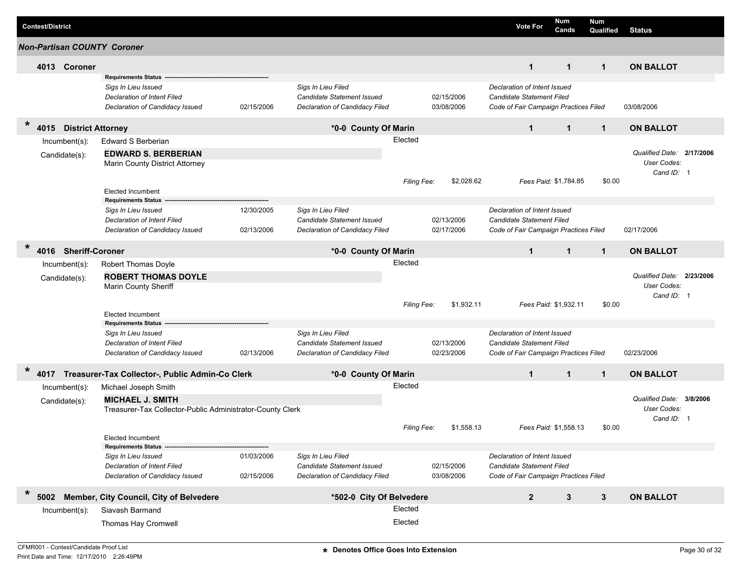| <b>Contest/District</b>                     |                                                                                                                     |                          |                                                                                    |                    |                          | <b>Vote For</b>                                                                                    | Num<br>Cands          | <b>Num</b><br>Qualified | <b>Status</b>                                          |          |
|---------------------------------------------|---------------------------------------------------------------------------------------------------------------------|--------------------------|------------------------------------------------------------------------------------|--------------------|--------------------------|----------------------------------------------------------------------------------------------------|-----------------------|-------------------------|--------------------------------------------------------|----------|
| <b>Non-Partisan COUNTY Coroner</b>          |                                                                                                                     |                          |                                                                                    |                    |                          |                                                                                                    |                       |                         |                                                        |          |
| 4013 Coroner                                |                                                                                                                     |                          |                                                                                    |                    |                          | $\mathbf{1}$                                                                                       | $\mathbf{1}$          | $\mathbf{1}$            | <b>ON BALLOT</b>                                       |          |
|                                             | <b>Requirements Status</b><br>Sigs In Lieu Issued<br>Declaration of Intent Filed<br>Declaration of Candidacy Issued | 02/15/2006               | Sigs In Lieu Filed<br>Candidate Statement Issued<br>Declaration of Candidacy Filed |                    | 02/15/2006<br>03/08/2006 | Declaration of Intent Issued<br>Candidate Statement Filed<br>Code of Fair Campaign Practices Filed |                       |                         | 03/08/2006                                             |          |
| $\star$<br><b>District Attorney</b><br>4015 |                                                                                                                     |                          | *0-0 County Of Marin                                                               |                    |                          | $\mathbf{1}$                                                                                       | $\mathbf{1}$          | $\mathbf{1}$            | <b>ON BALLOT</b>                                       |          |
| $Incumbent(s)$ :                            | Edward S Berberian                                                                                                  |                          |                                                                                    | Elected            |                          |                                                                                                    |                       |                         |                                                        |          |
| Candidate(s):                               | <b>EDWARD S. BERBERIAN</b><br>Marin County District Attorney                                                        |                          |                                                                                    |                    |                          |                                                                                                    |                       |                         | Qualified Date: 2/17/2006<br>User Codes:<br>Cand ID: 1 |          |
|                                             | Elected Incumbent                                                                                                   |                          |                                                                                    | Filing Fee:        | \$2,028.62               |                                                                                                    | Fees Paid: \$1,784.85 | \$0.00                  |                                                        |          |
|                                             | <b>Requirements Status</b>                                                                                          |                          |                                                                                    |                    |                          |                                                                                                    |                       |                         |                                                        |          |
|                                             | Sigs In Lieu Issued<br><b>Declaration of Intent Filed</b><br>Declaration of Candidacy Issued                        | 12/30/2005<br>02/13/2006 | Sigs In Lieu Filed<br>Candidate Statement Issued<br>Declaration of Candidacy Filed |                    | 02/13/2006<br>02/17/2006 | Declaration of Intent Issued<br>Candidate Statement Filed<br>Code of Fair Campaign Practices Filed |                       |                         | 02/17/2006                                             |          |
| $\star$<br><b>Sheriff-Coroner</b><br>4016   |                                                                                                                     |                          | *0-0 County Of Marin                                                               |                    |                          | $\mathbf{1}$                                                                                       | $\mathbf{1}$          | $\mathbf{1}$            | <b>ON BALLOT</b>                                       |          |
| Incumbent(s):                               | Robert Thomas Doyle                                                                                                 |                          |                                                                                    | Elected            |                          |                                                                                                    |                       |                         |                                                        |          |
| Candidate(s):                               | <b>ROBERT THOMAS DOYLE</b><br>Marin County Sheriff                                                                  |                          |                                                                                    |                    |                          |                                                                                                    |                       |                         | Qualified Date: 2/23/2006<br>User Codes:<br>Cand ID: 1 |          |
|                                             | <b>Elected Incumbent</b><br><b>Requirements Status</b>                                                              |                          |                                                                                    | Filing Fee:        | \$1,932.11               |                                                                                                    | Fees Paid: \$1,932.11 | \$0.00                  |                                                        |          |
|                                             | Sigs In Lieu Issued                                                                                                 |                          | Sigs In Lieu Filed                                                                 |                    |                          | Declaration of Intent Issued                                                                       |                       |                         |                                                        |          |
|                                             | Declaration of Intent Filed<br>Declaration of Candidacy Issued                                                      | 02/13/2006               | Candidate Statement Issued<br>Declaration of Candidacy Filed                       |                    | 02/13/2006<br>02/23/2006 | Candidate Statement Filed<br>Code of Fair Campaign Practices Filed                                 |                       |                         | 02/23/2006                                             |          |
| *<br>4017                                   | Treasurer-Tax Collector-, Public Admin-Co Clerk                                                                     |                          | *0-0 County Of Marin                                                               |                    |                          | $\mathbf 1$                                                                                        | $\mathbf 1$           | $\mathbf{1}$            | <b>ON BALLOT</b>                                       |          |
| $Incumbent(s)$ :                            | Michael Joseph Smith                                                                                                |                          |                                                                                    | Elected            |                          |                                                                                                    |                       |                         |                                                        |          |
| Candidate(s):                               | <b>MICHAEL J. SMITH</b><br>Treasurer-Tax Collector-Public Administrator-County Clerk                                |                          |                                                                                    | <b>Filing Fee:</b> | \$1,558.13               |                                                                                                    | Fees Paid: \$1,558.13 | \$0.00                  | Qualified Date:<br>User Codes:<br>Cand ID: 1           | 3/8/2006 |
|                                             | <b>Elected Incumbent</b>                                                                                            |                          |                                                                                    |                    |                          |                                                                                                    |                       |                         |                                                        |          |
|                                             | <b>Requirements Status</b>                                                                                          |                          |                                                                                    |                    |                          |                                                                                                    |                       |                         |                                                        |          |
|                                             | Sigs In Lieu Issued<br><b>Declaration of Intent Filed</b><br>Declaration of Candidacy Issued                        | 01/03/2006<br>02/15/2006 | Sigs In Lieu Filed<br>Candidate Statement Issued<br>Declaration of Candidacy Filed |                    | 02/15/2006<br>03/08/2006 | Declaration of Intent Issued<br>Candidate Statement Filed<br>Code of Fair Campaign Practices Filed |                       |                         |                                                        |          |
| $\ast$<br>5002                              | Member, City Council, City of Belvedere                                                                             |                          | *502-0 City Of Belvedere                                                           |                    |                          | $\overline{2}$                                                                                     | $\mathbf{3}$          | $3\phantom{.0}$         | <b>ON BALLOT</b>                                       |          |
| Incumbent(s):                               | Siavash Barmand                                                                                                     |                          |                                                                                    | Elected            |                          |                                                                                                    |                       |                         |                                                        |          |
|                                             | Thomas Hay Cromwell                                                                                                 |                          |                                                                                    | Elected            |                          |                                                                                                    |                       |                         |                                                        |          |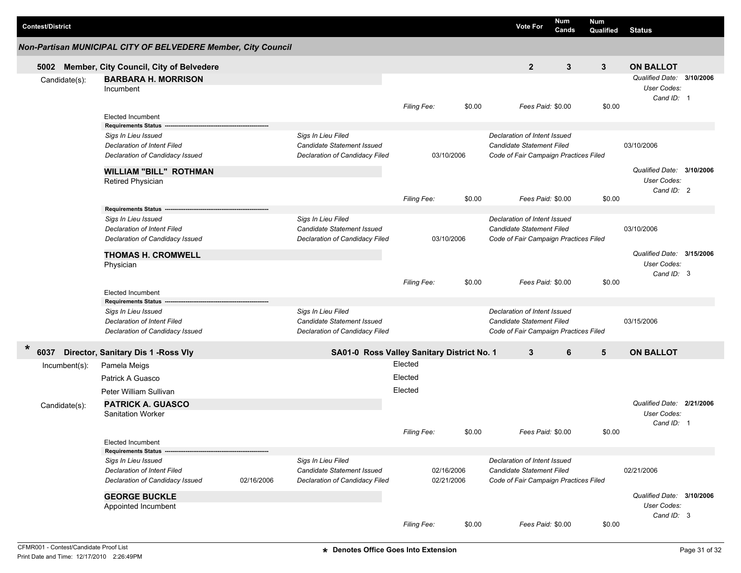| <b>Contest/District</b> |                                                               |            |                                                  |                    |            |        | <b>Vote For</b>                                           | Num<br>Cands | <b>Num</b><br>Qualified   | <b>Status</b>                                          |  |
|-------------------------|---------------------------------------------------------------|------------|--------------------------------------------------|--------------------|------------|--------|-----------------------------------------------------------|--------------|---------------------------|--------------------------------------------------------|--|
|                         | Non-Partisan MUNICIPAL CITY OF BELVEDERE Member, City Council |            |                                                  |                    |            |        |                                                           |              |                           |                                                        |  |
| 5002                    | Member, City Council, City of Belvedere                       |            |                                                  |                    |            |        | $\mathbf{2}$                                              | 3            | 3                         | <b>ON BALLOT</b>                                       |  |
| Candidate(s):           | <b>BARBARA H. MORRISON</b><br>Incumbent                       |            |                                                  |                    |            |        |                                                           |              |                           | Qualified Date: 3/10/2006<br>User Codes:<br>Cand ID: 1 |  |
|                         | <b>Elected Incumbent</b><br><b>Requirements Status</b>        |            |                                                  | Filing Fee:        |            | \$0.00 | Fees Paid: \$0.00                                         |              | \$0.00                    |                                                        |  |
|                         | Sigs In Lieu Issued                                           |            | Sigs In Lieu Filed                               |                    |            |        | Declaration of Intent Issued                              |              |                           |                                                        |  |
|                         | Declaration of Intent Filed                                   |            | Candidate Statement Issued                       |                    |            |        | <b>Candidate Statement Filed</b>                          |              |                           | 03/10/2006                                             |  |
|                         | Declaration of Candidacy Issued                               |            | Declaration of Candidacy Filed                   |                    | 03/10/2006 |        | Code of Fair Campaign Practices Filed                     |              |                           |                                                        |  |
|                         | <b>WILLIAM "BILL" ROTHMAN</b>                                 |            |                                                  |                    |            |        |                                                           |              |                           | Qualified Date: 3/10/2006                              |  |
|                         | <b>Retired Physician</b>                                      |            |                                                  |                    |            |        |                                                           |              |                           | User Codes:<br>Cand ID: 2                              |  |
|                         |                                                               |            |                                                  | <b>Filing Fee:</b> |            | \$0.00 | Fees Paid: \$0.00                                         |              | \$0.00                    |                                                        |  |
|                         | <b>Requirements Status</b>                                    |            |                                                  |                    |            |        |                                                           |              |                           |                                                        |  |
|                         | Sigs In Lieu Issued                                           |            | Sigs In Lieu Filed                               |                    |            |        | Declaration of Intent Issued                              |              |                           |                                                        |  |
|                         | Declaration of Intent Filed                                   |            | Candidate Statement Issued                       |                    |            |        | Candidate Statement Filed                                 |              |                           | 03/10/2006                                             |  |
|                         | Declaration of Candidacy Issued                               |            | Declaration of Candidacy Filed                   |                    | 03/10/2006 |        | Code of Fair Campaign Practices Filed                     |              |                           |                                                        |  |
|                         | <b>THOMAS H. CROMWELL</b>                                     |            |                                                  |                    |            |        |                                                           |              |                           | Qualified Date: 3/15/2006                              |  |
|                         | Physician                                                     |            |                                                  |                    |            |        |                                                           |              |                           | User Codes:<br>Cand ID: 3                              |  |
|                         |                                                               |            |                                                  | Filing Fee:        |            | \$0.00 | Fees Paid: \$0.00                                         |              | \$0.00                    |                                                        |  |
|                         | <b>Elected Incumbent</b>                                      |            |                                                  |                    |            |        |                                                           |              |                           |                                                        |  |
|                         | <b>Requirements Status</b>                                    |            |                                                  |                    |            |        |                                                           |              |                           |                                                        |  |
|                         | Sigs In Lieu Issued                                           |            | Sigs In Lieu Filed                               |                    |            |        | Declaration of Intent Issued                              |              |                           |                                                        |  |
|                         | Declaration of Intent Filed                                   |            | Candidate Statement Issued                       |                    |            |        | <b>Candidate Statement Filed</b>                          |              |                           | 03/15/2006                                             |  |
|                         | Declaration of Candidacy Issued                               |            | Declaration of Candidacy Filed                   |                    |            |        | Code of Fair Campaign Practices Filed                     |              |                           |                                                        |  |
| $\ast$<br>6037          | Director, Sanitary Dis 1 - Ross Vly                           |            | SA01-0 Ross Valley Sanitary District No. 1       |                    |            |        | 3                                                         | 6            | 5                         | <b>ON BALLOT</b>                                       |  |
| Incumbent(s):           | Pamela Meigs                                                  |            |                                                  | Elected            |            |        |                                                           |              |                           |                                                        |  |
|                         | Patrick A Guasco                                              |            |                                                  | Elected            |            |        |                                                           |              |                           |                                                        |  |
|                         | Peter William Sullivan                                        |            |                                                  | Elected            |            |        |                                                           |              |                           |                                                        |  |
| Candidate(s):           | <b>PATRICK A. GUASCO</b>                                      |            |                                                  |                    |            |        |                                                           |              |                           | Qualified Date: 2/21/2006                              |  |
|                         | <b>Sanitation Worker</b>                                      |            |                                                  |                    |            |        |                                                           |              |                           | User Codes:<br>Cand ID: 1                              |  |
|                         |                                                               |            |                                                  | Filing Fee:        |            | \$0.00 | Fees Paid: \$0.00                                         |              | \$0.00                    |                                                        |  |
|                         | Elected Incumbent                                             |            |                                                  |                    |            |        |                                                           |              |                           |                                                        |  |
|                         | <b>Requirements Status</b>                                    |            |                                                  |                    |            |        |                                                           |              |                           |                                                        |  |
|                         | Sigs In Lieu Issued<br>Declaration of Intent Filed            |            | Sigs In Lieu Filed<br>Candidate Statement Issued |                    | 02/16/2006 |        | Declaration of Intent Issued<br>Candidate Statement Filed |              |                           | 02/21/2006                                             |  |
|                         | Declaration of Candidacy Issued                               | 02/16/2006 | Declaration of Candidacy Filed                   |                    | 02/21/2006 |        | Code of Fair Campaign Practices Filed                     |              |                           |                                                        |  |
|                         | <b>GEORGE BUCKLE</b>                                          |            |                                                  |                    |            |        |                                                           |              | Qualified Date: 3/10/2006 |                                                        |  |
|                         | Appointed Incumbent                                           |            |                                                  |                    |            |        |                                                           |              |                           | User Codes:                                            |  |
|                         |                                                               |            |                                                  |                    |            |        |                                                           |              |                           | Cand ID: 3                                             |  |
|                         |                                                               |            |                                                  | Filing Fee:        |            | \$0.00 | Fees Paid: \$0.00                                         |              | \$0.00                    |                                                        |  |